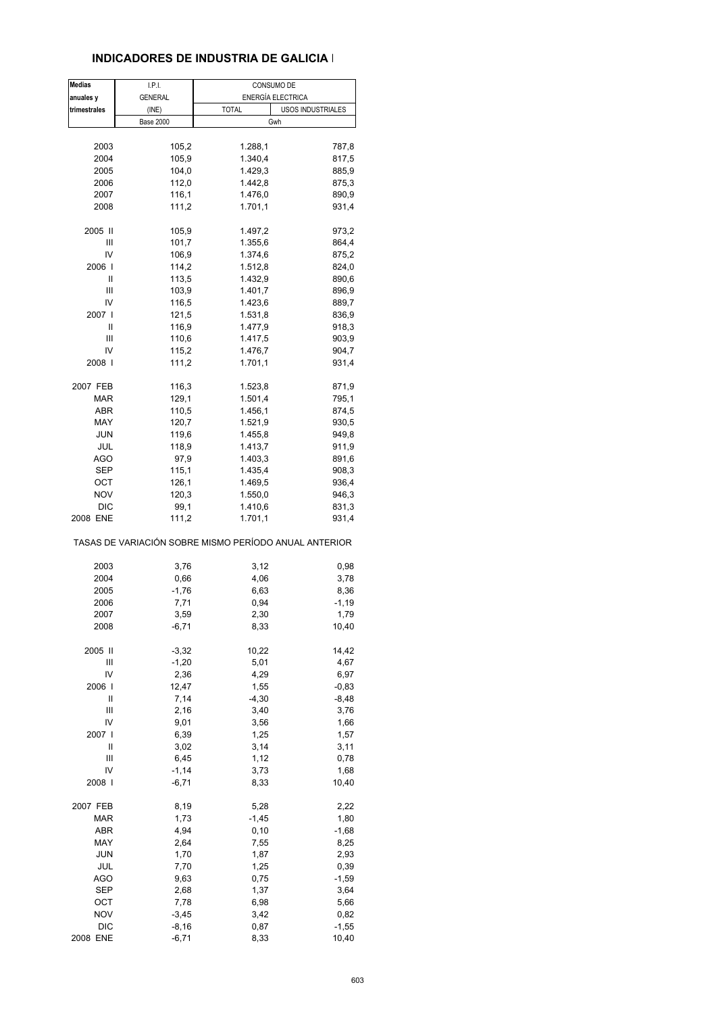#### **INDICADORES DE INDUSTRIA DE GALICIA I**

| <b>Medias</b> | I.P.I.           | CONSUMO DE                                                       |                    |
|---------------|------------------|------------------------------------------------------------------|--------------------|
| anuales y     | <b>GENERAL</b>   |                                                                  | ENERGÍA ELECTRICA  |
| trimestrales  | (INE)            | <b>TOTAL</b>                                                     | USOS INDUSTRIALES  |
|               | <b>Base 2000</b> |                                                                  | Gwh                |
|               |                  |                                                                  |                    |
| 2003          | 105,2            | 1.288,1                                                          | 787,8              |
| 2004          | 105,9            | 1.340,4                                                          | 817,5              |
| 2005          | 104,0            | 1.429,3                                                          | 885,9              |
| 2006          | 112,0            | 1.442,8                                                          | 875,3              |
| 2007          | 116,1            | 1.476,0                                                          | 890,9              |
| 2008          | 111,2            | 1.701,1                                                          | 931,4              |
| 2005 II       | 105,9            | 1.497,2                                                          | 973,2              |
| Ш             | 101,7            | 1.355,6                                                          | 864,4              |
| IV            | 106,9            | 1.374,6                                                          | 875,2              |
| 2006 l        | 114,2            | 1.512,8                                                          | 824,0              |
| Ш             | 113,5            | 1.432,9                                                          | 890,6              |
| Ш             | 103,9            | 1.401,7                                                          | 896,9              |
| IV            | 116,5            | 1.423,6                                                          | 889,7              |
| 2007 I        | 121,5            | 1.531,8                                                          | 836,9              |
| Ш<br>Ш        | 116,9            | 1.477,9                                                          | 918,3              |
| IV            | 110,6            | 1.417,5                                                          | 903,9              |
| 2008          | 115,2<br>111,2   | 1.476,7<br>1.701,1                                               | 904,7              |
|               |                  |                                                                  | 931,4              |
| 2007 FEB      | 116,3            | 1.523,8                                                          | 871,9              |
| MAR           | 129,1            | 1.501,4                                                          | 795,1              |
| <b>ABR</b>    | 110,5            | 1.456,1                                                          | 874,5              |
| MAY           | 120,7            | 1.521,9                                                          | 930,5              |
| <b>JUN</b>    | 119,6            | 1.455,8                                                          | 949,8              |
| JUL           | 118,9            | 1.413,7                                                          | 911,9              |
| <b>AGO</b>    | 97,9             | 1.403,3                                                          | 891,6              |
| SEP           | 115,1            | 1.435,4                                                          | 908,3              |
| ОСТ           | 126,1            | 1.469,5                                                          | 936,4              |
| <b>NOV</b>    | 120,3            | 1.550,0                                                          | 946,3              |
| DIC           | 99,1             | 1.410,6                                                          | 831,3              |
| 2008 ENE      | 111,2            | 1.701,1<br>TASAS DE VARIACIÓN SOBRE MISMO PERÍODO ANUAL ANTERIOR | 931,4              |
|               |                  |                                                                  |                    |
| 2003          | 3,76             | 3,12                                                             | 0,98               |
| 2004          | 0,66             | 4,06                                                             | 3,78               |
| 2005          | $-1,76$          | 6,63                                                             | 8,36               |
| 2006          | 7,71             | 0,94                                                             | $-1,19$            |
| 2007<br>2008  | 3,59<br>$-6,71$  | 2,30<br>8,33                                                     | 1,79<br>10,40      |
|               |                  |                                                                  |                    |
| 2005 II       | $-3,32$          | 10,22                                                            | 14,42              |
| Ш             | $-1,20$          | 5,01                                                             | 4,67               |
| IV            | 2,36             | 4,29                                                             | 6,97               |
| 2006  <br>Ш   | 12,47<br>7,14    | 1,55<br>$-4,30$                                                  | $-0,83$<br>$-8,48$ |
| Ш             | 2,16             | 3,40                                                             | 3,76               |
| IV            | 9,01             | 3,56                                                             | 1,66               |
| 2007          | 6,39             | 1,25                                                             | 1,57               |
| Ш             | 3,02             | 3,14                                                             | 3,11               |
| Ш             | 6,45             | 1,12                                                             | 0,78               |
| IV            | $-1,14$          | 3,73                                                             | 1,68               |
| 2008          | $-6,71$          | 8,33                                                             | 10,40              |
| 2007 FEB      | 8,19             | 5,28                                                             | 2,22               |
| MAR           | 1,73             | $-1,45$                                                          | 1,80               |
| <b>ABR</b>    | 4,94             | 0, 10                                                            | $-1,68$            |
| MAY           | 2,64             | 7,55                                                             | 8,25               |
| JUN           | 1,70             | 1,87                                                             | 2,93               |
| JUL           | 7,70             | 1,25                                                             | 0,39               |
| <b>AGO</b>    | 9,63             | 0,75                                                             | $-1,59$            |
| <b>SEP</b>    | 2,68             | 1,37                                                             | 3,64               |
| ОСТ           | 7,78             | 6,98                                                             | 5,66               |
| <b>NOV</b>    | $-3,45$          | 3,42                                                             | 0,82               |
| <b>DIC</b>    | $-8,16$          | 0,87                                                             | $-1,55$            |
| 2008 ENE      | $-6,71$          | 8,33                                                             | 10,40              |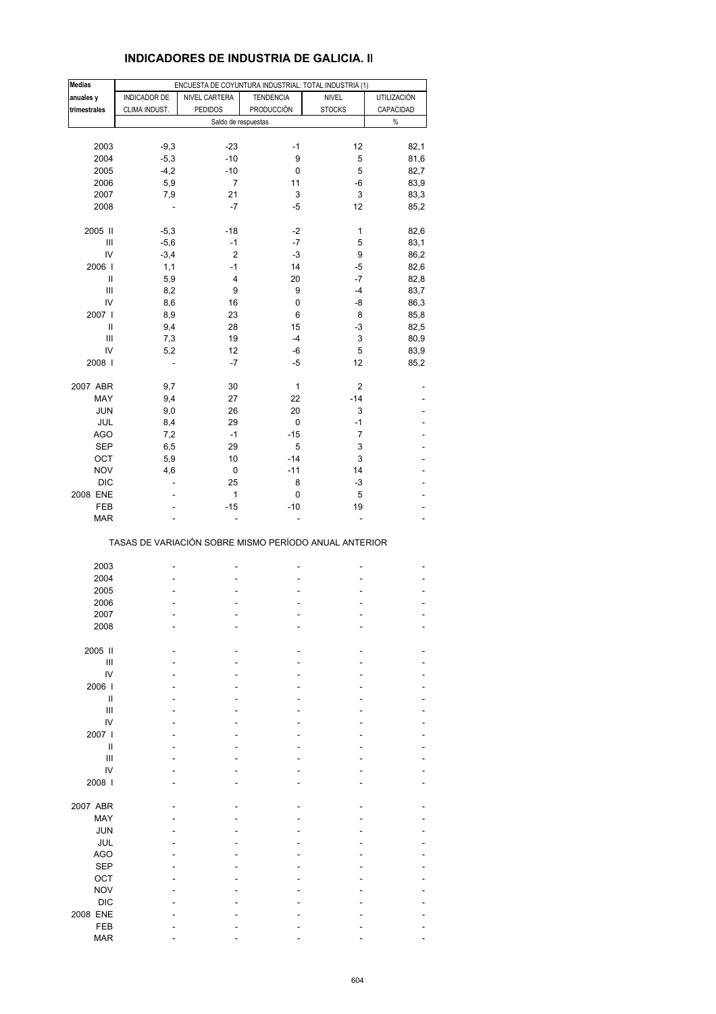| <b>INDICADORES DE INDUSTRIA DE GALICIA. II</b> |  |  |
|------------------------------------------------|--|--|
|------------------------------------------------|--|--|

| Medias       |                          | ENCUESTA DE COYUNTURA INDUSTRIAL: TOTAL INDUSTRIA (1) |                  |                |             |
|--------------|--------------------------|-------------------------------------------------------|------------------|----------------|-------------|
| anuales y    | INDICADOR DE             | NIVEL CARTERA                                         | <b>TENDENCIA</b> | <b>NIVEL</b>   | UTILIZACIÓN |
| trimestrales | CLIMA INDUST.            | <b>PEDIDOS</b>                                        | PRODUCCIÓN       | <b>STOCKS</b>  | CAPACIDAD   |
|              |                          | Saldo de respuestas                                   |                  |                | $\%$        |
|              |                          |                                                       |                  |                |             |
| 2003         | $-9,3$                   | $-23$                                                 | $-1$             | 12             | 82,1        |
|              |                          | $-10$                                                 | 9                |                |             |
| 2004         | $-5,3$                   |                                                       |                  | 5              | 81,6        |
| 2005         | $-4,2$                   | $-10$                                                 | 0                | 5              | 82,7        |
| 2006         | 5,9                      | 7                                                     | 11               | -6             | 83,9        |
| 2007         | 7,9                      | 21                                                    | 3                | 3              | 83,3        |
| 2008         |                          | -7                                                    | $-5$             | 12             | 85,2        |
|              |                          |                                                       |                  |                |             |
| 2005 II      | $-5,3$                   | $-18$                                                 | $-2$             | $\mathbf 1$    | 82,6        |
| Ш            | $-5,6$                   | $-1$                                                  | $-7$             | 5              | 83,1        |
| IV           | $-3,4$                   | $\overline{c}$                                        | $-3$             | 9              | 86,2        |
| 2006         | 1,1                      | $-1$                                                  | 14               | -5             | 82,6        |
| Ш            | 5,9                      | 4                                                     | 20               | -7             | 82,8        |
| Ш            | 8,2                      | 9                                                     | 9                | $-4$           | 83,7        |
| IV           | 8,6                      | 16                                                    | 0                | -8             | 86,3        |
| 2007 l       | 8,9                      | 23                                                    | 6                | 8              | 85,8        |
| Ш            | 9,4                      | 28                                                    | 15               | $-3$           | 82,5        |
| Ш            | 7,3                      | 19                                                    | $-4$             | 3              | 80,9        |
| IV           | 5,2                      | 12                                                    | -6               | 5              | 83,9        |
| 2008         | $\overline{\phantom{a}}$ | $-7$                                                  | $-5$             | 12             | 85,2        |
|              |                          |                                                       |                  |                |             |
| 2007 ABR     | 9,7                      | 30                                                    | $\mathbf{1}$     | 2              |             |
| MAY          | 9,4                      | 27                                                    | 22               | $-14$          |             |
| <b>JUN</b>   | 9,0                      | 26                                                    | 20               | 3              |             |
| JUL          | 8,4                      | 29                                                    | 0                | $-1$           |             |
| <b>AGO</b>   | 7,2                      | $-1$                                                  | $-15$            | $\overline{7}$ |             |
| SEP          | 6,5                      | 29                                                    | 5                | 3              |             |
| OCT          | 5,9                      | 10                                                    | $-14$            | 3              |             |
| <b>NOV</b>   | 4,6                      | 0                                                     | $-11$            | 14             |             |
| <b>DIC</b>   | L,                       | 25                                                    | 8                | $-3$           |             |
| 2008 ENE     |                          | 1                                                     | 0                | 5              |             |
| FEB          | Ĭ.                       | $-15$                                                 | $-10$            | 19             |             |
| <b>MAR</b>   |                          |                                                       |                  |                |             |
|              |                          |                                                       |                  |                |             |
|              |                          | TASAS DE VARIACIÓN SOBRE MISMO PERÍODO ANUAL ANTERIOR |                  |                |             |
|              |                          |                                                       |                  |                |             |
| 2003         |                          |                                                       |                  |                |             |
| 2004         |                          |                                                       |                  |                |             |
| 2005         |                          |                                                       |                  |                |             |
| 2006         |                          |                                                       |                  |                |             |
| 2007         |                          |                                                       |                  |                |             |
| 2008         |                          |                                                       |                  |                |             |
|              |                          |                                                       |                  |                |             |
| 2005 II      |                          |                                                       |                  |                |             |
| Ш            |                          |                                                       |                  |                |             |
| IV           |                          |                                                       |                  |                |             |
| 2006         |                          |                                                       |                  |                |             |
| Ш            |                          |                                                       |                  |                |             |
| III          |                          |                                                       |                  |                |             |
| IV           |                          |                                                       |                  |                |             |
| 2007 l       |                          |                                                       |                  |                |             |
| Ш            |                          |                                                       |                  |                |             |
| Ш            |                          |                                                       |                  |                |             |
| IV           |                          |                                                       |                  |                |             |
| 2008         |                          |                                                       |                  |                |             |
|              |                          |                                                       |                  |                |             |
| 2007 ABR     |                          |                                                       |                  |                |             |
| MAY          |                          |                                                       |                  |                |             |
| <b>JUN</b>   |                          |                                                       |                  |                |             |
| JUL          |                          |                                                       |                  |                |             |
|              |                          |                                                       |                  |                |             |
| <b>AGO</b>   |                          |                                                       |                  |                |             |
| <b>SEP</b>   |                          |                                                       |                  |                |             |
| OCT          |                          |                                                       |                  |                |             |
| <b>NOV</b>   |                          |                                                       |                  |                |             |
| <b>DIC</b>   |                          |                                                       |                  |                |             |
| 2008 ENE     |                          |                                                       |                  |                |             |
| FEB          |                          |                                                       |                  |                |             |
| <b>MAR</b>   |                          |                                                       |                  |                |             |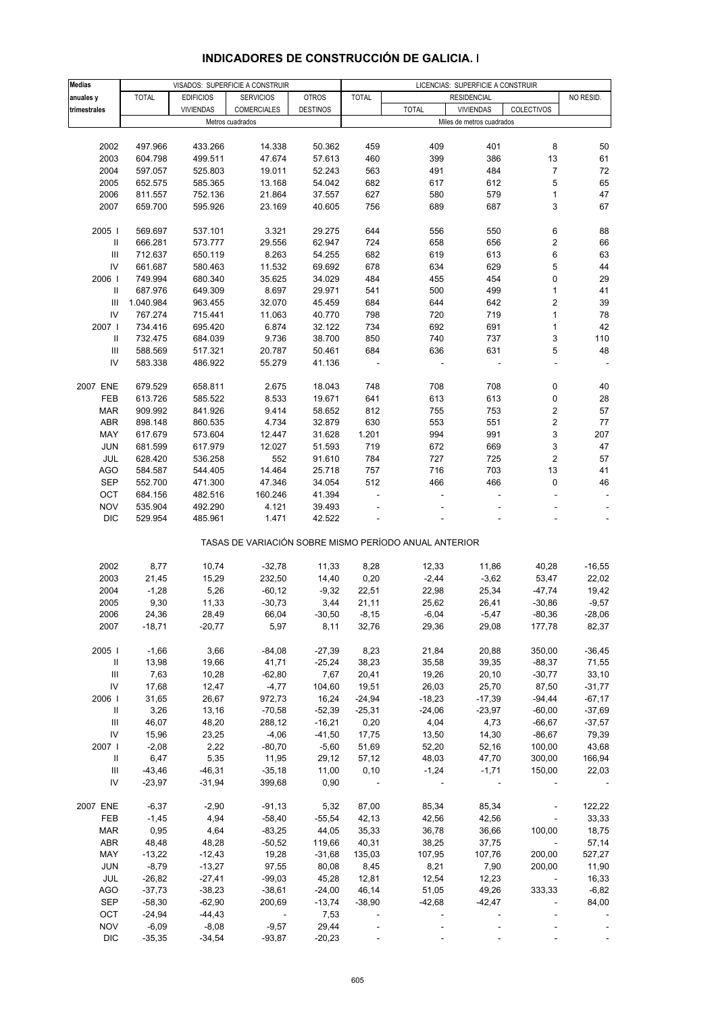| <b>Medias</b> |              | VISADOS: SUPERFICIE A CONSTRUIR |                          |                  |                          | LICENCIAS: SUPERFICIE A CONSTRUIR                     |                           |                          |           |
|---------------|--------------|---------------------------------|--------------------------|------------------|--------------------------|-------------------------------------------------------|---------------------------|--------------------------|-----------|
| anuales y     | <b>TOTAL</b> | <b>EDIFICIOS</b>                | <b>SERVICIOS</b>         | <b>OTROS</b>     | <b>TOTAL</b>             |                                                       | <b>RESIDENCIAL</b>        |                          | NO RESID. |
| trimestrales  |              | <b>VIVIENDAS</b>                | COMERCIALES              | <b>DESTINOS</b>  |                          | <b>TOTAL</b>                                          | <b>VIVIENDAS</b>          | COLECTIVOS               |           |
|               |              |                                 | Metros cuadrados         |                  |                          |                                                       | Miles de metros cuadrados |                          |           |
|               |              |                                 |                          |                  |                          |                                                       |                           |                          |           |
| 2002          | 497.966      | 433.266                         | 14.338                   | 50.362           | 459                      | 409                                                   | 401                       | 8                        | 50        |
| 2003          | 604.798      | 499.511                         | 47.674                   | 57.613           | 460                      | 399                                                   | 386                       | 13                       | 61        |
| 2004          | 597.057      | 525.803                         | 19.011                   | 52.243           | 563                      | 491                                                   | 484                       | 7                        | 72        |
| 2005          | 652.575      | 585.365                         | 13.168                   | 54.042           | 682                      | 617                                                   | 612                       | 5                        | 65        |
| 2006          | 811.557      | 752.136                         | 21.864                   | 37.557           | 627                      | 580                                                   | 579                       | 1                        | 47        |
| 2007          | 659.700      | 595.926                         | 23.169                   | 40.605           | 756                      | 689                                                   | 687                       | 3                        | 67        |
|               |              |                                 |                          |                  |                          |                                                       |                           |                          |           |
| 2005          | 569.697      | 537.101                         | 3.321                    | 29.275           | 644                      | 556                                                   | 550                       | 6                        | 88        |
| Ш             | 666.281      | 573.777                         | 29.556                   | 62.947           | 724                      | 658                                                   | 656                       | $\overline{\mathbf{c}}$  | 66        |
| Ш             | 712.637      | 650.119                         | 8.263                    | 54.255           | 682                      | 619                                                   | 613                       | 6                        | 63        |
| IV            | 661.687      | 580.463                         | 11.532                   | 69.692           | 678                      | 634                                                   | 629                       | 5                        | 44        |
| 2006          | 749.994      | 680.340                         | 35.625                   | 34.029           | 484                      | 455                                                   | 454                       | 0                        | 29        |
| Ш             | 687.976      | 649.309                         | 8.697                    | 29.971           | 541                      | 500                                                   | 499                       | 1                        | 41        |
| Ш             |              |                                 |                          |                  |                          |                                                       |                           | 2                        | 39        |
| IV            | 1.040.984    | 963.455                         | 32.070                   | 45.459<br>40.770 | 684                      | 644                                                   | 642                       |                          | 78        |
|               | 767.274      | 715.441                         | 11.063                   |                  | 798                      | 720                                                   | 719                       | $\mathbf{1}$             |           |
| 2007          | 734.416      | 695.420                         | 6.874                    | 32.122           | 734                      | 692                                                   | 691                       | 1                        | 42        |
| Ш             | 732.475      | 684.039                         | 9.736                    | 38.700           | 850                      | 740                                                   | 737                       | 3                        | 110       |
| Ш             | 588.569      | 517.321                         | 20.787                   | 50.461           | 684                      | 636                                                   | 631                       | 5                        | 48        |
| IV            | 583.338      | 486.922                         | 55.279                   | 41.136           |                          |                                                       |                           |                          |           |
|               |              |                                 |                          |                  |                          |                                                       |                           |                          |           |
| 2007 ENE      | 679.529      | 658.811                         | 2.675                    | 18.043           | 748                      | 708                                                   | 708                       | 0                        | 40        |
| FEB           | 613.726      | 585.522                         | 8.533                    | 19.671           | 641                      | 613                                                   | 613                       | 0                        | 28        |
| <b>MAR</b>    | 909.992      | 841.926                         | 9.414                    | 58.652           | 812                      | 755                                                   | 753                       | 2                        | 57        |
| ABR           | 898.148      | 860.535                         | 4.734                    | 32.879           | 630                      | 553                                                   | 551                       | 2                        | 77        |
| MAY           | 617.679      | 573.604                         | 12.447                   | 31.628           | 1.201                    | 994                                                   | 991                       | 3                        | 207       |
| <b>JUN</b>    | 681.599      | 617.979                         | 12.027                   | 51.593           | 719                      | 672                                                   | 669                       | 3                        | 47        |
| <b>JUL</b>    | 628.420      | 536.258                         | 552                      | 91.610           | 784                      | 727                                                   | 725                       | 2                        | 57        |
| AGO           | 584.587      | 544.405                         | 14.464                   | 25.718           | 757                      | 716                                                   | 703                       | 13                       | 41        |
| <b>SEP</b>    | 552.700      | 471.300                         | 47.346                   | 34.054           | 512                      | 466                                                   | 466                       | 0                        | 46        |
| OCT           | 684.156      | 482.516                         | 160.246                  | 41.394           |                          |                                                       |                           |                          |           |
| <b>NOV</b>    | 535.904      | 492.290                         | 4.121                    | 39.493           |                          |                                                       |                           |                          |           |
| <b>DIC</b>    | 529.954      | 485.961                         | 1.471                    | 42.522           |                          |                                                       |                           |                          |           |
|               |              |                                 |                          |                  |                          |                                                       |                           |                          |           |
|               |              |                                 |                          |                  |                          | TASAS DE VARIACIÓN SOBRE MISMO PERÍODO ANUAL ANTERIOR |                           |                          |           |
|               |              |                                 |                          |                  |                          |                                                       |                           |                          |           |
| 2002          | 8,77         | 10,74                           | $-32,78$                 | 11,33            | 8,28                     | 12,33                                                 | 11,86                     | 40,28                    | $-16,55$  |
| 2003          | 21,45        | 15,29                           | 232,50                   | 14,40            | 0,20                     | $-2,44$                                               | $-3,62$                   | 53,47                    | 22,02     |
| 2004          | $-1,28$      | 5,26                            | $-60, 12$                | $-9,32$          | 22,51                    | 22,98                                                 | 25,34                     | -47,74                   | 19,42     |
| 2005          | 9,30         | 11,33                           | $-30,73$                 | 3,44             | 21,11                    | 25,62                                                 | 26,41                     | $-30,86$                 | $-9,57$   |
| 2006          | 24,36        | 28,49                           | 66,04                    | $-30,50$         | $-8,15$                  | $-6,04$                                               | $-5,47$                   | -80,36                   | $-28.06$  |
| 2007          | $-18,71$     | $-20,77$                        | 5,97                     | 8,11             | 32,76                    | 29,36                                                 | 29,08                     | 177,78                   | 82,37     |
|               |              |                                 |                          |                  |                          |                                                       |                           |                          |           |
| 2005          | $-1,66$      | 3,66                            | $-84,08$                 | $-27,39$         | 8,23                     | 21,84                                                 | 20,88                     | 350,00                   | $-36,45$  |
| Ш             | 13,98        | 19,66                           | 41,71                    | $-25,24$         | 38,23                    | 35,58                                                 | 39,35                     | $-88,37$                 | 71,55     |
| Ш             | 7,63         | 10,28                           | $-62,80$                 | 7,67             | 20,41                    | 19,26                                                 | 20,10                     | $-30,77$                 | 33,10     |
| ${\sf IV}$    | 17,68        | 12,47                           | $-4,77$                  | 104,60           | 19,51                    | 26,03                                                 | 25,70                     | 87,50                    | $-31,77$  |
| 2006          | 31,65        | 26,67                           | 972,73                   | 16,24            | $-24,94$                 | $-18,23$                                              | $-17,39$                  | $-94,44$                 | $-67,17$  |
| $\mathbf{H}$  | 3,26         | 13,16                           | $-70,58$                 | $-52,39$         | $-25,31$                 | $-24,06$                                              | $-23,97$                  | $-60,00$                 | $-37,69$  |
| Ш             | 46,07        | 48,20                           | 288,12                   | $-16,21$         | 0,20                     | 4,04                                                  | 4,73                      | $-66,67$                 | $-37,57$  |
| ${\sf IV}$    | 15,96        | 23,25                           | $-4,06$                  | $-41,50$         | 17,75                    | 13,50                                                 | 14,30                     | $-86,67$                 | 79,39     |
| 2007          | $-2,08$      | 2,22                            | $-80,70$                 | $-5,60$          | 51,69                    | 52,20                                                 | 52,16                     | 100,00                   | 43,68     |
| $\mathbf{II}$ | 6,47         | 5,35                            | 11,95                    | 29,12            | 57,12                    | 48,03                                                 | 47,70                     | 300,00                   | 166,94    |
| Ш             | $-43,46$     | $-46,31$                        | $-35,18$                 | 11,00            | 0,10                     | $-1,24$                                               | $-1,71$                   | 150,00                   | 22,03     |
| IV            | $-23,97$     | $-31,94$                        | 399,68                   | 0,90             | $\overline{\phantom{a}}$ |                                                       |                           |                          |           |
| 2007 ENE      | $-6,37$      | $-2,90$                         | $-91,13$                 | 5,32             | 87,00                    | 85,34                                                 | 85,34                     |                          | 122,22    |
| FEB           | $-1,45$      | 4,94                            | $-58,40$                 | $-55,54$         | 42,13                    | 42,56                                                 | 42,56                     | $\blacksquare$           | 33,33     |
|               |              |                                 |                          |                  |                          |                                                       |                           |                          |           |
| <b>MAR</b>    | 0,95         | 4,64                            | $-83,25$                 | 44,05            | 35,33                    | 36,78                                                 | 36,66                     | 100,00                   | 18,75     |
| ABR           | 48,48        | 48,28                           | $-50,52$                 | 119,66           | 40,31                    | 38,25                                                 | 37,75                     | $\overline{\phantom{a}}$ | 57,14     |
| MAY           | $-13,22$     | $-12,43$                        | 19,28                    | $-31,68$         | 135,03                   | 107,95                                                | 107,76                    | 200,00                   | 527,27    |
| JUN           | $-8,79$      | $-13,27$                        | 97,55                    | 80,08            | 8,45                     | 8,21                                                  | 7,90                      | 200,00                   | 11,90     |
| JUL           | $-26,82$     | $-27,41$                        | $-99,03$                 | 45,28            | 12,81                    | 12,54                                                 | 12,23                     | $\sim$                   | 16,33     |
| <b>AGO</b>    | $-37,73$     | $-38,23$                        | $-38,61$                 | $-24,00$         | 46,14                    | 51,05                                                 | 49,26                     | 333,33                   | $-6,82$   |
| SEP           | $-58,30$     | $-62,90$                        | 200,69                   | $-13,74$         | $-38,90$                 | $-42,68$                                              | $-42,47$                  |                          | 84,00     |
| OCT           | $-24,94$     | $-44,43$                        | $\overline{\phantom{a}}$ | 7,53             |                          |                                                       |                           |                          |           |
| <b>NOV</b>    | $-6,09$      | $-8,08$                         | $-9,57$                  | 29,44            |                          |                                                       |                           |                          |           |
| <b>DIC</b>    | $-35,35$     | $-34,54$                        | $-93,87$                 | $-20,23$         |                          |                                                       |                           |                          |           |

# **INDICADORES DE CONSTRUCCIÓN DE GALICIA. I**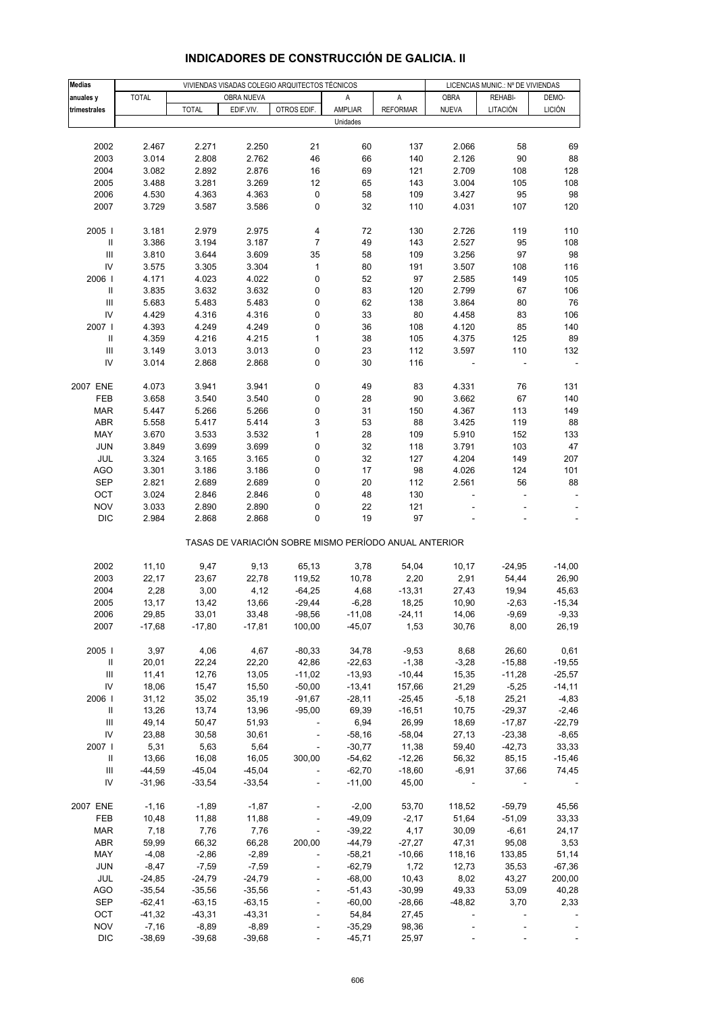| <b>Medias</b>                      |                     |                     |                     | VIVIENDAS VISADAS COLEGIO ARQUITECTOS TÉCNICOS        |                      |                 | LICENCIAS MUNIC.: Nº DE VIVIENDAS |                |                    |
|------------------------------------|---------------------|---------------------|---------------------|-------------------------------------------------------|----------------------|-----------------|-----------------------------------|----------------|--------------------|
| anuales y                          | <b>TOTAL</b>        |                     | OBRA NUEVA          |                                                       | Α                    | А               | OBRA                              | REHABI-        | DEMO-              |
| trimestrales                       |                     | <b>TOTAL</b>        | EDIF.VIV.           | OTROS EDIF.                                           | AMPLIAR              | <b>REFORMAR</b> | <b>NUEVA</b>                      | LITACIÓN       | <b>LICIÓN</b>      |
|                                    |                     |                     |                     |                                                       | Unidades             |                 |                                   |                |                    |
|                                    |                     |                     |                     |                                                       |                      |                 |                                   |                |                    |
| 2002                               | 2.467               | 2.271               | 2.250               | 21                                                    | 60                   | 137             | 2.066                             | 58             | 69                 |
| 2003                               | 3.014               | 2.808               | 2.762               | 46                                                    | 66                   | 140             | 2.126                             | 90             | 88                 |
| 2004                               | 3.082               | 2.892               | 2.876               | 16                                                    | 69                   | 121             | 2.709                             | 108            | 128                |
| 2005<br>2006                       | 3.488               | 3.281<br>4.363      | 3.269<br>4.363      | 12                                                    | 65                   | 143<br>109      | 3.004<br>3.427                    | 105<br>95      | 108<br>98          |
| 2007                               | 4.530<br>3.729      | 3.587               | 3.586               | $\pmb{0}$<br>0                                        | 58<br>32             | 110             | 4.031                             | 107            | 120                |
|                                    |                     |                     |                     |                                                       |                      |                 |                                   |                |                    |
| 2005                               | 3.181               | 2.979               | 2.975               | 4                                                     | 72                   | 130             | 2.726                             | 119            | 110                |
|                                    | 3.386               | 3.194               | 3.187               | 7                                                     | 49                   | 143             | 2.527                             | 95             | 108                |
| $\ensuremath{\mathsf{III}}\xspace$ | 3.810               | 3.644               | 3.609               | 35                                                    | 58                   | 109             | 3.256                             | 97             | 98                 |
| IV                                 | 3.575               | 3.305               | 3.304               | $\mathbf{1}$                                          | 80                   | 191             | 3.507                             | 108            | 116                |
| 2006                               | 4.171               | 4.023               | 4.022               | 0                                                     | 52                   | 97              | 2.585                             | 149            | 105                |
| Ш                                  | 3.835               | 3.632               | 3.632               | 0                                                     | 83                   | 120             | 2.799                             | 67             | 106                |
| $\ensuremath{\mathsf{III}}\xspace$ | 5.683               | 5.483               | 5.483               | 0                                                     | 62                   | 138             | 3.864                             | 80             | 76                 |
| IV                                 | 4.429               | 4.316               | 4.316               | 0                                                     | 33                   | 80              | 4.458                             | 83             | 106                |
| 2007                               | 4.393               | 4.249               | 4.249               | 0                                                     | 36                   | 108             | 4.120                             | 85             | 140                |
|                                    | 4.359               | 4.216               | 4.215               | 1                                                     | 38                   | 105             | 4.375                             | 125            | 89                 |
| Ш                                  | 3.149               | 3.013               | 3.013               | 0                                                     | 23                   | 112             | 3.597                             | 110            | 132                |
| IV                                 | 3.014               | 2.868               | 2.868               | 0                                                     | 30                   | 116             |                                   |                | $\blacksquare$     |
| 2007 ENE                           | 4.073               | 3.941               | 3.941               | 0                                                     | 49                   | 83              | 4.331                             | 76             | 131                |
| FEB                                | 3.658               | 3.540               | 3.540               | 0                                                     | 28                   | 90              | 3.662                             | 67             | 140                |
| MAR                                | 5.447               | 5.266               | 5.266               | 0                                                     | 31                   | 150             | 4.367                             | 113            | 149                |
| <b>ABR</b>                         | 5.558               | 5.417               | 5.414               | 3                                                     | 53                   | 88              | 3.425                             | 119            | 88                 |
| MAY                                | 3.670               | 3.533               | 3.532               | $\mathbf{1}$                                          | 28                   | 109             | 5.910                             | 152            | 133                |
| <b>JUN</b>                         | 3.849               | 3.699               | 3.699               | 0                                                     | 32                   | 118             | 3.791                             | 103            | 47                 |
| JUL                                | 3.324               | 3.165               | 3.165               | 0                                                     | 32                   | 127             | 4.204                             | 149            | 207                |
| <b>AGO</b>                         | 3.301               | 3.186               | 3.186               | 0                                                     | 17                   | 98              | 4.026                             | 124            | 101                |
| <b>SEP</b>                         | 2.821               | 2.689               | 2.689               | 0                                                     | 20                   | 112             | 2.561                             | 56             | 88                 |
| OCT                                | 3.024               | 2.846               | 2.846               | 0                                                     | 48                   | 130             |                                   |                |                    |
| <b>NOV</b>                         | 3.033               | 2.890               | 2.890               | 0                                                     | 22                   | 121             |                                   |                |                    |
| <b>DIC</b>                         | 2.984               | 2.868               | 2.868               | 0                                                     | 19                   | 97              |                                   |                |                    |
|                                    |                     |                     |                     | TASAS DE VARIACIÓN SOBRE MISMO PERÍODO ANUAL ANTERIOR |                      |                 |                                   |                |                    |
| 2002                               | 11,10               | 9,47                | 9,13                | 65,13                                                 | 3,78                 | 54,04           | 10,17                             | $-24,95$       | $-14,00$           |
| 2003                               | 22,17               | 23,67               | 22,78               | 119,52                                                | 10,78                | 2,20            | 2,91                              | 54,44          | 26,90              |
| 2004                               | 2,28                | 3,00                | 4,12                | $-64,25$                                              | 4,68                 | $-13,31$        | 27,43                             | 19,94          | 45,63              |
| 2005                               | 13,17               | 13,42               | 13,66               | $-29,44$                                              | $-6,28$              | 18,25           | 10,90                             | $-2,63$        | $-15,34$           |
| 2006                               | 29,85               | 33,01               | 33,48               | $-98,56$                                              | $-11,08$             | $-24,11$        | 14,06                             | $-9,69$        | $-9,33$            |
| 2007                               | $-17,68$            | $-17,80$            | $-17,81$            | 100,00                                                | -45,07               | 1,53            | 30,76                             | 8,00           | 26,19              |
| 2005                               | 3,97                | 4,06                | 4,67                | $-80,33$                                              | 34,78                | $-9,53$         | 8,68                              | 26,60          | 0,61               |
| Ш                                  | 20,01               | 22,24               | 22,20               | 42,86                                                 | $-22,63$             | $-1,38$         | $-3,28$                           | $-15,88$       | $-19,55$           |
| $\ensuremath{\mathsf{III}}\xspace$ | 11,41               | 12,76               | 13,05               | $-11,02$                                              | $-13,93$             | $-10,44$        | 15,35                             | $-11,28$       | $-25,57$           |
| IV                                 | 18,06               | 15,47               | 15,50               | $-50,00$                                              | $-13,41$             | 157,66          | 21,29                             | $-5,25$        | $-14,11$           |
| 2006                               | 31,12               | 35,02               | 35,19               | $-91,67$                                              | $-28,11$             | $-25,45$        | $-5,18$                           | 25,21          | $-4,83$            |
| $\mathbf{H}$                       | 13,26               | 13,74               | 13,96               | $-95,00$                                              | 69,39                | $-16,51$        | 10,75                             | $-29,37$       | $-2,46$            |
| Ш                                  | 49,14               | 50,47               | 51,93               | $\sim 100$                                            | 6,94                 | 26,99           | 18,69                             | $-17,87$       | $-22,79$           |
| IV                                 | 23,88               | 30,58               | 30,61               | $\sim$                                                | $-58,16$             | $-58,04$        | 27,13                             | $-23,38$       | $-8,65$            |
| 2007                               | 5,31                | 5,63                | 5,64                | $\sim$ $\sim$                                         | $-30,77$             | 11,38           | 59,40                             | $-42,73$       | 33,33              |
| Ш                                  | 13,66               | 16,08               | 16,05               | 300,00                                                | $-54,62$             | $-12,26$        | 56,32                             | 85,15          | $-15,46$           |
| Ш                                  | $-44,59$            | $-45,04$            | $-45,04$            | $\Box$                                                | $-62,70$             | $-18,60$        | $-6,91$                           | 37,66          | 74,45              |
| IV                                 | $-31,96$            | $-33,54$            | $-33,54$            | $\overline{\phantom{a}}$                              | $-11,00$             | 45,00           | $\sim$                            |                |                    |
| 2007 ENE                           | $-1,16$             | $-1,89$             | $-1,87$             | $\blacksquare$                                        | $-2,00$              | 53,70           | 118,52                            | $-59,79$       | 45,56              |
| FEB                                | 10,48               | 11,88               | 11,88               | $\Box$                                                | $-49,09$             | $-2,17$         | 51,64                             | $-51,09$       | 33,33              |
| <b>MAR</b>                         | 7,18                | 7,76                | 7,76                | $\blacksquare$                                        | $-39,22$             | 4,17            | 30,09                             | $-6,61$        | 24,17              |
| ABR                                | 59,99               | 66,32               | 66,28               | 200,00                                                | $-44,79$             | $-27,27$        | 47,31                             | 95,08          | 3,53               |
| MAY                                | $-4,08$             | $-2,86$             | $-2,89$             | $\blacksquare$                                        | $-58,21$             | $-10,66$        | 118,16                            | 133,85         | 51,14              |
| <b>JUN</b><br><b>JUL</b>           | $-8,47$<br>$-24,85$ | $-7,59$<br>$-24,79$ | $-7,59$<br>$-24,79$ | $\Box$                                                | $-62,79$<br>$-68,00$ | 1,72<br>10,43   | 12,73<br>8,02                     | 35,53<br>43,27 | $-67,36$<br>200,00 |
| <b>AGO</b>                         | $-35,54$            | $-35,56$            | $-35,56$            | ÷,                                                    | $-51,43$             | $-30,99$        | 49,33                             | 53,09          | 40,28              |
| <b>SEP</b>                         | $-62,41$            | $-63,15$            | $-63,15$            | $\Box$                                                | $-60,00$             | $-28,66$        | $-48,82$                          | 3,70           | 2,33               |
| OCT                                | $-41,32$            | $-43,31$            | $-43,31$            |                                                       | 54,84                | 27,45           |                                   |                |                    |
| <b>NOV</b>                         | $-7,16$             | $-8,89$             | $-8,89$             | ÷,                                                    | $-35,29$             | 98,36           |                                   |                |                    |
| <b>DIC</b>                         | $-38,69$            | $-39,68$            | $-39,68$            | $\overline{\phantom{a}}$                              | $-45,71$             | 25,97           |                                   |                |                    |

# **INDICADORES DE CONSTRUCCIÓN DE GALICIA. II**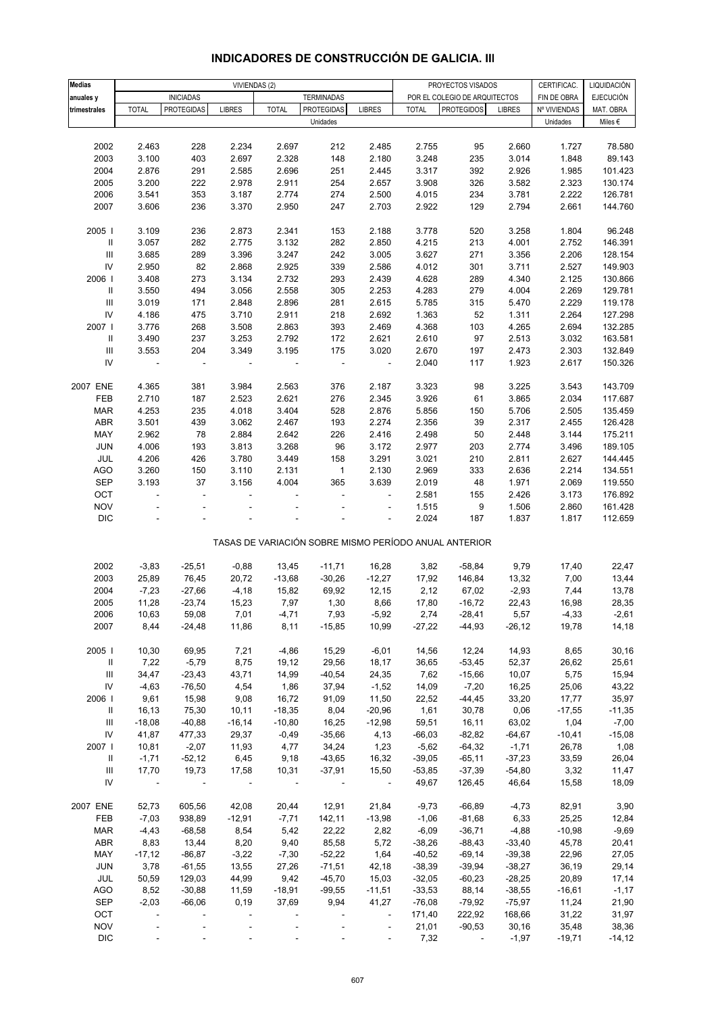| <b>Medias</b>                      | VIVIENDAS (2)            |                   |                          |                          | PROYECTOS VISADOS<br>CERTIFICAC. |                          |               |                                                       | LIQUIDACIÓN     |                |                  |
|------------------------------------|--------------------------|-------------------|--------------------------|--------------------------|----------------------------------|--------------------------|---------------|-------------------------------------------------------|-----------------|----------------|------------------|
| anuales y                          |                          | <b>INICIADAS</b>  |                          |                          | <b>TERMINADAS</b>                |                          |               | POR EL COLEGIO DE ARQUITECTOS                         |                 | FIN DE OBRA    | <b>EJECUCIÓN</b> |
| trimestrales                       | <b>TOTAL</b>             | <b>PROTEGIDAS</b> | <b>LIBRES</b>            | <b>TOTAL</b>             | PROTEGIDAS                       | <b>LIBRES</b>            | <b>TOTAL</b>  | <b>PROTEGIDOS</b>                                     | <b>LIBRES</b>   | Nº VIVIENDAS   | MAT. OBRA        |
|                                    |                          |                   |                          |                          | Unidades                         |                          |               |                                                       |                 | Unidades       | Miles $\epsilon$ |
|                                    |                          |                   |                          |                          |                                  |                          |               |                                                       |                 |                |                  |
| 2002                               | 2.463                    | 228               | 2.234                    | 2.697                    | 212                              | 2.485                    | 2.755         | 95                                                    | 2.660           | 1.727          | 78.580           |
| 2003                               | 3.100                    | 403               | 2.697                    | 2.328                    | 148                              | 2.180                    | 3.248         | 235                                                   | 3.014           | 1.848          | 89.143           |
| 2004                               | 2.876                    | 291               | 2.585                    | 2.696                    | 251                              | 2.445                    | 3.317         | 392                                                   | 2.926           | 1.985          | 101.423          |
| 2005                               | 3.200                    | 222               | 2.978                    | 2.911                    | 254                              | 2.657                    | 3.908         | 326                                                   | 3.582           | 2.323          | 130.174          |
| 2006                               | 3.541                    | 353               | 3.187                    | 2.774                    | 274                              | 2.500                    | 4.015         | 234                                                   | 3.781           | 2.222          | 126.781          |
| 2007                               | 3.606                    | 236               | 3.370                    | 2.950                    | 247                              | 2.703                    | 2.922         | 129                                                   | 2.794           | 2.661          | 144.760          |
|                                    |                          |                   |                          |                          |                                  |                          |               |                                                       |                 |                |                  |
| 2005 l                             | 3.109                    | 236               | 2.873                    | 2.341                    | 153                              | 2.188                    | 3.778         | 520                                                   | 3.258           | 1.804          | 96.248           |
| $\mathbf{II}$                      | 3.057                    | 282               | 2.775                    | 3.132                    | 282                              | 2.850                    | 4.215         | 213                                                   | 4.001           | 2.752          | 146.391          |
| $\ensuremath{\mathsf{III}}\xspace$ | 3.685                    | 289               | 3.396                    | 3.247                    | 242                              | 3.005                    | 3.627         | 271                                                   | 3.356           | 2.206          | 128.154          |
| ${\sf IV}$                         | 2.950                    | 82                | 2.868                    | 2.925                    | 339                              | 2.586                    | 4.012         | 301                                                   | 3.711           | 2.527          | 149.903          |
| 2006                               | 3.408                    | 273               | 3.134                    | 2.732                    | 293                              | 2.439                    | 4.628         | 289                                                   | 4.340           | 2.125          | 130.866          |
| $\ensuremath{\mathsf{II}}$         | 3.550                    | 494               | 3.056                    | 2.558                    | 305                              | 2.253                    | 4.283         | 279                                                   | 4.004           | 2.269          | 129.781          |
| $\ensuremath{\mathsf{III}}\xspace$ | 3.019                    | 171               | 2.848                    | 2.896                    | 281                              | 2.615                    | 5.785         | 315                                                   | 5.470           | 2.229          | 119.178          |
| IV                                 | 4.186                    | 475               | 3.710                    | 2.911                    | 218                              | 2.692                    | 1.363         | 52                                                    | 1.311           | 2.264          | 127.298          |
| 2007                               | 3.776                    | 268               | 3.508                    | 2.863                    | 393                              | 2.469                    | 4.368         | 103                                                   | 4.265           | 2.694          | 132.285          |
| Ш                                  | 3.490                    | 237               | 3.253                    | 2.792                    | 172                              | 2.621                    | 2.610         | 97                                                    | 2.513           | 3.032          | 163.581          |
| $\ensuremath{\mathsf{III}}\xspace$ | 3.553                    | 204               | 3.349                    | 3.195                    | 175                              | 3.020                    | 2.670         | 197                                                   | 2.473           | 2.303          | 132.849          |
| IV                                 |                          | ÷,                |                          |                          |                                  | $\overline{\phantom{a}}$ | 2.040         | 117                                                   | 1.923           | 2.617          | 150.326          |
|                                    |                          |                   |                          |                          |                                  |                          |               |                                                       |                 |                |                  |
| 2007 ENE                           | 4.365                    | 381               | 3.984                    | 2.563                    | 376                              | 2.187                    | 3.323         | 98                                                    | 3.225           | 3.543          | 143.709          |
| FEB                                | 2.710                    | 187               | 2.523                    | 2.621                    | 276                              | 2.345                    | 3.926         | 61                                                    | 3.865           | 2.034          | 117.687          |
| <b>MAR</b>                         | 4.253                    | 235               | 4.018                    | 3.404                    | 528                              | 2.876                    | 5.856         | 150                                                   | 5.706           | 2.505          | 135.459          |
| ABR                                | 3.501                    | 439               | 3.062                    | 2.467                    | 193                              | 2.274                    | 2.356         | 39                                                    | 2.317           | 2.455          | 126.428          |
| MAY                                | 2.962                    | 78                | 2.884                    | 2.642                    | 226                              | 2.416                    | 2.498         | 50                                                    | 2.448           | 3.144          | 175.211          |
| <b>JUN</b>                         | 4.006                    | 193               | 3.813                    | 3.268                    | 96                               | 3.172                    | 2.977         | 203                                                   | 2.774           | 3.496          | 189.105          |
| JUL                                | 4.206                    | 426               | 3.780                    | 3.449                    | 158                              | 3.291                    | 3.021         | 210                                                   | 2.811           | 2.627          | 144.445          |
| <b>AGO</b>                         | 3.260                    | 150               | 3.110                    | 2.131                    | $\mathbf{1}$                     | 2.130                    | 2.969         | 333                                                   | 2.636           | 2.214          | 134.551          |
| <b>SEP</b>                         | 3.193                    | 37                | 3.156                    | 4.004                    | 365                              | 3.639                    | 2.019         | 48                                                    | 1.971           | 2.069          | 119.550          |
| OCT                                | $\Box$                   | ÷,                | $\overline{\phantom{a}}$ | $\overline{\phantom{a}}$ | ÷,                               | $\Box$                   | 2.581         | 155                                                   | 2.426           | 3.173          | 176.892          |
| <b>NOV</b>                         |                          |                   |                          |                          |                                  |                          | 1.515         | 9                                                     | 1.506           | 2.860          | 161.428          |
| $\mathsf{DIC}$                     |                          |                   |                          |                          |                                  | ÷                        | 2.024         | 187                                                   | 1.837           | 1.817          | 112.659          |
|                                    |                          |                   |                          |                          |                                  |                          |               | TASAS DE VARIACIÓN SOBRE MISMO PERÍODO ANUAL ANTERIOR |                 |                |                  |
|                                    |                          |                   |                          |                          |                                  |                          |               |                                                       |                 |                |                  |
| 2002                               | $-3,83$                  | $-25,51$          | $-0,88$                  | 13,45                    | $-11,71$                         | 16,28                    | 3,82          | $-58,84$                                              | 9,79            | 17,40          | 22,47            |
| 2003                               | 25,89                    | 76,45             | 20,72                    | $-13,68$                 | $-30,26$                         | $-12,27$                 | 17,92         | 146,84                                                | 13,32           | 7,00           | 13,44            |
| 2004                               | $-7,23$                  | $-27,66$          | $-4,18$                  | 15,82                    | 69,92                            | 12,15                    | 2,12          | 67,02                                                 | $-2,93$         | 7,44           | 13,78            |
| 2005                               | 11,28                    | $-23,74$          | 15,23                    | 7,97                     | 1,30                             | 8,66                     | 17,80         | $-16,72$                                              | 22,43           | 16,98          | 28,35            |
| 2006                               | 10,63                    | 59,08             | 7,01                     | -4,71                    | 7,93                             | -5,92                    | 2,74          | -28,41                                                | 5,57            | -4,33          | $-2,61$          |
| 2007                               | 8,44                     | $-24,48$          | 11,86                    | 8,11                     | $-15,85$                         | 10,99                    | $-27,22$      | $-44,93$                                              | $-26, 12$       | 19,78          | 14,18            |
|                                    |                          |                   |                          |                          |                                  |                          |               |                                                       |                 |                |                  |
| 2005                               | 10,30                    | 69,95             | 7,21                     | $-4,86$                  | 15,29                            | $-6,01$                  | 14,56         | 12,24                                                 | 14,93           | 8,65           | 30, 16           |
| $\mathbf{H}$                       | 7,22                     | $-5,79$           | 8,75                     | 19,12                    | 29,56                            | 18,17                    | 36,65         | $-53,45$                                              | 52,37           | 26,62          | 25,61            |
| $\ensuremath{\mathsf{III}}\xspace$ | 34,47                    | $-23,43$          | 43,71                    | 14,99                    | $-40,54$                         | 24,35                    | 7,62          | $-15,66$                                              | 10,07           | 5,75           | 15,94            |
| ${\sf IV}$                         | $-4,63$                  | $-76,50$          | 4,54                     | 1,86                     | 37,94                            | $-1,52$                  | 14,09         | $-7,20$                                               | 16,25           | 25,06          | 43,22            |
| 2006                               | 9,61                     | 15,98             | 9,08                     | 16,72                    | 91,09                            | 11,50                    | 22,52         | $-44,45$                                              | 33,20           | 17,77          | 35,97            |
| Ш                                  | 16,13                    | 75,30             | 10, 11                   | $-18,35$                 | 8,04                             | $-20,96$                 | 1,61          | 30,78                                                 | 0,06            | $-17,55$       | $-11,35$         |
| $\ensuremath{\mathsf{III}}\xspace$ | $-18,08$                 | $-40,88$          | $-16,14$                 | $-10,80$                 | 16,25                            | $-12,98$                 | 59,51         | 16,11                                                 | 63,02           | 1,04           | $-7,00$          |
| ${\sf IV}$                         | 41,87                    | 477,33            | 29,37                    | $-0,49$                  | $-35,66$                         | 4,13                     | $-66,03$      | $-82,82$                                              | $-64,67$        | $-10,41$       | $-15,08$         |
| 2007 l                             | 10,81                    | $-2,07$           | 11,93                    | 4,77                     | 34,24                            | 1,23                     | $-5,62$       | $-64,32$                                              | $-1,71$         | 26,78          | 1,08             |
| Ш                                  | $-1,71$                  | $-52,12$          | 6,45                     | 9,18                     | $-43,65$                         | 16,32                    | $-39,05$      | $-65,11$                                              | $-37,23$        | 33,59          | 26,04            |
| $\ensuremath{\mathsf{III}}\xspace$ | 17,70                    | 19,73             | 17,58                    | 10,31                    | $-37,91$                         | 15,50                    | $-53,85$      | $-37,39$                                              | $-54,80$        | 3,32           | 11,47            |
| IV                                 | $\overline{\phantom{a}}$ | $\blacksquare$    | $\overline{\phantom{a}}$ | $\overline{\phantom{a}}$ | $\overline{\phantom{a}}$         | $\overline{\phantom{a}}$ | 49,67         | 126,45                                                | 46,64           | 15,58          | 18,09            |
|                                    |                          |                   |                          |                          |                                  |                          |               |                                                       |                 |                |                  |
| 2007 ENE                           | 52,73                    | 605,56            | 42,08                    | 20,44                    | 12,91                            | 21,84                    | $-9,73$       | $-66,89$                                              | $-4,73$         | 82,91          | 3,90             |
| FEB                                | $-7,03$                  | 938,89            | $-12,91$                 | $-7,71$                  | 142,11                           | $-13,98$                 | $-1,06$       | $-81,68$                                              | 6,33            | 25,25          | 12,84            |
| <b>MAR</b>                         | $-4,43$                  | $-68,58$          | 8,54                     | 5,42                     | 22,22                            | 2,82                     | $-6,09$       | $-36,71$                                              | $-4,88$         | $-10,98$       | $-9,69$          |
| ABR                                | 8,83                     | 13,44             | 8,20                     | 9,40                     | 85,58                            | 5,72                     | $-38,26$      | $-88,43$                                              | $-33,40$        | 45,78          | 20,41            |
| MAY                                | $-17,12$                 | $-86, 87$         | $-3,22$                  | $-7,30$                  | $-52,22$                         | 1,64                     | $-40,52$      | $-69,14$                                              | $-39,38$        | 22,96          | 27,05            |
| JUN                                | 3,78                     | $-61,55$          | 13,55                    | 27,26                    | $-71,51$                         | 42,18                    | $-38,39$      | $-39,94$                                              | $-38,27$        | 36,19          | 29,14            |
| JUL                                | 50,59                    | 129,03            | 44,99                    | 9,42                     | $-45,70$                         | 15,03                    | $-32,05$      | $-60,23$                                              | $-28,25$        | 20,89          | 17,14            |
| AGO                                | 8,52                     | $-30,88$          | 11,59                    | $-18,91$                 | $-99,55$                         | $-11,51$                 | $-33,53$      | 88,14                                                 | $-38,55$        | $-16,61$       | $-1,17$          |
| SEP                                | $-2,03$                  | $-66,06$          | 0, 19                    | 37,69                    | 9,94                             | 41,27                    | $-76,08$      | $-79,92$                                              | $-75,97$        | 11,24          | 21,90            |
| OCT<br><b>NOV</b>                  | $\blacksquare$           |                   | $\overline{\phantom{a}}$ |                          |                                  | $\overline{\phantom{a}}$ | 171,40        | 222,92<br>$-90,53$                                    | 168,66<br>30,16 | 31,22<br>35,48 | 31,97<br>38,36   |
| $\mathsf{DIC}$                     |                          |                   |                          |                          |                                  | $\overline{\phantom{a}}$ | 21,01<br>7,32 | $\overline{\phantom{a}}$                              | $-1,97$         | $-19,71$       | $-14, 12$        |
|                                    |                          |                   |                          |                          |                                  |                          |               |                                                       |                 |                |                  |

## **INDICADORES DE CONSTRUCCIÓN DE GALICIA. III**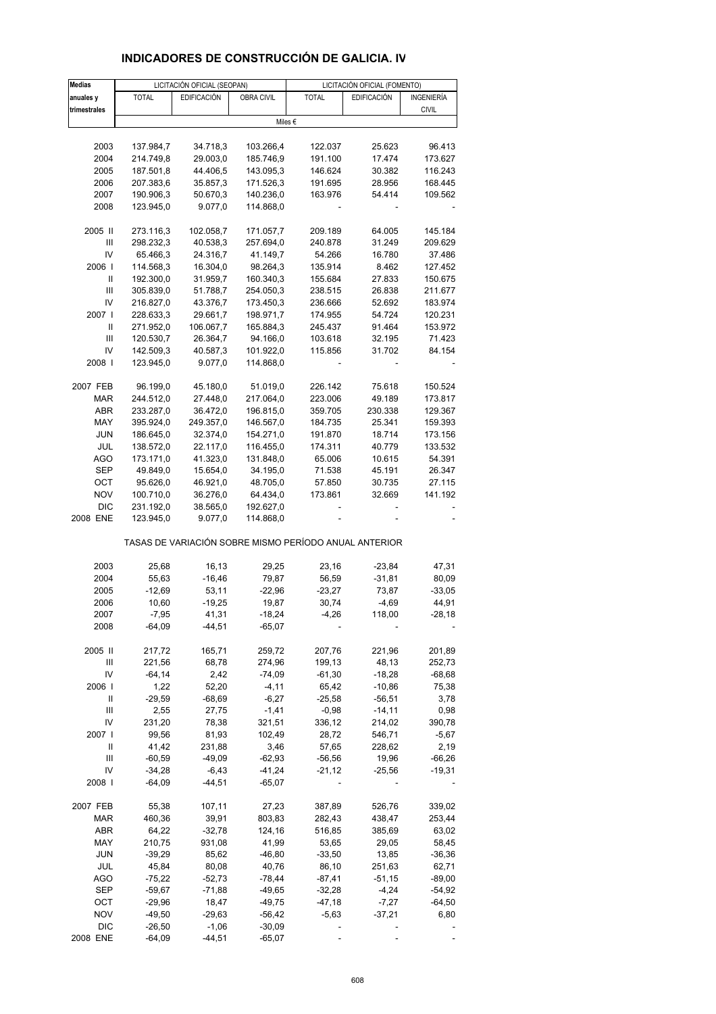#### **Medias** LICITACIÓN OFICIAL (SEOPAN) LICITACIÓN OFICIAL (FOMENTO) **anuales y** TOTAL EDIFICACIÓN OBRA CIVIL TOTAL EDIFICACIÓN INGENIERÍA trimestrales **discussed and the civility of the civil contract of the civil civil civil civil civil civil civil** 2003 137.984,7 34.718,3 103.266,4 122.037 25.623 96.413 2004 214.749,8 29.003,0 185.746,9 191.100 17.474 173.627 2005 187.501,8 44.406,5 143.095,3 146.624 30.382 116.243 2006 207.383,6 35.857,3 171.526,3 191.695 28.956 168.445 2007 190.906,3 50.670,3 140.236,0 163.976 54.414 109.562 2008 123.945.0 9.077.0 114.868.0 2005 II 273.116,3 102.058,7 171.057,7 209.189 64.005 145.184 III 298.232,3 40.538,3 257.694,0 240.878 31.249 209.629 IV 65.466,3 24.316,7 41.149,7 54.266 16.780 37.486 2006 I 114.568,3 16.304,0 98.264,3 135.914 8.462 127.452 II 192.300,0 31.959,7 160.340,3 155.684 27.833 150.675 III 305.839,0 51.788,7 254.050,3 238.515 26.838 211.677 IV 216.827,0 43.376,7 173.450,3 236.666 52.692 183.974 2007 I 228.633,3 29.661,7 198.971,7 174.955 54.724 120.231 II 271.952,0 106.067,7 165.884,3 245.437 91.464 153.972 III 120.530,7 26.364,7 94.166,0 103.618 32.195 71.423 IV 142.509,3 40.587,3 101.922,0 115.856 31.702 84.154 2008 I 123.945,0 9.077,0 114.868,0 - - - 2007 FEB 96.199,0 45.180,0 51.019,0 226.142 75.618 150.524 MAR 244.512,0 27.448,0 217.064,0 223.006 49.189 173.817 ABR 233.287,0 36.472,0 196.815,0 359.705 230.338 129.367 MAY 395.924,0 249.357,0 146.567,0 184.735 25.341 159.393 JUN 186.645,0 32.374,0 154.271,0 191.870 18.714 173.156 JUL 138.572,0 22.117,0 116.455,0 174.311 40.779 133.532 AGO 173.171,0 41.323,0 131.848,0 65.006 10.615 54.391 SEP 49.849,0 15.654,0 34.195,0 71.538 45.191 26.347 OCT 95.626,0 46.921,0 48.705,0 57.850 30.735 27.115 NOV 100.710,0 36.276,0 64.434,0 173.861 32.669 141.192 DIC 231.192,0 38.565,0 192.627,0 2008 ENE 123.945,0 9.077,0 114.868,0 - - - TASAS DE VARIACIÓN SOBRE MISMO PERÍODO ANUAL ANTERIOR 2003 25,68 16,13 29,25 23,16 -23,84 47,31 2004 55,63 -16,46 79,87 56,59 -31,81 80,09 2005 -12,69 53,11 -22,96 -23,27 73,87 -33,05 2006 10,60 -19,25 19,87 30,74 -4,69 44,91 2007 -7,95 41,31 -18,24 -4,26 118,00 -28,18 2008 -64,09 -44,51 -65,07 - - - - - -2005 II 217,72 165,71 259,72 207,76 221,96 201,89 III 221,56 68,78 274,96 199,13 48,13 252,73 IV -64,14 2,42 -74,09 -61,30 -18,28 -68,68 2006 I 1,22 52,20 -4,11 65,42 -10,86 75,38 II -29,59 -68,69 -6,27 -25,58 -56,51 3,78 III 2,55 27,75 -1,41 -0,98 -14,11 0,98 IV 231,20 78,38 321,51 336,12 214,02 390,78 2007 I 99,56 81,93 102,49 28,72 546,71 -5,67 II 41,42 231,88 3,46 57,65 228,62 2,19 III -60,59 -49,09 -62,93 -56,56 19,96 -66,26 IV -34,28 -6,43 -41,24 -21,12 -25,56 -19,31 2008 I -64,09 -44,51 -65,07 - - - 2007 FEB 55,38 107,11 27,23 387,89 526,76 339,02 MAR 460,36 39,91 803,83 282,43 438,47 253,44 ABR 64,22 -32,78 124,16 516,85 385,69 63,02 MAY 210,75 931,08 41,99 53,65 29,05 58,45 JUN -39,29 85,62 -46,80 -33,50 13,85 -36,36 JUL 45,84 80,08 40,76 86,10 251,63 62,71 AGO -75,22 -52,73 -78,44 -87,41 -51,15 -89,00 SEP -59,67 -71,88 -49,65 -32,28 -4,24 -54,92 OCT -29,96 18,47 -49,75 -47,18 -7,27 -64,50 NOV -49,50 -29,63 -56,42 -5,63 -37,21 6,80 Miles €

#### **INDICADORES DE CONSTRUCCIÓN DE GALICIA. IV**

DIC -26,50 -1,06 -30,09 - - - - - -2008 ENE -64,09 -44,51 -65,07 - - -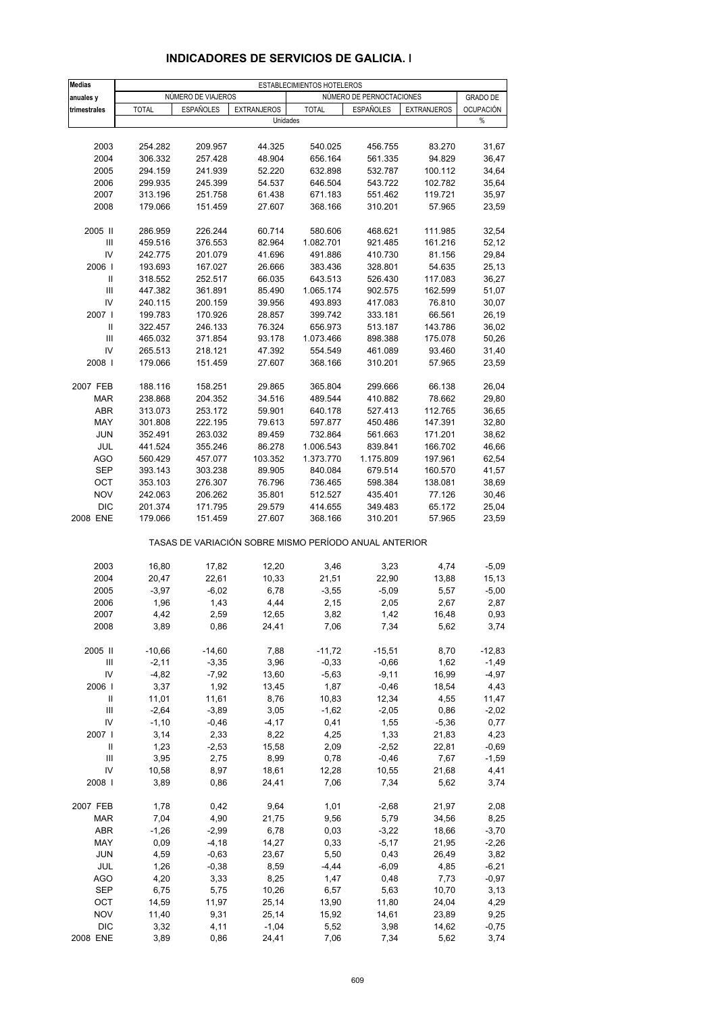| <b>Medias</b>                      |                     |                    |                    | ESTABLECIMIENTOS HOTELEROS                            |                          |                    |                    |
|------------------------------------|---------------------|--------------------|--------------------|-------------------------------------------------------|--------------------------|--------------------|--------------------|
| anuales y                          |                     | NUMERO DE VIAJEROS |                    |                                                       | NÚMERO DE PERNOCTACIONES |                    | <b>GRADO DE</b>    |
| trimestrales                       | <b>TOTAL</b>        | <b>ESPAÑOLES</b>   | <b>EXTRANJEROS</b> | <b>TOTAL</b>                                          | <b>ESPAÑOLES</b>         | <b>EXTRANJEROS</b> | <b>OCUPACIÓN</b>   |
|                                    |                     |                    | Unidades           |                                                       |                          |                    | %                  |
|                                    |                     |                    |                    |                                                       |                          |                    |                    |
| 2003                               | 254.282             | 209.957            | 44.325             | 540.025                                               | 456.755                  | 83.270             | 31,67              |
| 2004                               | 306.332             | 257.428            | 48.904             | 656.164                                               | 561.335                  | 94.829             | 36,47              |
| 2005                               | 294.159             | 241.939            | 52.220             | 632.898                                               | 532.787                  | 100.112            | 34,64              |
| 2006                               | 299.935             | 245.399            | 54.537             | 646.504                                               | 543.722                  | 102.782            | 35,64              |
| 2007                               | 313.196             | 251.758            | 61.438             | 671.183                                               | 551.462                  | 119.721            | 35,97              |
| 2008                               | 179.066             | 151.459            | 27.607             | 368.166                                               | 310.201                  | 57.965             | 23,59              |
|                                    |                     |                    |                    |                                                       |                          |                    |                    |
| 2005 II                            | 286.959             | 226.244            | 60.714             | 580.606                                               | 468.621                  | 111.985            | 32,54              |
| $\ensuremath{\mathsf{III}}\xspace$ | 459.516             | 376.553            | 82.964             | 1.082.701                                             | 921.485                  | 161.216            | 52,12              |
| IV                                 | 242.775             | 201.079            | 41.696             | 491.886                                               | 410.730                  | 81.156             | 29,84              |
| 2006  <br>Ш                        | 193.693<br>318.552  | 167.027<br>252.517 | 26.666<br>66.035   | 383.436<br>643.513                                    | 328.801<br>526.430       | 54.635<br>117.083  | 25,13<br>36,27     |
| III                                | 447.382             | 361.891            | 85.490             | 1.065.174                                             | 902.575                  | 162.599            | 51,07              |
| IV                                 | 240.115             | 200.159            | 39.956             | 493.893                                               | 417.083                  | 76.810             | 30,07              |
| 2007 l                             | 199.783             | 170.926            | 28.857             | 399.742                                               | 333.181                  | 66.561             | 26,19              |
| Ш                                  | 322.457             | 246.133            | 76.324             | 656.973                                               | 513.187                  | 143.786            | 36,02              |
| III                                | 465.032             | 371.854            | 93.178             | 1.073.466                                             | 898.388                  | 175.078            | 50,26              |
| IV                                 | 265.513             | 218.121            | 47.392             | 554.549                                               | 461.089                  | 93.460             | 31,40              |
| 2008                               | 179.066             | 151.459            | 27.607             | 368.166                                               | 310.201                  | 57.965             | 23,59              |
|                                    |                     |                    |                    |                                                       |                          |                    |                    |
| 2007 FEB                           | 188.116             | 158.251            | 29.865             | 365.804                                               | 299.666                  | 66.138             | 26,04              |
| <b>MAR</b>                         | 238.868             | 204.352            | 34.516             | 489.544                                               | 410.882                  | 78.662             | 29,80              |
| <b>ABR</b>                         | 313.073             | 253.172            | 59.901             | 640.178                                               | 527.413                  | 112.765            | 36,65              |
| MAY                                | 301.808             | 222.195            | 79.613             | 597.877                                               | 450.486                  | 147.391            | 32,80              |
| <b>JUN</b>                         | 352.491             | 263.032            | 89.459             | 732.864                                               | 561.663                  | 171.201            | 38,62              |
| JUL                                | 441.524             | 355.246            | 86.278             | 1.006.543                                             | 839.841                  | 166.702            | 46,66              |
| <b>AGO</b>                         | 560.429             | 457.077            | 103.352            | 1.373.770                                             | 1.175.809                | 197.961            | 62,54              |
| <b>SEP</b>                         | 393.143             | 303.238            | 89.905             | 840.084                                               | 679.514                  | 160.570            | 41,57              |
| OCT                                | 353.103             | 276.307            | 76.796             | 736.465                                               | 598.384                  | 138.081            | 38,69              |
| <b>NOV</b>                         | 242.063             | 206.262            | 35.801             | 512.527                                               | 435.401                  | 77.126             | 30,46              |
| <b>DIC</b>                         | 201.374             | 171.795            | 29.579             | 414.655                                               | 349.483                  | 65.172             | 25,04              |
| 2008 ENE                           | 179.066             | 151.459            | 27.607             | 368.166                                               | 310.201                  | 57.965             | 23,59              |
|                                    |                     |                    |                    | TASAS DE VARIACIÓN SOBRE MISMO PERÍODO ANUAL ANTERIOR |                          |                    |                    |
| 2003                               | 16,80               | 17,82              | 12,20              | 3,46                                                  | 3,23                     | 4,74               | $-5,09$            |
| 2004                               | 20,47               | 22,61              | 10,33              | 21,51                                                 | 22,90                    | 13,88              | 15,13              |
| 2005                               | $-3,97$             | $-6,02$            | 6,78               | $-3,55$                                               | $-5,09$                  | 5,57               | $-5,00$            |
| 2006                               | 1,96                | 1,43               | 4,44               | 2,15                                                  | 2,05                     | 2,67               | 2,87               |
| 2007                               | 4,42                | 2,59               | 12,65              | 3,82                                                  | 1,42                     | 16,48              | 0,93               |
| 2008                               | 3,89                | 0,86               | 24,41              | 7,06                                                  | 7,34                     | 5,62               | 3,74               |
|                                    |                     |                    |                    |                                                       |                          |                    |                    |
| 2005 II                            | $-10,66$<br>$-2,11$ | $-14,60$           | 7,88               | $-11,72$<br>$-0,33$                                   | $-15,51$                 | 8,70               | $-12,83$           |
| Ш<br>IV                            | $-4,82$             | $-3,35$<br>$-7,92$ | 3,96<br>13,60      | $-5,63$                                               | $-0,66$<br>$-9,11$       | 1,62<br>16,99      | $-1,49$<br>$-4,97$ |
| 2006                               | 3,37                | 1,92               | 13,45              | 1,87                                                  | $-0,46$                  | 18,54              | 4,43               |
| Ш                                  | 11,01               | 11,61              | 8,76               | 10,83                                                 | 12,34                    | 4,55               | 11,47              |
| Ш                                  | $-2,64$             | $-3,89$            | 3,05               | $-1,62$                                               | $-2,05$                  | 0,86               | $-2,02$            |
| IV                                 | $-1,10$             | $-0,46$            | $-4,17$            | 0,41                                                  | 1,55                     | $-5,36$            | 0,77               |
| 2007                               | 3,14                | 2,33               | 8,22               | 4,25                                                  | 1,33                     | 21,83              | 4,23               |
| Ш                                  | 1,23                | $-2,53$            | 15,58              | 2,09                                                  | $-2,52$                  | 22,81              | $-0,69$            |
| Ш                                  | 3,95                | 2,75               | 8,99               | 0,78                                                  | $-0,46$                  | 7,67               | $-1,59$            |
| IV                                 | 10,58               | 8,97               | 18,61              | 12,28                                                 | 10,55                    | 21,68              | 4,41               |
| 2008                               | 3,89                | 0,86               | 24,41              | 7,06                                                  | 7,34                     | 5,62               | 3,74               |
|                                    |                     |                    |                    |                                                       |                          |                    |                    |
| 2007 FEB                           | 1,78                | 0,42               | 9,64               | 1,01                                                  | $-2,68$                  | 21,97              | 2,08               |
| MAR                                | 7,04                | 4,90               | 21,75              | 9,56                                                  | 5,79                     | 34,56              | 8,25               |
| ABR                                | $-1,26$             | $-2,99$            | 6,78               | 0,03                                                  | $-3,22$                  | 18,66              | $-3,70$            |
| MAY                                | 0,09                | $-4,18$            | 14,27              | 0,33                                                  | $-5,17$                  | 21,95              | $-2,26$            |
| <b>JUN</b>                         | 4,59                | $-0,63$            | 23,67              | 5,50                                                  | 0,43                     | 26,49              | 3,82               |
| JUL                                | 1,26                | $-0,38$            | 8,59               | $-4,44$                                               | $-6,09$                  | 4,85               | $-6,21$            |
| AGO                                | 4,20                | 3,33               | 8,25               | 1,47                                                  | 0,48                     | 7,73               | $-0,97$            |
| SEP                                | 6,75                | 5,75               | 10,26              | 6,57                                                  | 5,63                     | 10,70              | 3,13               |
| OCT<br><b>NOV</b>                  | 14,59               | 11,97<br>9,31      | 25,14              | 13,90                                                 | 11,80                    | 24,04              | 4,29               |
| <b>DIC</b>                         | 11,40<br>3,32       | 4,11               | 25,14<br>$-1,04$   | 15,92<br>5,52                                         | 14,61<br>3,98            | 23,89<br>14,62     | 9,25<br>$-0,75$    |
| 2008 ENE                           | 3,89                | 0,86               | 24,41              | 7,06                                                  | 7,34                     | 5,62               | 3,74               |
|                                    |                     |                    |                    |                                                       |                          |                    |                    |

#### **INDICADORES DE SERVICIOS DE GALICIA. I**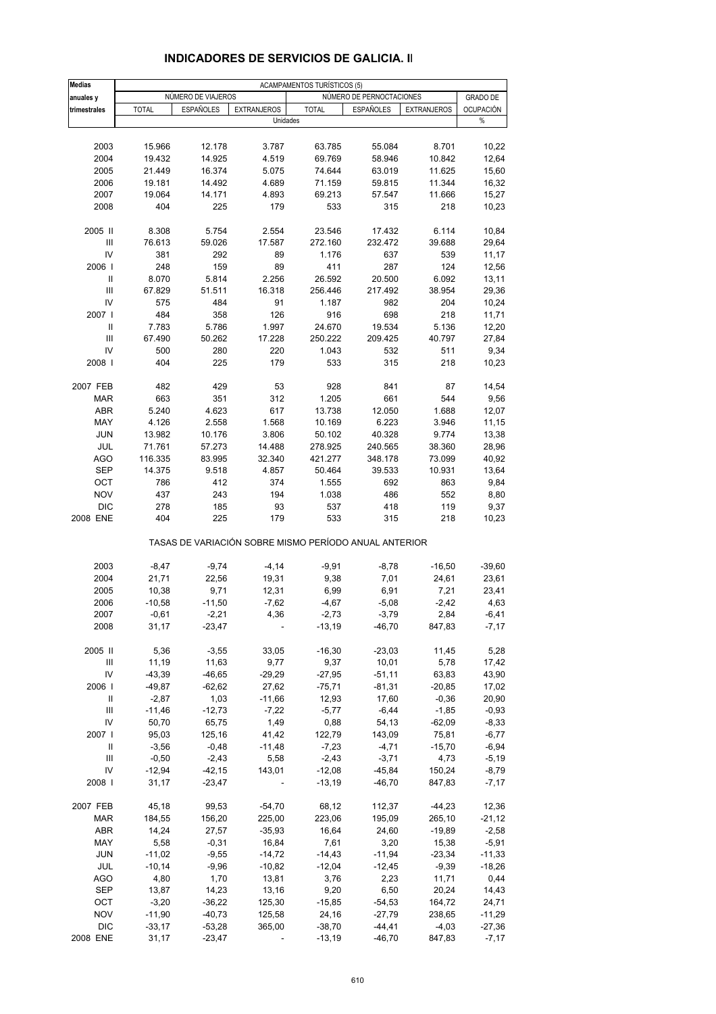| <b>Medias</b>                      | <b>ACAMPAMENTOS TURÍSTICOS (5)</b> |                    |                    |              |                                                       |                    |                  |  |
|------------------------------------|------------------------------------|--------------------|--------------------|--------------|-------------------------------------------------------|--------------------|------------------|--|
| anuales y                          |                                    | NÚMERO DE VIAJEROS |                    |              | NÚMERO DE PERNOCTACIONES                              |                    | <b>GRADO DE</b>  |  |
| trimestrales                       | <b>TOTAL</b>                       | <b>ESPAÑOLES</b>   | <b>EXTRANJEROS</b> | <b>TOTAL</b> | <b>ESPAÑOLES</b>                                      | <b>EXTRANJEROS</b> | <b>OCUPACIÓN</b> |  |
|                                    |                                    |                    | Unidades           |              |                                                       |                    | %                |  |
|                                    |                                    |                    |                    |              |                                                       |                    |                  |  |
| 2003                               | 15.966                             | 12.178             | 3.787              | 63.785       | 55.084                                                | 8.701              | 10,22            |  |
| 2004                               | 19.432                             | 14.925             | 4.519              | 69.769       | 58.946                                                | 10.842             | 12,64            |  |
| 2005                               | 21.449                             | 16.374             | 5.075              | 74.644       | 63.019                                                | 11.625             | 15,60            |  |
| 2006                               | 19.181                             | 14.492             | 4.689              | 71.159       | 59.815                                                | 11.344             | 16,32            |  |
| 2007                               | 19.064                             | 14.171             | 4.893              | 69.213       | 57.547                                                | 11.666             | 15,27            |  |
| 2008                               | 404                                | 225                | 179                | 533          | 315                                                   | 218                | 10,23            |  |
| 2005 II                            | 8.308                              | 5.754              | 2.554              | 23.546       | 17.432                                                | 6.114              | 10,84            |  |
| Ш                                  | 76.613                             | 59.026             | 17.587             | 272.160      | 232.472                                               | 39.688             | 29,64            |  |
| IV                                 | 381                                | 292                | 89                 | 1.176        | 637                                                   | 539                | 11,17            |  |
| 2006                               | 248                                | 159                | 89                 | 411          | 287                                                   | 124                | 12,56            |  |
| Ш                                  | 8.070                              | 5.814              | 2.256              | 26.592       | 20.500                                                | 6.092              | 13,11            |  |
| III                                | 67.829                             | 51.511             | 16.318             | 256.446      | 217.492                                               | 38.954             | 29,36            |  |
| IV                                 | 575                                | 484                | 91                 | 1.187        | 982                                                   | 204                | 10,24            |  |
| 2007 l                             | 484                                | 358                | 126                | 916          | 698                                                   | 218                | 11,71            |  |
| Ш                                  | 7.783                              | 5.786              | 1.997              | 24.670       | 19.534                                                | 5.136              | 12,20            |  |
| $\mathbf{III}$                     | 67.490                             | 50.262             | 17.228             | 250.222      | 209.425                                               | 40.797             | 27,84            |  |
| IV                                 | 500                                | 280                | 220                | 1.043        | 532                                                   | 511                | 9,34             |  |
| 2008                               | 404                                | 225                | 179                | 533          | 315                                                   | 218                | 10,23            |  |
| 2007 FEB                           | 482                                | 429                | 53                 | 928          | 841                                                   | 87                 | 14,54            |  |
| <b>MAR</b>                         | 663                                | 351                | 312                | 1.205        | 661                                                   | 544                | 9,56             |  |
| <b>ABR</b>                         | 5.240                              | 4.623              | 617                | 13.738       | 12.050                                                | 1.688              | 12,07            |  |
| MAY                                | 4.126                              | 2.558              | 1.568              | 10.169       | 6.223                                                 | 3.946              | 11,15            |  |
| <b>JUN</b>                         | 13.982                             | 10.176             | 3.806              | 50.102       | 40.328                                                | 9.774              | 13,38            |  |
| JUL                                | 71.761                             |                    | 14.488             | 278.925      | 240.565                                               |                    | 28,96            |  |
|                                    |                                    | 57.273             |                    |              |                                                       | 38.360             |                  |  |
| <b>AGO</b>                         | 116.335                            | 83.995             | 32.340             | 421.277      | 348.178                                               | 73.099             | 40,92            |  |
| <b>SEP</b>                         | 14.375                             | 9.518              | 4.857              | 50.464       | 39.533                                                | 10.931             | 13,64            |  |
| OCT                                | 786                                | 412                | 374                | 1.555        | 692                                                   | 863                | 9,84             |  |
| <b>NOV</b>                         | 437                                | 243                | 194                | 1.038        | 486                                                   | 552                | 8,80             |  |
| <b>DIC</b>                         | 278                                | 185                | 93                 | 537          | 418                                                   | 119                | 9,37             |  |
| 2008 ENE                           | 404                                | 225                | 179                | 533          | 315                                                   | 218                | 10,23            |  |
|                                    |                                    |                    |                    |              | TASAS DE VARIACIÓN SOBRE MISMO PERÍODO ANUAL ANTERIOR |                    |                  |  |
| 2003                               | $-8,47$                            | $-9,74$            | $-4, 14$           | -9,91        | $-8,78$                                               | $-16,50$           | $-39,60$         |  |
| 2004                               | 21,71                              | 22,56              | 19,31              | 9,38         | 7,01                                                  | 24,61              | 23,61            |  |
| 2005                               | 10,38                              | 9,71               | 12,31              | 6,99         | 6,91                                                  | 7,21               | 23,41            |  |
| 2006                               | $-10,58$                           | $-11,50$           | $-7,62$            | $-4,67$      | $-5,08$                                               | $-2,42$            | 4,63             |  |
| 2007                               | $-0,61$                            | $-2,21$            | 4,36               | $-2,73$      | $-3,79$                                               | 2,84               | $-6,41$          |  |
| 2008                               | 31,17                              | $-23,47$           |                    | $-13,19$     | $-46,70$                                              | 847,83             | $-7, 17$         |  |
| 2005 II                            | 5,36                               | $-3,55$            | 33,05              | $-16,30$     | $-23,03$                                              | 11,45              | 5,28             |  |
| Ш                                  | 11,19                              | 11,63              | 9,77               | 9,37         | 10,01                                                 | 5,78               | 17,42            |  |
| IV                                 | $-43,39$                           | $-46,65$           | $-29,29$           | $-27,95$     | $-51,11$                                              | 63,83              | 43,90            |  |
| 2006                               | $-49,87$                           | $-62,62$           | 27,62              | $-75,71$     | $-81,31$                                              | $-20,85$           | 17,02            |  |
| Ш                                  | $-2,87$                            | 1,03               | $-11,66$           | 12,93        | 17,60                                                 | $-0,36$            | 20,90            |  |
| Ш                                  | $-11,46$                           | $-12,73$           | $-7,22$            | $-5,77$      | $-6,44$                                               | $-1,85$            | $-0,93$          |  |
| IV                                 | 50,70                              | 65,75              | 1,49               | 0,88         | 54,13                                                 | $-62,09$           | $-8,33$          |  |
|                                    |                                    |                    |                    |              |                                                       |                    |                  |  |
| 2007 l                             | 95,03                              | 125,16             | 41,42              | 122,79       | 143,09                                                | 75,81              | $-6,77$          |  |
| Ш                                  | $-3,56$                            | $-0,48$            | $-11,48$           | $-7,23$      | $-4,71$                                               | $-15,70$           | $-6,94$          |  |
| $\ensuremath{\mathsf{III}}\xspace$ | $-0,50$                            | $-2,43$            | 5,58               | $-2,43$      | $-3,71$                                               | 4,73               | $-5,19$          |  |
| IV                                 | $-12,94$                           | $-42,15$           | 143,01             | $-12,08$     | $-45,84$                                              | 150,24             | $-8,79$          |  |
| 2008                               | 31,17                              | $-23,47$           | $\blacksquare$     | $-13,19$     | $-46,70$                                              | 847,83             | $-7,17$          |  |
| 2007 FEB                           | 45,18                              | 99,53              | $-54,70$           | 68,12        | 112,37                                                | $-44,23$           | 12,36            |  |
| <b>MAR</b>                         | 184,55                             | 156,20             | 225,00             | 223,06       | 195,09                                                | 265,10             | $-21,12$         |  |
| ABR                                | 14,24                              | 27,57              | $-35,93$           | 16,64        | 24,60                                                 | $-19,89$           | $-2,58$          |  |
| MAY                                | 5,58                               | $-0,31$            | 16,84              | 7,61         | 3,20                                                  | 15,38              | $-5,91$          |  |
| <b>JUN</b>                         | $-11,02$                           | $-9,55$            | $-14,72$           | $-14,43$     | $-11,94$                                              | $-23,34$           | $-11,33$         |  |
| JUL                                | $-10,14$                           | $-9,96$            | $-10,82$           | $-12,04$     | $-12,45$                                              | $-9,39$            | $-18,26$         |  |
| <b>AGO</b>                         | 4,80                               | 1,70               | 13,81              | 3,76         | 2,23                                                  | 11,71              | 0,44             |  |
| SEP                                | 13,87                              | 14,23              | 13,16              | 9,20         | 6,50                                                  | 20,24              | 14,43            |  |
| OCT                                | $-3,20$                            | $-36,22$           | 125,30             | $-15,85$     | $-54,53$                                              | 164,72             | 24,71            |  |
| <b>NOV</b>                         | $-11,90$                           | $-40,73$           | 125,58             | 24,16        | $-27,79$                                              | 238,65             | $-11,29$         |  |
| <b>DIC</b>                         | $-33,17$                           | $-53,28$           | 365,00             | $-38,70$     | $-44, 41$                                             | $-4,03$            | $-27,36$         |  |
| 2008 ENE                           | 31,17                              | $-23,47$           | ä,                 | $-13,19$     | $-46,70$                                              | 847,83             | $-7,17$          |  |
|                                    |                                    |                    |                    |              |                                                       |                    |                  |  |

### **INDICADORES DE SERVICIOS DE GALICIA. II**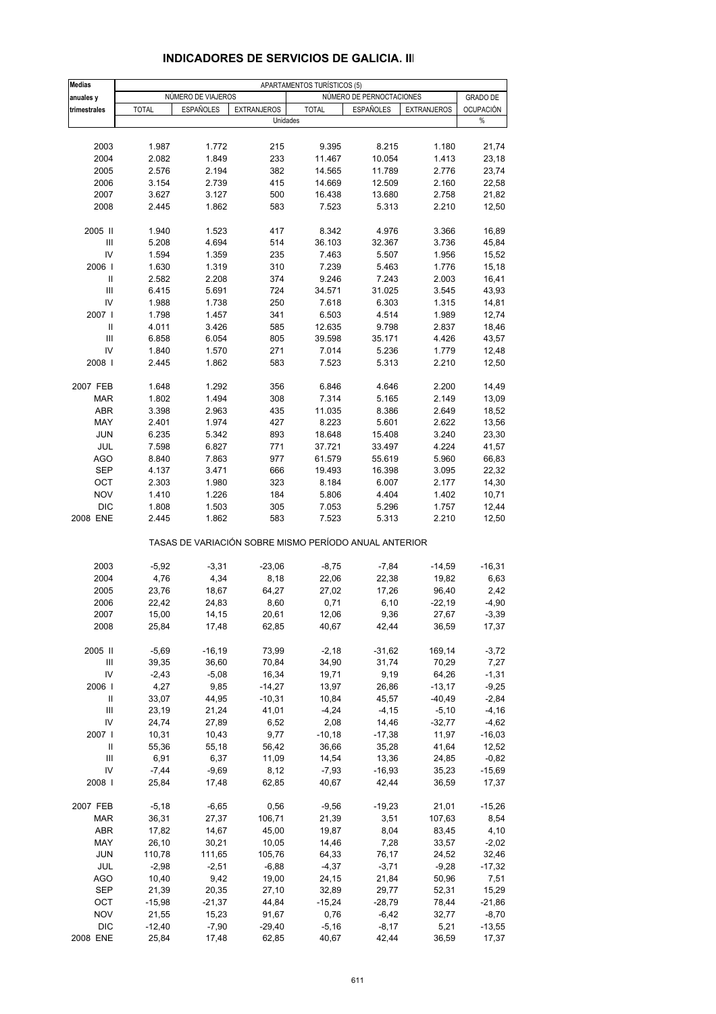| <b>Medias</b>                      | APARTAMENTOS TURÍSTICOS (5) |                    |                    |                                                       |                          |                    |                  |  |
|------------------------------------|-----------------------------|--------------------|--------------------|-------------------------------------------------------|--------------------------|--------------------|------------------|--|
| anuales y                          |                             | NUMERO DE VIAJEROS |                    |                                                       | NÚMERO DE PERNOCTACIONES |                    | <b>GRADO DE</b>  |  |
| trimestrales                       | <b>TOTAL</b>                | <b>ESPAÑOLES</b>   | <b>EXTRANJEROS</b> | <b>TOTAL</b>                                          | <b>ESPAÑOLES</b>         | <b>EXTRANJEROS</b> | <b>OCUPACIÓN</b> |  |
|                                    |                             |                    | Unidades           |                                                       |                          |                    | $\%$             |  |
|                                    |                             |                    |                    |                                                       |                          |                    |                  |  |
| 2003                               | 1.987                       | 1.772              | 215                | 9.395                                                 | 8.215                    | 1.180              | 21,74            |  |
| 2004                               | 2.082                       | 1.849              | 233                | 11.467                                                | 10.054                   | 1.413              | 23,18            |  |
| 2005                               | 2.576                       | 2.194              | 382                | 14.565                                                | 11.789                   | 2.776              | 23,74            |  |
| 2006                               | 3.154                       | 2.739              | 415                | 14.669                                                | 12.509                   | 2.160              | 22,58            |  |
| 2007                               | 3.627                       | 3.127              | 500                | 16.438                                                | 13.680                   | 2.758              | 21,82            |  |
| 2008                               | 2.445                       | 1.862              | 583                | 7.523                                                 | 5.313                    | 2.210              | 12,50            |  |
|                                    |                             |                    |                    |                                                       |                          |                    |                  |  |
| 2005 II                            | 1.940                       | 1.523              | 417                | 8.342                                                 | 4.976                    | 3.366              | 16,89            |  |
| III                                | 5.208                       | 4.694              | 514                | 36.103                                                | 32.367                   | 3.736              | 45,84            |  |
| IV                                 | 1.594                       | 1.359              | 235                | 7.463                                                 | 5.507                    | 1.956              | 15,52            |  |
| 2006                               | 1.630                       | 1.319              | 310                | 7.239                                                 | 5.463                    | 1.776              | 15,18            |  |
| Ш                                  | 2.582                       | 2.208              | 374                | 9.246                                                 | 7.243                    | 2.003              | 16,41            |  |
| Ш                                  | 6.415                       | 5.691              | 724                | 34.571                                                | 31.025                   | 3.545              | 43,93            |  |
| IV                                 | 1.988                       | 1.738              | 250                | 7.618                                                 | 6.303                    | 1.315              | 14,81            |  |
| 2007                               | 1.798                       | 1.457              | 341                | 6.503                                                 | 4.514                    | 1.989              | 12,74            |  |
| Ш                                  | 4.011                       | 3.426              | 585                | 12.635                                                | 9.798                    | 2.837              | 18,46            |  |
| $\ensuremath{\mathsf{III}}\xspace$ | 6.858                       | 6.054              | 805                | 39.598                                                | 35.171                   | 4.426              | 43,57            |  |
| IV                                 | 1.840                       | 1.570              | 271                | 7.014                                                 | 5.236                    | 1.779              | 12,48            |  |
| 2008                               | 2.445                       | 1.862              | 583                | 7.523                                                 | 5.313                    | 2.210              | 12,50            |  |
|                                    |                             |                    |                    |                                                       |                          |                    |                  |  |
| 2007 FEB                           | 1.648                       | 1.292              | 356                | 6.846                                                 | 4.646                    | 2.200              | 14,49            |  |
| <b>MAR</b>                         | 1.802                       | 1.494              | 308                | 7.314                                                 | 5.165                    | 2.149              | 13,09            |  |
| <b>ABR</b>                         | 3.398                       | 2.963              | 435                | 11.035                                                | 8.386                    | 2.649              | 18,52            |  |
| MAY                                | 2.401                       | 1.974              | 427                | 8.223                                                 | 5.601                    | 2.622              | 13,56            |  |
| <b>JUN</b>                         | 6.235                       | 5.342              | 893                | 18.648                                                | 15.408                   | 3.240              | 23,30            |  |
| JUL                                | 7.598                       | 6.827              | 771                | 37.721                                                | 33.497                   | 4.224              | 41,57            |  |
| AGO                                | 8.840                       | 7.863              | 977                | 61.579                                                | 55.619                   | 5.960              | 66,83            |  |
| SEP                                | 4.137                       | 3.471              | 666                | 19.493                                                | 16.398                   | 3.095              | 22,32            |  |
| OCT                                | 2.303                       | 1.980              | 323                | 8.184                                                 | 6.007                    | 2.177              | 14,30            |  |
| <b>NOV</b>                         | 1.410                       | 1.226              | 184                | 5.806                                                 | 4.404                    | 1.402              | 10,71            |  |
| <b>DIC</b>                         | 1.808                       | 1.503              | 305                | 7.053                                                 | 5.296                    | 1.757              | 12,44            |  |
| 2008 ENE                           | 2.445                       | 1.862              | 583                | 7.523                                                 | 5.313                    | 2.210              | 12,50            |  |
|                                    |                             |                    |                    | TASAS DE VARIACIÓN SOBRE MISMO PERÍODO ANUAL ANTERIOR |                          |                    |                  |  |
| 2003                               | $-5,92$                     | $-3,31$            | $-23,06$           | $-8,75$                                               | $-7,84$                  | $-14,59$           | $-16,31$         |  |
| 2004                               | 4,76                        | 4,34               | 8,18               | 22,06                                                 | 22,38                    | 19,82              | 6,63             |  |
| 2005                               | 23,76                       | 18,67              | 64,27              | 27,02                                                 | 17,26                    | 96,40              | 2,42             |  |
| 2006                               | 22,42                       | 24,83              | 8,60               | 0,71                                                  | 6, 10                    | $-22,19$           | $-4,90$          |  |
| 2007                               | 15,00                       | 14,15              | 20,61              | 12,06                                                 | 9,36                     | 27,67              | $-3,39$          |  |
| 2008                               | 25,84                       | 17,48              | 62,85              | 40,67                                                 | 42,44                    | 36,59              | 17,37            |  |
|                                    |                             |                    |                    |                                                       |                          |                    |                  |  |
| 2005 II                            | $-5,69$                     | $-16,19$           | 73,99              | $-2,18$                                               | $-31,62$                 | 169,14             | $-3,72$          |  |
| Ш                                  | 39,35                       | 36,60              | 70,84              | 34,90                                                 | 31,74                    | 70,29              | 7,27             |  |
| IV                                 | $-2,43$                     | $-5,08$            | 16,34              | 19,71                                                 | 9,19                     | 64,26              | $-1,31$          |  |
| 2006                               | 4,27                        | 9,85               | $-14,27$           | 13,97                                                 | 26,86                    | $-13,17$           | $-9,25$          |  |
| Ш                                  | 33,07                       | 44,95              | $-10,31$           | 10,84                                                 | 45,57                    | $-40,49$           | $-2,84$          |  |
| Ш                                  | 23,19                       | 21,24              | 41,01              | $-4,24$                                               | $-4, 15$                 | $-5,10$            | $-4, 16$         |  |
| IV                                 | 24,74                       | 27,89              | 6,52               | 2,08                                                  | 14,46                    | $-32,77$           | $-4,62$          |  |
| 2007 l                             | 10,31                       | 10,43              | 9,77               | $-10,18$                                              | $-17,38$                 | 11,97              | $-16,03$         |  |
| Ш                                  | 55,36                       | 55,18              | 56,42              | 36,66                                                 | 35,28                    | 41,64              | 12,52            |  |
| Ш                                  | 6,91                        | 6,37               | 11,09              | 14,54                                                 | 13,36                    | 24,85              | $-0,82$          |  |
| IV                                 | $-7,44$                     | $-9,69$            | 8,12               | $-7,93$                                               | $-16,93$                 | 35,23              | $-15,69$         |  |
| 2008                               | 25,84                       | 17,48              | 62,85              | 40,67                                                 | 42,44                    | 36,59              | 17,37            |  |
| 2007 FEB                           | $-5,18$                     | $-6,65$            | 0,56               | $-9,56$                                               | $-19,23$                 | 21,01              | $-15,26$         |  |
| <b>MAR</b>                         | 36,31                       | 27,37              | 106,71             | 21,39                                                 | 3,51                     | 107,63             | 8,54             |  |
|                                    |                             |                    |                    |                                                       |                          |                    |                  |  |
| ABR                                | 17,82                       | 14,67              | 45,00              | 19,87                                                 | 8,04                     | 83,45              | 4,10             |  |
| MAY                                | 26,10                       | 30,21              | 10,05              | 14,46                                                 | 7,28                     | 33,57              | $-2,02$          |  |
| <b>JUN</b>                         | 110,78                      | 111,65             | 105,76             | 64,33                                                 | 76,17                    | 24,52              | 32,46            |  |
| JUL                                | $-2,98$                     | $-2,51$            | $-6,88$            | $-4,37$                                               | $-3,71$                  | $-9,28$            | $-17,32$         |  |
| <b>AGO</b>                         | 10,40                       | 9,42               | 19,00              | 24,15                                                 | 21,84                    | 50,96              | 7,51             |  |
| <b>SEP</b>                         | 21,39                       | 20,35              | 27,10              | 32,89                                                 | 29,77                    | 52,31              | 15,29            |  |
| ОСТ                                | $-15,98$                    | $-21,37$           | 44,84              | $-15,24$                                              | $-28,79$                 | 78,44              | $-21,86$         |  |
| <b>NOV</b>                         | 21,55                       | 15,23              | 91,67              | 0,76                                                  | $-6,42$                  | 32,77              | $-8,70$          |  |
| <b>DIC</b>                         | $-12,40$                    | $-7,90$            | $-29,40$           | $-5,16$                                               | $-8,17$                  | 5,21               | $-13,55$         |  |
| 2008 ENE                           | 25,84                       | 17,48              | 62,85              | 40,67                                                 | 42,44                    | 36,59              | 17,37            |  |

### **INDICADORES DE SERVICIOS DE GALICIA. III**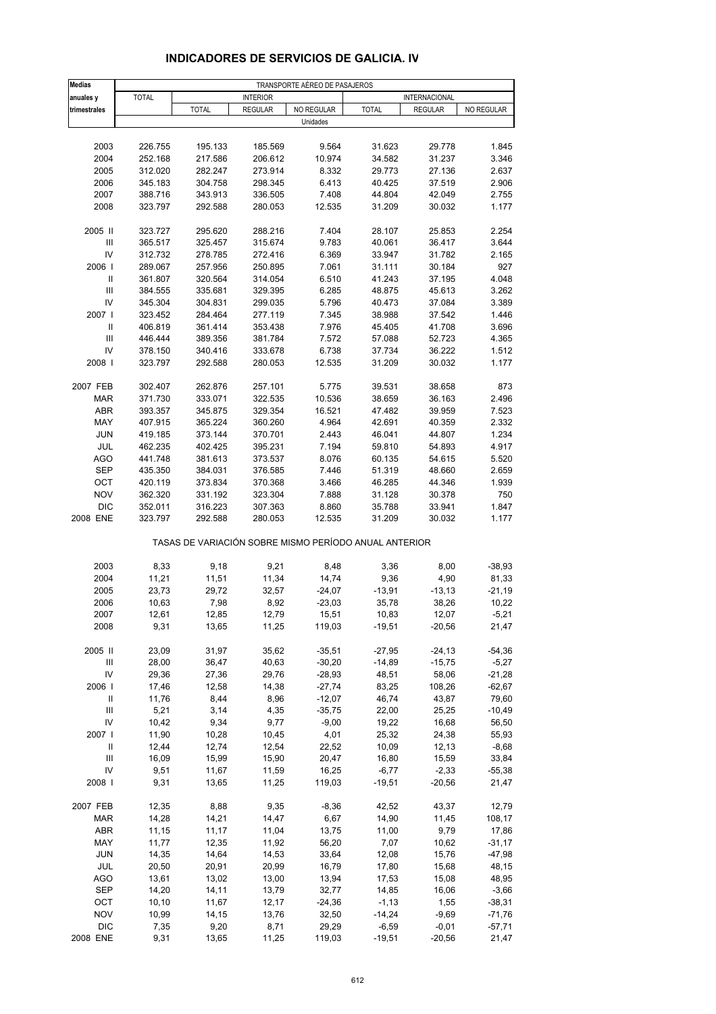| <b>Medias</b>                      | TRANSPORTE AÉREO DE PASAJEROS |                                                       |                    |                   |                     |                      |                     |  |
|------------------------------------|-------------------------------|-------------------------------------------------------|--------------------|-------------------|---------------------|----------------------|---------------------|--|
| anuales y                          | <b>TOTAL</b>                  |                                                       | <b>INTERIOR</b>    |                   |                     | <b>INTERNACIONAL</b> |                     |  |
| trimestrales                       |                               | <b>TOTAL</b>                                          | <b>REGULAR</b>     | NO REGULAR        | <b>TOTAL</b>        | <b>REGULAR</b>       | NO REGULAR          |  |
|                                    |                               |                                                       |                    | Unidades          |                     |                      |                     |  |
|                                    |                               |                                                       |                    |                   |                     |                      |                     |  |
| 2003                               | 226.755                       | 195.133                                               | 185.569            | 9.564             | 31.623              | 29.778               | 1.845               |  |
| 2004<br>2005                       | 252.168<br>312.020            | 217.586<br>282.247                                    | 206.612<br>273.914 | 10.974<br>8.332   | 34.582<br>29.773    | 31.237               | 3.346<br>2.637      |  |
| 2006                               | 345.183                       | 304.758                                               | 298.345            | 6.413             | 40.425              | 27.136<br>37.519     | 2.906               |  |
| 2007                               | 388.716                       | 343.913                                               | 336.505            | 7.408             | 44.804              | 42.049               | 2.755               |  |
| 2008                               | 323.797                       | 292.588                                               | 280.053            | 12.535            | 31.209              | 30.032               | 1.177               |  |
|                                    |                               |                                                       |                    |                   |                     |                      |                     |  |
| 2005 II                            | 323.727                       | 295.620                                               | 288.216            | 7.404             | 28.107              | 25.853               | 2.254               |  |
| III                                | 365.517                       | 325.457                                               | 315.674            | 9.783             | 40.061              | 36.417               | 3.644               |  |
| IV                                 | 312.732                       | 278.785                                               | 272.416            | 6.369             | 33.947              | 31.782               | 2.165               |  |
| 2006                               | 289.067                       | 257.956                                               | 250.895            | 7.061             | 31.111              | 30.184               | 927                 |  |
| Ш                                  | 361.807                       | 320.564                                               | 314.054            | 6.510             | 41.243              | 37.195               | 4.048               |  |
| $\ensuremath{\mathsf{III}}\xspace$ | 384.555                       | 335.681                                               | 329.395            | 6.285             | 48.875              | 45.613               | 3.262               |  |
| IV<br>2007 l                       | 345.304<br>323.452            | 304.831                                               | 299.035            | 5.796             | 40.473              | 37.084               | 3.389               |  |
|                                    | 406.819                       | 284.464<br>361.414                                    | 277.119<br>353.438 | 7.345<br>7.976    | 38.988<br>45.405    | 37.542<br>41.708     | 1.446<br>3.696      |  |
| III                                | 446.444                       | 389.356                                               | 381.784            | 7.572             | 57.088              | 52.723               | 4.365               |  |
| IV                                 | 378.150                       | 340.416                                               | 333.678            | 6.738             | 37.734              | 36.222               | 1.512               |  |
| 2008                               | 323.797                       | 292.588                                               | 280.053            | 12.535            | 31.209              | 30.032               | 1.177               |  |
|                                    |                               |                                                       |                    |                   |                     |                      |                     |  |
| 2007 FEB                           | 302.407                       | 262.876                                               | 257.101            | 5.775             | 39.531              | 38.658               | 873                 |  |
| <b>MAR</b>                         | 371.730                       | 333.071                                               | 322.535            | 10.536            | 38.659              | 36.163               | 2.496               |  |
| <b>ABR</b>                         | 393.357                       | 345.875                                               | 329.354            | 16.521            | 47.482              | 39.959               | 7.523               |  |
| MAY                                | 407.915                       | 365.224                                               | 360.260            | 4.964             | 42.691              | 40.359               | 2.332               |  |
| <b>JUN</b>                         | 419.185                       | 373.144                                               | 370.701            | 2.443             | 46.041              | 44.807               | 1.234               |  |
| JUL                                | 462.235                       | 402.425                                               | 395.231            | 7.194             | 59.810              | 54.893               | 4.917               |  |
| <b>AGO</b><br><b>SEP</b>           | 441.748<br>435.350            | 381.613<br>384.031                                    | 373.537<br>376.585 | 8.076<br>7.446    | 60.135<br>51.319    | 54.615<br>48.660     | 5.520<br>2.659      |  |
| OCT                                | 420.119                       | 373.834                                               | 370.368            | 3.466             | 46.285              | 44.346               | 1.939               |  |
| <b>NOV</b>                         | 362.320                       | 331.192                                               | 323.304            | 7.888             | 31.128              | 30.378               | 750                 |  |
| <b>DIC</b>                         | 352.011                       | 316.223                                               | 307.363            | 8.860             | 35.788              | 33.941               | 1.847               |  |
| 2008 ENE                           | 323.797                       | 292.588                                               | 280.053            | 12.535            | 31.209              | 30.032               | 1.177               |  |
|                                    |                               | TASAS DE VARIACIÓN SOBRE MISMO PERÍODO ANUAL ANTERIOR |                    |                   |                     |                      |                     |  |
| 2003                               | 8,33                          | 9,18                                                  | 9,21               | 8,48              | 3,36                | 8,00                 | $-38,93$            |  |
| 2004                               | 11,21                         | 11,51                                                 | 11,34              | 14,74             | 9,36                | 4,90                 | 81,33               |  |
| 2005                               | 23,73                         | 29,72                                                 | 32,57              | $-24,07$          | $-13,91$            | $-13,13$             | $-21,19$            |  |
| 2006                               | 10,63                         | 7,98                                                  | 8,92               | $-23,03$          | 35,78               | 38,26                | 10,22               |  |
| 2007                               | 12,61                         | 12,85                                                 | 12,79              | 15,51             | 10,83               | 12,07                | $-5,21$             |  |
| 2008                               | 9,31                          | 13,65                                                 | 11,25              | 119,03            | $-19,51$            | $-20,56$             | 21,47               |  |
| 2005 II                            | 23,09                         | 31,97                                                 | 35,62              | $-35,51$          | $-27,95$            | $-24, 13$            | $-54,36$            |  |
| Ш                                  | 28,00                         | 36,47                                                 | 40,63              | $-30,20$          | $-14,89$            | $-15,75$             | $-5,27$             |  |
| IV                                 | 29,36                         | 27,36                                                 | 29,76              | $-28,93$          | 48,51               | 58,06                | $-21,28$            |  |
| 2006                               | 17,46                         | 12,58                                                 | 14,38              | $-27,74$          | 83,25               | 108,26               | $-62,67$            |  |
| Ш                                  | 11,76                         | 8,44                                                  | 8,96               | $-12,07$          | 46,74               | 43,87                | 79,60               |  |
| $\ensuremath{\mathsf{III}}\xspace$ | 5,21                          | 3,14                                                  | 4,35               | $-35,75$          | 22,00               | 25,25                | $-10,49$            |  |
| IV                                 | 10,42                         | 9,34                                                  | 9,77               | $-9,00$           | 19,22               | 16,68                | 56,50               |  |
| 2007 l                             | 11,90                         | 10,28                                                 | 10,45              | 4,01              | 25,32               | 24,38                | 55,93               |  |
| Ш                                  | 12,44                         | 12,74                                                 | 12,54              | 22,52             | 10,09               | 12, 13               | $-8,68$             |  |
| Ш                                  | 16,09                         | 15,99                                                 | 15,90              | 20,47             | 16,80               | 15,59                | 33,84               |  |
| IV<br>2008                         | 9,51<br>9,31                  | 11,67<br>13,65                                        | 11,59<br>11,25     | 16,25<br>119,03   | $-6,77$<br>$-19,51$ | $-2,33$<br>$-20,56$  | $-55,38$<br>21,47   |  |
|                                    |                               |                                                       |                    |                   |                     |                      |                     |  |
| 2007 FEB                           | 12,35                         | 8,88                                                  | 9,35               | $-8,36$           | 42,52               | 43,37                | 12,79               |  |
| MAR                                | 14,28                         | 14,21                                                 | 14,47              | 6,67              | 14,90               | 11,45                | 108,17              |  |
| <b>ABR</b>                         | 11,15                         | 11,17                                                 | 11,04              | 13,75             | 11,00               | 9,79                 | 17,86               |  |
| MAY                                | 11,77                         | 12,35                                                 | 11,92              | 56,20             | 7,07                | 10,62                | $-31,17$            |  |
| <b>JUN</b>                         | 14,35                         | 14,64                                                 | 14,53              | 33,64             | 12,08               | 15,76                | $-47,98$            |  |
| JUL                                | 20,50                         | 20,91                                                 | 20,99              | 16,79             | 17,80               | 15,68                | 48,15               |  |
| AGO                                | 13,61                         | 13,02                                                 | 13,00              | 13,94             | 17,53               | 15,08                | 48,95               |  |
| SEP<br>OCT                         | 14,20<br>10, 10               | 14,11<br>11,67                                        | 13,79<br>12,17     | 32,77<br>$-24,36$ | 14,85<br>$-1,13$    | 16,06<br>1,55        | $-3,66$<br>$-38,31$ |  |
| <b>NOV</b>                         | 10,99                         | 14,15                                                 | 13,76              | 32,50             | $-14,24$            | $-9,69$              | $-71,76$            |  |
| <b>DIC</b>                         | 7,35                          | 9,20                                                  | 8,71               | 29,29             | $-6,59$             | $-0,01$              | $-57,71$            |  |
| 2008 ENE                           | 9,31                          | 13,65                                                 | 11,25              | 119,03            | $-19,51$            | $-20,56$             | 21,47               |  |

### **INDICADORES DE SERVICIOS DE GALICIA. IV**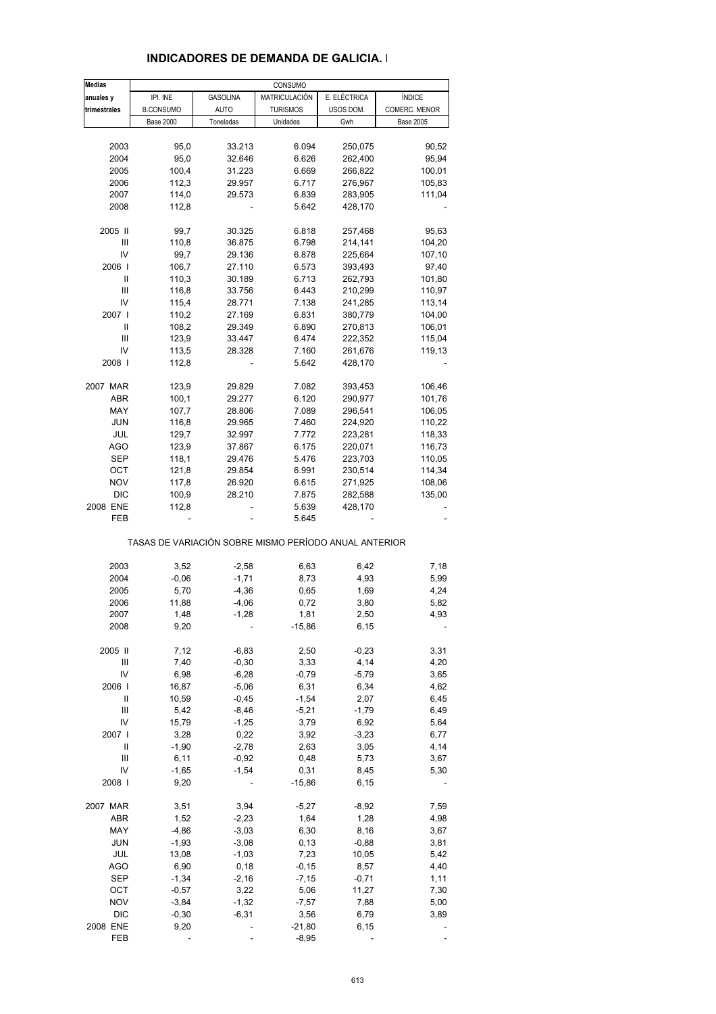| <b>Medias</b> |                                                       |                 | CONSUMO         |              |                  |
|---------------|-------------------------------------------------------|-----------------|-----------------|--------------|------------------|
| anuales y     | IPI. INE                                              | <b>GASOLINA</b> | MATRICULACIÓN   | E. ELÉCTRICA | ÍNDICE           |
| trimestrales  | <b>B.CONSUMO</b>                                      | <b>AUTO</b>     | <b>TURISMOS</b> | USOS DOM.    | COMERC. MENOR    |
|               | <b>Base 2000</b>                                      | Toneladas       | Unidades        | Gwh          | <b>Base 2005</b> |
|               |                                                       |                 |                 |              |                  |
| 2003          | 95,0                                                  | 33.213          | 6.094           | 250,075      | 90,52            |
| 2004          | 95,0                                                  | 32.646          | 6.626           | 262,400      | 95,94            |
| 2005          | 100,4                                                 | 31.223          | 6.669           | 266,822      | 100,01           |
| 2006          | 112,3                                                 | 29.957          | 6.717           | 276,967      | 105,83           |
| 2007          | 114,0                                                 | 29.573          | 6.839           | 283,905      | 111,04           |
| 2008          | 112,8                                                 |                 | 5.642           | 428,170      |                  |
| 2005 II       | 99,7                                                  | 30.325          | 6.818           | 257,468      | 95,63            |
| Ш             | 110,8                                                 | 36.875          | 6.798           | 214,141      | 104,20           |
| IV            | 99,7                                                  | 29.136          | 6.878           | 225,664      | 107,10           |
| 2006          | 106,7                                                 | 27.110          | 6.573           | 393,493      | 97,40            |
| Ш             | 110,3                                                 | 30.189          | 6.713           | 262,793      | 101,80           |
| Ш             | 116,8                                                 | 33.756          | 6.443           | 210,299      | 110,97           |
| IV            | 115,4                                                 | 28.771          | 7.138           | 241,285      |                  |
| 2007 I        | 110,2                                                 |                 |                 | 380,779      | 113,14           |
|               |                                                       | 27.169          | 6.831           |              | 104,00           |
| Ш             | 108,2                                                 | 29.349          | 6.890           | 270,813      | 106,01           |
| Ш             | 123,9                                                 | 33.447          | 6.474           | 222,352      | 115,04           |
| IV            | 113,5                                                 | 28.328          | 7.160           | 261,676      | 119,13           |
| 2008          | 112,8                                                 |                 | 5.642           | 428,170      |                  |
| 2007 MAR      | 123,9                                                 | 29.829          | 7.082           | 393,453      | 106,46           |
| ABR           | 100,1                                                 | 29.277          | 6.120           | 290,977      | 101,76           |
| MAY           | 107,7                                                 | 28.806          | 7.089           | 296,541      | 106,05           |
| <b>JUN</b>    | 116,8                                                 | 29.965          | 7.460           | 224,920      | 110,22           |
| JUL           | 129,7                                                 | 32.997          | 7.772           | 223,281      | 118,33           |
| AGO           | 123,9                                                 | 37.867          | 6.175           | 220,071      | 116,73           |
| SEP           | 118,1                                                 | 29.476          | 5.476           | 223,703      | 110,05           |
| OCT           | 121,8                                                 | 29.854          | 6.991           | 230,514      | 114,34           |
| <b>NOV</b>    | 117,8                                                 | 26.920          | 6.615           | 271,925      | 108,06           |
| <b>DIC</b>    | 100,9                                                 | 28.210          | 7.875           | 282,588      | 135,00           |
| 2008 ENE      | 112,8                                                 |                 | 5.639           | 428,170      |                  |
| FEB           |                                                       |                 | 5.645           |              |                  |
|               | TASAS DE VARIACIÓN SOBRE MISMO PERÍODO ANUAL ANTERIOR |                 |                 |              |                  |
|               |                                                       |                 |                 |              |                  |
| 2003          | 3,52                                                  | $-2,58$         | 6,63            | 6,42         | 7,18             |
| 2004          | $-0,06$                                               | $-1,71$         | 8,73            | 4,93         | 5,99             |
| 2005          | 5,70                                                  | $-4,36$         | 0,65            | 1,69         | 4,24             |
| 2006          | 11,88                                                 | $-4,06$         | 0,72            | 3,80         | 5,82             |
| 2007          | 1,48                                                  | $-1,28$         | 1,81            | 2,50         | 4,93             |
| 2008          | 9,20                                                  |                 | $-15,86$        | 6, 15        |                  |
| 2005 II       | 7,12                                                  | $-6,83$         | 2,50            | $-0,23$      | 3,31             |
| Ш             | 7,40                                                  | $-0,30$         | 3,33            | 4,14         | 4,20             |
| IV            | 6,98                                                  | $-6,28$         | $-0,79$         | $-5,79$      | 3,65             |
| 2006          | 16,87                                                 | $-5,06$         | 6,31            | 6,34         | 4,62             |
| Ш             | 10,59                                                 | $-0,45$         | $-1,54$         | 2,07         | 6,45             |
| Ш             | 5,42                                                  | $-8,46$         | $-5,21$         | $-1,79$      | 6,49             |
| IV            | 15,79                                                 | $-1,25$         | 3,79            | 6,92         | 5,64             |
| 2007 l        | 3,28                                                  | 0,22            | 3,92            | $-3,23$      | 6,77             |
| Ш             | $-1,90$                                               | $-2,78$         | 2,63            | 3,05         | 4,14             |
| Ш             | 6,11                                                  | $-0,92$         | 0,48            | 5,73         | 3,67             |
| IV            | $-1,65$                                               | $-1,54$         | 0,31            | 8,45         | 5,30             |
| 2008          | 9,20                                                  |                 | $-15,86$        | 6,15         |                  |
| 2007 MAR      | 3,51                                                  | 3,94            | $-5,27$         | $-8,92$      | 7,59             |
| ABR           | 1,52                                                  | $-2,23$         | 1,64            | 1,28         | 4,98             |
|               |                                                       |                 |                 |              |                  |
| MAY           | $-4,86$                                               | $-3,03$         | 6,30            | 8,16         | 3,67             |
| <b>JUN</b>    | $-1,93$                                               | $-3,08$         | 0, 13           | $-0,88$      | 3,81             |
| JUL           | 13,08                                                 | $-1,03$         | 7,23            | 10,05        | 5,42             |
| <b>AGO</b>    | 6,90                                                  | 0,18            | $-0,15$         | 8,57         | 4,40             |
| <b>SEP</b>    | $-1,34$                                               | $-2,16$         | $-7,15$         | $-0,71$      | 1,11             |
| OCT           | $-0,57$                                               | 3,22            | 5,06            | 11,27        | 7,30             |
| <b>NOV</b>    | $-3,84$                                               | $-1,32$         | $-7,57$         | 7,88         | 5,00             |
| <b>DIC</b>    | $-0,30$                                               | $-6,31$         | 3,56            | 6,79         | 3,89             |
| 2008 ENE      | 9,20                                                  |                 | $-21,80$        | 6,15         |                  |
| FEB           |                                                       |                 | $-8,95$         |              |                  |

#### **INDICADORES DE DEMANDA DE GALICIA. I**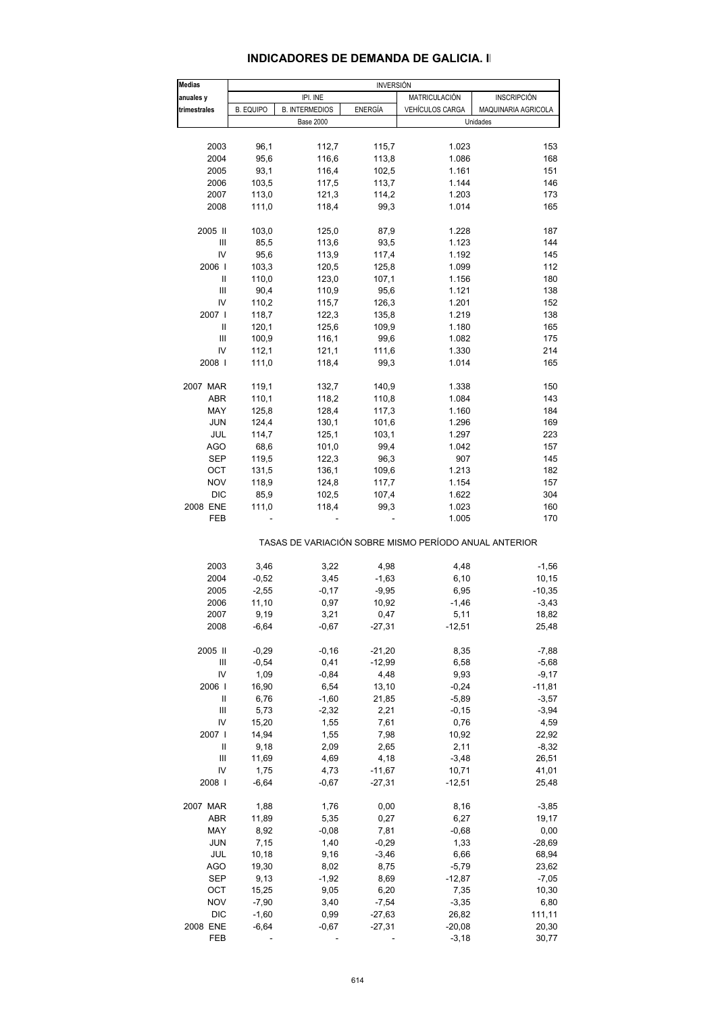#### **INDICADORES DE DEMANDA DE GALICIA. II**

| <b>Medias</b>  |                  |                       | <b>INVERSIÓN</b> |                                                       |                     |
|----------------|------------------|-----------------------|------------------|-------------------------------------------------------|---------------------|
| anuales y      |                  | IPI. INE              |                  | MATRICULACIÓN                                         | <b>INSCRIPCIÓN</b>  |
| trimestrales   | <b>B. EQUIPO</b> | <b>B. INTERMEDIOS</b> | <b>ENERGÍA</b>   | <b>VEHÍCULOS CARGA</b>                                | MAQUINARIA AGRICOLA |
|                |                  | <b>Base 2000</b>      |                  |                                                       | Unidades            |
|                |                  |                       |                  |                                                       |                     |
| 2003           | 96,1             | 112,7                 | 115,7            | 1.023                                                 | 153                 |
| 2004           | 95,6             | 116,6                 | 113,8            | 1.086                                                 | 168                 |
| 2005           | 93,1             | 116,4                 | 102,5            | 1.161                                                 | 151                 |
| 2006           | 103,5            | 117,5                 | 113,7            | 1.144                                                 | 146                 |
| 2007           | 113,0            | 121,3                 | 114,2            | 1.203                                                 | 173                 |
| 2008           | 111,0            | 118,4                 | 99,3             | 1.014                                                 | 165                 |
| 2005 II        | 103,0            | 125,0                 | 87,9             | 1.228                                                 | 187                 |
| Ш              | 85,5             | 113,6                 | 93,5             | 1.123                                                 | 144                 |
| IV             | 95,6             | 113,9                 | 117,4            | 1.192                                                 | 145                 |
| 2006           | 103,3            | 120,5                 | 125,8            | 1.099                                                 | 112                 |
| $\mathbf{I}$   | 110,0            | 123,0                 | 107,1            | 1.156                                                 | 180                 |
| Ш              | 90,4             | 110,9                 | 95,6             | 1.121                                                 | 138                 |
|                |                  |                       |                  |                                                       |                     |
| IV             | 110,2            | 115,7                 | 126,3            | 1.201                                                 | 152                 |
| 2007 l         | 118,7            | 122,3                 | 135,8            | 1.219                                                 | 138                 |
| Ш              | 120,1            | 125,6                 | 109,9            | 1.180                                                 | 165                 |
| Ш              | 100,9            | 116,1                 | 99,6             | 1.082                                                 | 175                 |
| IV             | 112,1            | 121,1                 | 111,6            | 1.330                                                 | 214                 |
| 2008           | 111,0            | 118,4                 | 99,3             | 1.014                                                 | 165                 |
| 2007 MAR       | 119,1            | 132,7                 | 140,9            | 1.338                                                 | 150                 |
| ABR            | 110,1            | 118,2                 | 110,8            | 1.084                                                 | 143                 |
| MAY            | 125,8            | 128,4                 | 117,3            | 1.160                                                 | 184                 |
| <b>JUN</b>     |                  |                       | 101,6            | 1.296                                                 | 169                 |
|                | 124,4            | 130,1                 |                  |                                                       |                     |
| JUL            | 114,7            | 125,1                 | 103,1            | 1.297                                                 | 223                 |
| <b>AGO</b>     | 68,6             | 101,0                 | 99,4             | 1.042                                                 | 157                 |
| SEP            | 119,5            | 122,3                 | 96,3             | 907                                                   | 145                 |
| OCT            | 131,5            | 136,1                 | 109,6            | 1.213                                                 | 182                 |
| <b>NOV</b>     | 118,9            | 124,8                 | 117,7            | 1.154                                                 | 157                 |
| <b>DIC</b>     | 85,9             | 102,5                 | 107,4            | 1.622                                                 | 304                 |
| 2008 ENE       | 111,0            | 118,4                 | 99,3             | 1.023                                                 | 160                 |
| <b>FEB</b>     |                  |                       |                  | 1.005                                                 | 170                 |
|                |                  |                       |                  | TASAS DE VARIACIÓN SOBRE MISMO PERÍODO ANUAL ANTERIOR |                     |
| 2003           | 3,46             | 3,22                  | 4,98             | 4,48                                                  | $-1,56$             |
| 2004           | $-0,52$          | 3,45                  | $-1,63$          | 6, 10                                                 | 10,15               |
|                |                  |                       | $-9,95$          | 6,95                                                  | $-10,35$            |
| 2005           | $-2,55$          | -0,17                 |                  |                                                       |                     |
| 2006           | 11,10            | 0,97                  | 10,92            | $-1,46$                                               | $-3,43$             |
| 2007           | 9,19             | 3,21                  | 0,47             | 5,11                                                  | 18,82               |
| 2008           | $-6,64$          | $-0,67$               | $-27,31$         | $-12,51$                                              | 25,48               |
| 2005 II        | $-0,29$          | $-0,16$               | $-21,20$         | 8,35                                                  | $-7,88$             |
| Ш              | $-0,54$          | 0,41                  | $-12,99$         | 6,58                                                  | $-5,68$             |
| IV             | 1,09             | $-0,84$               | 4,48             | 9,93                                                  | $-9,17$             |
| 2006           | 16,90            | 6,54                  | 13,10            | $-0,24$                                               | -11,81              |
| Ш              | 6,76             | $-1,60$               | 21,85            | $-5,89$                                               | $-3,57$             |
| $\mathbf{III}$ | 5,73             | $-2,32$               | 2,21             | $-0,15$                                               | $-3,94$             |
| IV             | 15,20            | 1,55                  | 7,61             | 0,76                                                  | 4,59                |
|                |                  |                       | 7,98             |                                                       |                     |
| 2007           | 14,94            | 1,55                  |                  | 10,92                                                 | 22,92               |
| Ш              | 9,18             | 2,09                  | 2,65             | 2,11                                                  | $-8,32$             |
| Ш              | 11,69            | 4,69                  | 4,18             | $-3,48$                                               | 26,51               |
| IV             | 1,75             | 4,73                  | $-11,67$         | 10,71                                                 | 41,01               |
| 2008           | $-6,64$          | $-0,67$               | $-27,31$         | $-12,51$                                              | 25,48               |
| 2007 MAR       | 1,88             | 1,76                  | 0,00             | 8,16                                                  | $-3,85$             |
| <b>ABR</b>     | 11,89            | 5,35                  | 0,27             | 6,27                                                  | 19,17               |
| MAY            | 8,92             | $-0,08$               | 7,81             | $-0,68$                                               | 0,00                |
| <b>JUN</b>     | 7,15             | 1,40                  | $-0,29$          | 1,33                                                  |                     |
|                |                  |                       |                  |                                                       | $-28,69$            |
| JUL            | 10,18            | 9,16                  | $-3,46$          | 6,66                                                  | 68,94               |
| <b>AGO</b>     | 19,30            | 8,02                  | 8,75             | $-5,79$                                               | 23,62               |
| <b>SEP</b>     | 9,13             | $-1,92$               | 8,69             | $-12,87$                                              | $-7,05$             |
| OCT            | 15,25            | 9,05                  | 6,20             | 7,35                                                  | 10,30               |
| <b>NOV</b>     | $-7,90$          | 3,40                  | $-7,54$          | $-3,35$                                               | 6,80                |
| <b>DIC</b>     | $-1,60$          | 0,99                  | $-27,63$         | 26,82                                                 | 111,11              |
| 2008 ENE       | $-6,64$          | $-0,67$               | $-27,31$         | $-20,08$                                              | 20,30               |
| FEB            |                  |                       |                  | $-3,18$                                               | 30,77               |
|                |                  |                       |                  |                                                       |                     |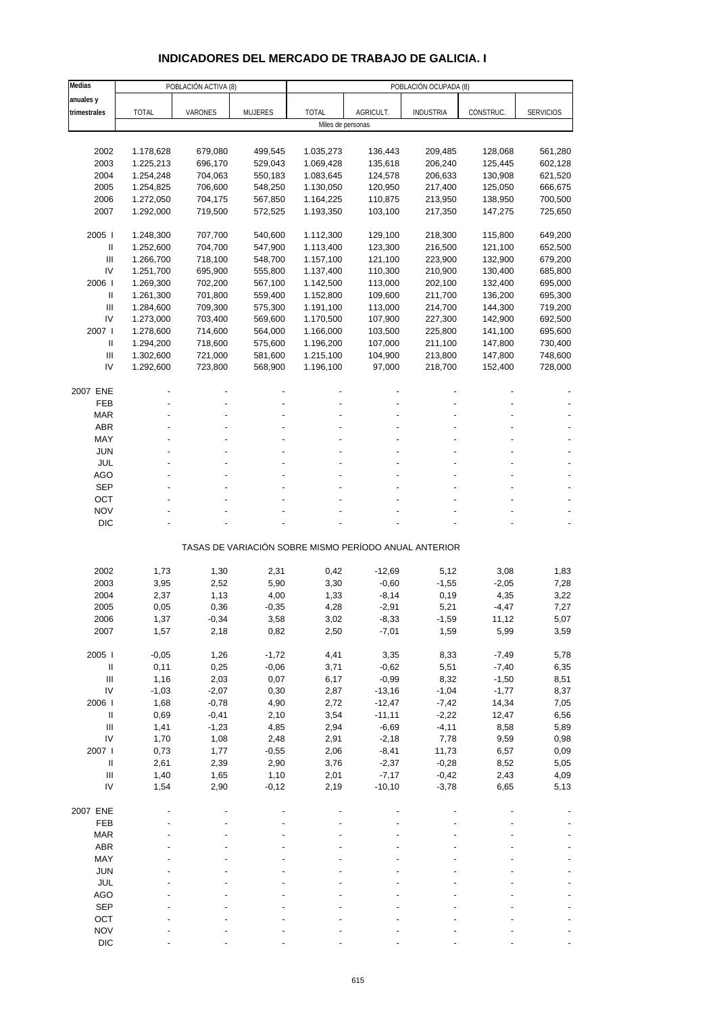# **INDICADORES DEL MERCADO DE TRABAJO DE GALICIA. I**

| Medias                             |              | POBLACIÓN ACTIVA (8) |         | POBLACIÓN OCUPADA (8) |                   |                                                       |           |                  |
|------------------------------------|--------------|----------------------|---------|-----------------------|-------------------|-------------------------------------------------------|-----------|------------------|
| anuales y                          |              |                      |         |                       |                   |                                                       |           |                  |
| trimestrales                       | <b>TOTAL</b> | VARONES              | MUJERES | <b>TOTAL</b>          | AGRICULT.         | <b>INDUSTRIA</b>                                      | CONSTRUC. | <b>SERVICIOS</b> |
|                                    |              |                      |         |                       | Miles de personas |                                                       |           |                  |
|                                    |              |                      |         |                       |                   |                                                       |           |                  |
| 2002                               | 1.178,628    | 679,080              | 499,545 | 1.035,273             | 136,443           | 209,485                                               | 128,068   | 561,280          |
| 2003                               | 1.225,213    | 696,170              | 529,043 | 1.069,428             | 135,618           | 206,240                                               | 125,445   | 602,128          |
| 2004                               | 1.254,248    | 704,063              | 550,183 | 1.083,645             | 124,578           | 206,633                                               | 130,908   | 621,520          |
| 2005                               | 1.254,825    | 706,600              | 548,250 | 1.130,050             | 120,950           | 217,400                                               | 125,050   | 666,675          |
| 2006                               | 1.272,050    | 704,175              | 567,850 | 1.164,225             | 110,875           | 213,950                                               | 138,950   | 700,500          |
| 2007                               | 1.292,000    | 719,500              | 572,525 | 1.193,350             | 103,100           | 217,350                                               | 147,275   | 725,650          |
|                                    |              |                      |         |                       |                   |                                                       |           |                  |
| 2005                               | 1.248,300    | 707,700              | 540,600 | 1.112,300             | 129,100           | 218,300                                               | 115,800   | 649,200          |
| $\, \parallel$                     | 1.252,600    | 704,700              | 547,900 | 1.113,400             | 123,300           | 216,500                                               | 121,100   | 652,500          |
| $\ensuremath{\mathsf{III}}\xspace$ | 1.266,700    | 718,100              | 548,700 | 1.157,100             | 121,100           | 223,900                                               | 132,900   | 679,200          |
| IV                                 | 1.251,700    | 695,900              | 555,800 | 1.137,400             | 110,300           | 210,900                                               | 130,400   | 685,800          |
| 2006                               | 1.269,300    | 702,200              | 567,100 | 1.142,500             | 113,000           | 202,100                                               | 132,400   | 695,000          |
| $\, \parallel$                     | 1.261,300    | 701,800              | 559,400 | 1.152,800             | 109,600           | 211,700                                               | 136,200   | 695,300          |
| III                                | 1.284,600    | 709,300              | 575,300 | 1.191,100             | 113,000           | 214,700                                               | 144,300   | 719,200          |
| IV                                 | 1.273,000    | 703,400              | 569,600 | 1.170,500             | 107,900           | 227,300                                               | 142,900   | 692,500          |
| 2007 l                             | 1.278,600    | 714,600              | 564,000 | 1.166,000             | 103,500           | 225,800                                               | 141,100   | 695,600          |
| Ш                                  | 1.294,200    | 718,600              | 575,600 | 1.196,200             | 107,000           | 211,100                                               | 147,800   | 730,400          |
| $\ensuremath{\mathsf{III}}\xspace$ | 1.302,600    | 721,000              | 581,600 | 1.215,100             | 104,900           | 213,800                                               | 147,800   | 748,600          |
| IV                                 | 1.292,600    | 723,800              | 568,900 | 1.196,100             | 97,000            | 218,700                                               | 152,400   | 728,000          |
|                                    |              |                      |         |                       |                   |                                                       |           |                  |
| 2007 ENE                           |              |                      |         |                       |                   |                                                       |           |                  |
| FEB                                |              |                      |         |                       |                   |                                                       |           |                  |
| <b>MAR</b>                         |              |                      |         |                       |                   |                                                       |           |                  |
| <b>ABR</b>                         |              |                      |         |                       |                   |                                                       |           |                  |
| MAY                                |              |                      |         |                       |                   |                                                       |           |                  |
| <b>JUN</b>                         |              |                      |         |                       |                   |                                                       |           |                  |
| <b>JUL</b>                         |              |                      |         |                       |                   |                                                       |           |                  |
| <b>AGO</b>                         |              |                      |         |                       |                   |                                                       |           |                  |
| <b>SEP</b>                         |              |                      |         |                       |                   |                                                       |           |                  |
| OCT                                |              |                      |         |                       |                   |                                                       |           |                  |
| <b>NOV</b>                         |              |                      |         |                       |                   |                                                       |           |                  |
| <b>DIC</b>                         |              |                      |         |                       |                   |                                                       |           |                  |
|                                    |              |                      |         |                       |                   |                                                       |           |                  |
|                                    |              |                      |         |                       |                   | TASAS DE VARIACIÓN SOBRE MISMO PERÍODO ANUAL ANTERIOR |           |                  |
|                                    |              |                      |         |                       |                   |                                                       |           |                  |
| 2002                               | 1,73         | 1,30                 | 2,31    | 0,42                  | $-12,69$          | 5,12                                                  | 3,08      | 1,83             |
| 2003                               | 3,95         | 2,52                 | 5,90    | 3,30                  | $-0,60$           | $-1,55$                                               | $-2,05$   | 7,28             |
| 2004                               | 2,37         | 1,13                 | 4,00    | 1,33                  | $-8,14$           | 0,19                                                  | 4,35      | 3,22             |
| 2005                               | 0,05         | 0,36                 | $-0,35$ | 4,28                  | $-2,91$           | 5,21                                                  | -4,47     | 7,27             |
| 2006                               | 1,37         | -0,34                | 3,58    | 3,02                  | $-8,33$           | $-1,59$                                               | 11,12     | 5,07             |
| 2007                               | 1,57         | 2,18                 | 0,82    | 2,50                  | $-7,01$           | 1,59                                                  | 5,99      | 3,59             |
|                                    |              |                      |         |                       |                   |                                                       |           |                  |
| 2005                               | $-0,05$      | 1,26                 | $-1,72$ | 4,41                  | 3,35              | 8,33                                                  | $-7,49$   | 5,78             |
| $\, \parallel$                     | 0,11         | 0,25                 | $-0.06$ | 3,71                  | $-0,62$           | 5,51                                                  | $-7,40$   | 6,35             |
| III                                | 1,16         | 2,03                 | 0,07    | 6,17                  | $-0,99$           | 8,32                                                  | $-1,50$   | 8,51             |
| IV                                 | $-1,03$      | $-2,07$              | 0,30    | 2,87                  | $-13,16$          | $-1,04$                                               | $-1,77$   | 8,37             |
| 2006                               | 1,68         | $-0,78$              | 4,90    | 2,72                  | $-12,47$          | $-7,42$                                               | 14,34     | 7,05             |
| $\, \parallel$                     | 0,69         | $-0,41$              | 2,10    | 3,54                  | $-11,11$          | $-2,22$                                               | 12,47     | 6,56             |
| $\mathop{\mathrm{III}}\nolimits$   | 1,41         | $-1,23$              | 4,85    | 2,94                  | $-6,69$           | $-4, 11$                                              | 8,58      | 5,89             |
| IV                                 | 1,70         | 1,08                 | 2,48    | 2,91                  | $-2,18$           | 7,78                                                  | 9,59      | 0,98             |
| 2007 l                             | 0,73         | 1,77                 | $-0,55$ | 2,06                  | $-8,41$           | 11,73                                                 | 6,57      | 0,09             |
| $\, \parallel$                     | 2,61         | 2,39                 | 2,90    | 3,76                  | $-2,37$           | $-0,28$                                               | 8,52      | 5,05             |
| $\mathop{\mathrm{III}}\nolimits$   | 1,40         | 1,65                 | 1,10    | 2,01                  | $-7,17$           | $-0,42$                                               | 2,43      | 4,09             |
| IV                                 | 1,54         | 2,90                 | $-0,12$ | 2,19                  | $-10,10$          | $-3,78$                                               | 6,65      | 5,13             |
|                                    |              |                      |         |                       |                   |                                                       |           |                  |
| 2007 ENE                           |              |                      |         |                       |                   |                                                       |           |                  |
| FEB                                |              |                      |         |                       |                   |                                                       |           |                  |
| <b>MAR</b>                         |              |                      |         |                       |                   |                                                       |           |                  |
| ABR                                |              |                      |         |                       |                   |                                                       |           |                  |
| MAY                                |              |                      |         |                       |                   |                                                       |           |                  |
| <b>JUN</b>                         |              |                      |         |                       |                   |                                                       |           |                  |
| JUL                                |              |                      |         |                       |                   |                                                       |           |                  |
| <b>AGO</b>                         |              |                      |         |                       |                   |                                                       |           |                  |
| <b>SEP</b>                         |              |                      |         |                       |                   |                                                       |           |                  |
| OCT                                |              |                      |         |                       |                   |                                                       |           |                  |
| <b>NOV</b>                         |              |                      |         |                       |                   |                                                       |           |                  |
| <b>DIC</b>                         |              |                      |         |                       |                   |                                                       |           |                  |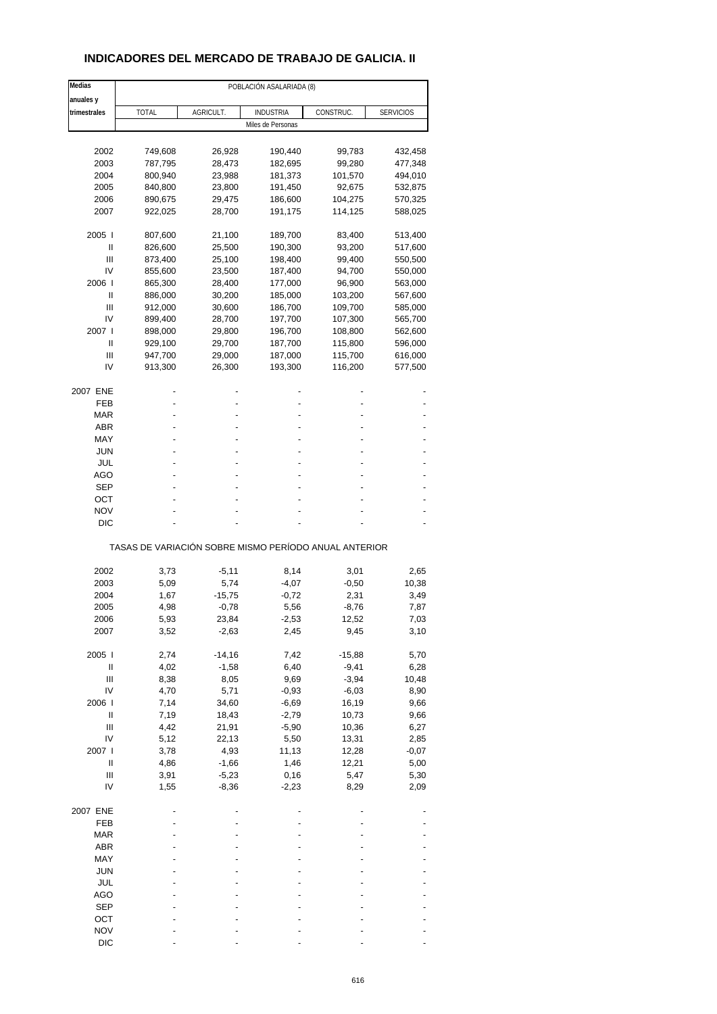### **INDICADORES DEL MERCADO DE TRABAJO DE GALICIA. II**

| Medias                             |                                                       | POBLACIÓN ASALARIADA (8) |                   |           |                  |
|------------------------------------|-------------------------------------------------------|--------------------------|-------------------|-----------|------------------|
| anuales y                          |                                                       |                          |                   |           |                  |
| trimestrales                       | <b>TOTAL</b>                                          | AGRICULT.                | <b>INDUSTRIA</b>  | CONSTRUC. | <b>SERVICIOS</b> |
|                                    |                                                       |                          | Miles de Personas |           |                  |
|                                    |                                                       |                          |                   |           |                  |
| 2002                               | 749,608                                               | 26,928                   | 190,440           | 99,783    | 432,458          |
| 2003                               | 787,795                                               | 28,473                   | 182,695           | 99,280    | 477,348          |
| 2004                               | 800,940                                               | 23,988                   | 181,373           | 101,570   | 494,010          |
| 2005                               | 840,800                                               | 23,800                   | 191,450           | 92,675    | 532,875          |
| 2006                               | 890,675                                               | 29,475                   | 186,600           | 104,275   | 570,325          |
| 2007                               | 922,025                                               | 28,700                   | 191,175           | 114,125   | 588,025          |
| 2005                               | 807,600                                               | 21,100                   | 189,700           | 83,400    | 513,400          |
| Ш                                  | 826,600                                               | 25,500                   | 190,300           | 93,200    | 517,600          |
| Ш                                  | 873,400                                               | 25,100                   | 198,400           | 99,400    | 550,500          |
| IV                                 | 855,600                                               | 23,500                   | 187,400           | 94,700    | 550,000          |
| 2006                               | 865,300                                               | 28,400                   | 177,000           | 96,900    | 563,000          |
| Ш                                  | 886,000                                               | 30,200                   | 185,000           | 103,200   | 567,600          |
| Ш                                  | 912,000                                               | 30,600                   | 186,700           | 109,700   | 585,000          |
| IV                                 | 899,400                                               | 28,700                   | 197,700           | 107,300   | 565,700          |
| 2007                               | 898,000                                               | 29,800                   | 196,700           | 108,800   | 562,600          |
| Ш                                  | 929,100                                               | 29,700                   | 187,700           | 115,800   | 596,000          |
| Ш                                  | 947,700                                               | 29,000                   | 187,000           | 115,700   | 616,000          |
| IV                                 | 913,300                                               | 26,300                   | 193,300           | 116,200   | 577,500          |
|                                    |                                                       |                          |                   |           |                  |
| 2007 ENE                           |                                                       |                          |                   |           |                  |
| FEB                                |                                                       |                          |                   |           |                  |
| <b>MAR</b>                         |                                                       |                          |                   |           |                  |
| <b>ABR</b>                         |                                                       |                          |                   |           |                  |
| MAY                                |                                                       |                          |                   |           |                  |
| <b>JUN</b>                         |                                                       |                          |                   |           |                  |
| JUL                                |                                                       |                          |                   |           |                  |
| <b>AGO</b>                         |                                                       |                          |                   |           |                  |
| <b>SEP</b>                         |                                                       |                          |                   |           |                  |
| ОСТ                                |                                                       |                          |                   |           |                  |
| <b>NOV</b>                         |                                                       |                          |                   |           |                  |
| DIC                                |                                                       |                          |                   |           |                  |
|                                    | TASAS DE VARIACIÓN SOBRE MISMO PERÍODO ANUAL ANTERIOR |                          |                   |           |                  |
|                                    |                                                       |                          |                   |           |                  |
| 2002                               | 3,73                                                  | $-5,11$                  | 8,14              | 3,01      | 2,65             |
| 2003                               | 5,09                                                  | 5,74                     | $-4,07$           | $-0,50$   | 10,38            |
| 2004                               | 1,67                                                  | $-15,75$                 | $-0,72$           | 2,31      | 3,49             |
| 2005                               | 4,98                                                  | $-0,78$                  | 5,56              | $-8,76$   | 7,87             |
| 2006                               | 5,93                                                  | 23,84                    | -2,53             | 12,52     | 7,03             |
| 2007                               | 3,52                                                  | $-2,63$                  | 2,45              | 9,45      | 3,10             |
| 2005 l                             | 2,74                                                  |                          | 7,42              | $-15,88$  | 5,70             |
|                                    |                                                       | $-14,16$                 |                   |           |                  |
| $\sf II$                           | 4,02                                                  | $-1,58$                  | 6,40              | $-9,41$   | 6,28             |
| $\ensuremath{\mathsf{III}}\xspace$ | 8,38                                                  | 8,05                     | 9,69              | $-3,94$   | 10,48            |
| IV                                 | 4,70                                                  | 5,71                     | $-0,93$           | $-6,03$   | 8,90             |
| 2006                               | 7,14                                                  | 34,60                    | $-6,69$           | 16,19     | 9,66             |
| Ш                                  | 7,19                                                  | 18,43                    | $-2,79$           | 10,73     | 9,66             |
| Ш                                  | 4,42                                                  | 21,91                    | $-5,90$           | 10,36     | 6,27             |
| IV                                 | 5,12                                                  | 22,13                    | 5,50              | 13,31     | 2,85             |
| 2007 l                             | 3,78                                                  | 4,93                     | 11,13             | 12,28     | $-0,07$          |
| $\ensuremath{\mathsf{II}}$         | 4,86                                                  | $-1,66$                  | 1,46              | 12,21     | 5,00             |
| Ш                                  | 3,91                                                  | $-5,23$                  | 0,16              | 5,47      | 5,30             |
| IV                                 | 1,55                                                  | $-8,36$                  | $-2,23$           | 8,29      | 2,09             |
| 2007 ENE                           |                                                       |                          |                   |           |                  |
| FEB                                |                                                       |                          |                   |           |                  |
| <b>MAR</b>                         |                                                       |                          |                   |           |                  |
| ABR                                |                                                       |                          |                   |           |                  |
| MAY                                |                                                       |                          |                   |           |                  |
|                                    |                                                       |                          |                   |           |                  |
| <b>JUN</b>                         |                                                       |                          |                   |           |                  |
| JUL                                |                                                       |                          |                   |           |                  |
| <b>AGO</b>                         |                                                       |                          |                   |           |                  |
| <b>SEP</b>                         |                                                       |                          |                   |           |                  |
| OCT                                |                                                       |                          |                   |           |                  |
| <b>NOV</b>                         |                                                       |                          |                   |           |                  |
| <b>DIC</b>                         |                                                       |                          |                   |           |                  |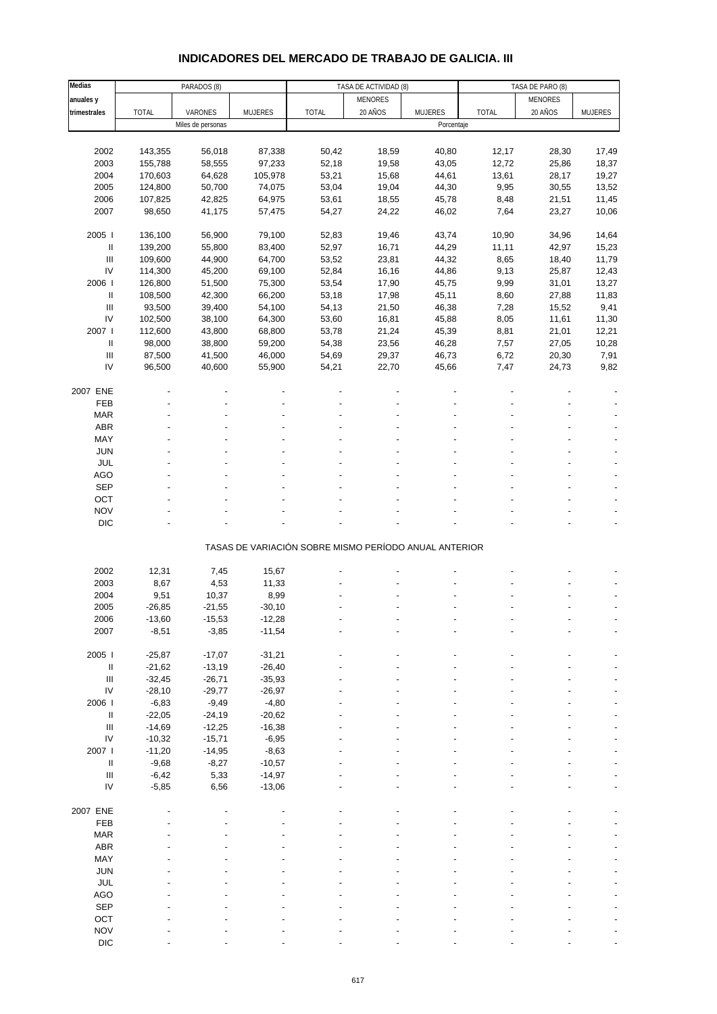# **INDICADORES DEL MERCADO DE TRABAJO DE GALICIA. III**

| Medias                             | PARADOS (8)<br>TASA DE ACTIVIDAD (8) |                   |                | TASA DE PARO (8)                                      |                |                |              |         |                |
|------------------------------------|--------------------------------------|-------------------|----------------|-------------------------------------------------------|----------------|----------------|--------------|---------|----------------|
| anuales y                          |                                      |                   |                |                                                       | <b>MENORES</b> |                |              | MENORES |                |
| trimestrales                       | <b>TOTAL</b>                         | VARONES           | <b>MUJERES</b> | <b>TOTAL</b>                                          | 20 AÑOS        | <b>MUJERES</b> | <b>TOTAL</b> | 20 AÑOS | <b>MUJERES</b> |
|                                    |                                      | Miles de personas |                |                                                       |                | Porcentaje     |              |         |                |
|                                    |                                      |                   |                |                                                       |                |                |              |         |                |
|                                    |                                      |                   |                |                                                       |                |                |              |         |                |
| 2002                               | 143,355                              | 56,018            | 87,338         | 50,42                                                 | 18,59          | 40,80          | 12,17        | 28,30   | 17,49          |
| 2003                               | 155,788                              | 58,555            | 97,233         | 52,18                                                 | 19,58          | 43,05          | 12,72        | 25,86   | 18,37          |
| 2004                               | 170,603                              | 64,628            | 105,978        | 53,21                                                 | 15,68          | 44,61          | 13,61        | 28,17   | 19,27          |
| 2005                               | 124,800                              | 50,700            | 74,075         | 53,04                                                 | 19,04          | 44,30          | 9,95         | 30,55   | 13,52          |
| 2006                               | 107,825                              | 42,825            | 64,975         | 53,61                                                 | 18,55          | 45,78          | 8,48         | 21,51   | 11,45          |
| 2007                               | 98,650                               | 41,175            | 57,475         | 54,27                                                 | 24,22          | 46,02          | 7,64         | 23,27   | 10,06          |
|                                    |                                      |                   |                |                                                       |                |                |              |         |                |
| 2005                               | 136,100                              | 56,900            | 79,100         | 52,83                                                 | 19,46          | 43,74          | 10,90        | 34,96   | 14,64          |
| Ш                                  | 139,200                              | 55,800            | 83,400         | 52,97                                                 | 16,71          | 44,29          | 11,11        | 42,97   | 15,23          |
| $\ensuremath{\mathsf{III}}\xspace$ | 109,600                              | 44,900            | 64,700         | 53,52                                                 | 23,81          | 44,32          | 8,65         | 18,40   | 11,79          |
|                                    |                                      |                   |                |                                                       |                |                |              |         |                |
| ${\sf IV}$                         | 114,300                              | 45,200            | 69,100         | 52,84                                                 | 16,16          | 44,86          | 9,13         | 25,87   | 12,43          |
| 2006                               | 126,800                              | 51,500            | 75,300         | 53,54                                                 | 17,90          | 45,75          | 9,99         | 31,01   | 13,27          |
| Ш                                  | 108,500                              | 42,300            | 66,200         | 53,18                                                 | 17,98          | 45,11          | 8,60         | 27,88   | 11,83          |
| $\ensuremath{\mathsf{III}}\xspace$ | 93,500                               | 39,400            | 54,100         | 54,13                                                 | 21,50          | 46,38          | 7,28         | 15,52   | 9,41           |
| IV                                 | 102,500                              | 38,100            | 64,300         | 53,60                                                 | 16,81          | 45,88          | 8,05         | 11,61   | 11,30          |
| 2007                               | 112,600                              | 43,800            | 68,800         | 53,78                                                 | 21,24          | 45,39          | 8,81         | 21,01   | 12,21          |
| Ш                                  | 98,000                               | 38,800            | 59,200         | 54,38                                                 | 23,56          | 46,28          | 7,57         | 27,05   | 10,28          |
| $\ensuremath{\mathsf{III}}\xspace$ | 87,500                               | 41,500            | 46,000         | 54,69                                                 | 29,37          | 46,73          | 6,72         | 20,30   | 7,91           |
| IV                                 | 96,500                               | 40,600            | 55,900         | 54,21                                                 | 22,70          | 45,66          | 7,47         | 24,73   | 9,82           |
|                                    |                                      |                   |                |                                                       |                |                |              |         |                |
|                                    |                                      |                   |                |                                                       |                |                |              |         |                |
| 2007 ENE                           |                                      |                   |                |                                                       |                |                |              |         |                |
| FEB                                |                                      |                   |                |                                                       |                |                |              |         |                |
| <b>MAR</b>                         |                                      |                   |                |                                                       |                |                |              |         |                |
| ABR                                |                                      |                   |                |                                                       |                |                |              |         |                |
| MAY                                |                                      |                   |                |                                                       |                |                |              |         |                |
| <b>JUN</b>                         |                                      |                   |                |                                                       |                |                |              |         |                |
| JUL                                |                                      |                   |                |                                                       |                |                |              |         |                |
| AGO                                |                                      |                   |                |                                                       |                |                |              |         |                |
|                                    |                                      |                   |                |                                                       |                |                |              |         |                |
| SEP                                |                                      |                   |                |                                                       |                |                |              |         |                |
| OCT                                |                                      |                   |                |                                                       |                |                |              |         |                |
| <b>NOV</b>                         |                                      |                   |                |                                                       |                |                |              |         |                |
| $DIC$                              |                                      |                   |                |                                                       |                |                |              |         |                |
|                                    |                                      |                   |                |                                                       |                |                |              |         |                |
|                                    |                                      |                   |                | TASAS DE VARIACIÓN SOBRE MISMO PERÍODO ANUAL ANTERIOR |                |                |              |         |                |
|                                    |                                      |                   |                |                                                       |                |                |              |         |                |
| 2002                               | 12,31                                | 7,45              | 15,67          |                                                       |                |                |              |         |                |
| 2003                               | 8,67                                 | 4,53              | 11,33          |                                                       |                |                |              |         |                |
| 2004                               | 9,51                                 | 10,37             | 8,99           |                                                       |                |                |              |         |                |
| 2005                               | $-26,85$                             | $-21,55$          | $-30,10$       |                                                       |                |                |              |         |                |
| 2006                               | -13,60                               | -15,53            | -12,28         |                                                       |                |                |              |         |                |
| 2007                               | $-8,51$                              | $-3,85$           | $-11,54$       |                                                       |                |                |              |         |                |
|                                    |                                      |                   |                |                                                       |                |                |              |         |                |
|                                    |                                      |                   |                |                                                       |                |                |              |         |                |
| 2005 l                             | $-25,87$                             | $-17,07$          | $-31,21$       |                                                       |                |                |              |         |                |
| Ш                                  | $-21,62$                             | $-13,19$          | $-26,40$       |                                                       |                |                |              |         |                |
| $\ensuremath{\mathsf{III}}\xspace$ | $-32,45$                             | $-26,71$          | $-35,93$       |                                                       |                |                |              |         |                |
| ${\sf IV}$                         | $-28,10$                             | $-29,77$          | $-26,97$       |                                                       |                |                |              |         |                |
| 2006                               | $-6,83$                              | $-9,49$           | $-4,80$        |                                                       |                |                |              |         |                |
| Ш                                  | $-22,05$                             | $-24,19$          | $-20,62$       |                                                       |                |                |              |         |                |
| $\ensuremath{\mathsf{III}}\xspace$ | $-14,69$                             | $-12,25$          | $-16,38$       |                                                       |                |                |              |         |                |
| IV                                 | $-10,32$                             | $-15,71$          | $-6,95$        |                                                       |                |                |              |         |                |
| 2007 l                             | $-11,20$                             | $-14,95$          | $-8,63$        |                                                       |                |                |              |         |                |
| $\ensuremath{\mathsf{II}}$         | $-9,68$                              | $-8,27$           | $-10,57$       |                                                       |                |                |              |         |                |
| $\ensuremath{\mathsf{III}}\xspace$ |                                      |                   |                |                                                       |                |                |              |         |                |
|                                    | $-6,42$                              | 5,33              | $-14,97$       |                                                       |                |                |              |         |                |
| IV                                 | $-5,85$                              | 6,56              | $-13,06$       |                                                       |                |                |              |         |                |
|                                    |                                      |                   |                |                                                       |                |                |              |         |                |
| 2007 ENE                           |                                      |                   |                |                                                       |                |                |              |         |                |
| FEB                                |                                      |                   |                |                                                       |                |                |              |         |                |
| <b>MAR</b>                         |                                      |                   |                |                                                       |                |                |              |         |                |
| ABR                                |                                      |                   |                |                                                       |                |                |              |         |                |
| MAY                                |                                      |                   |                |                                                       |                |                |              |         |                |
| JUN                                |                                      |                   |                |                                                       |                |                |              |         |                |
| JUL                                |                                      |                   |                |                                                       |                |                |              |         |                |
| AGO                                |                                      |                   |                |                                                       |                |                |              |         |                |
|                                    |                                      |                   |                |                                                       |                |                |              |         |                |
| SEP                                |                                      |                   |                |                                                       |                |                |              |         |                |
| OCT                                |                                      |                   |                |                                                       |                |                |              |         |                |
| <b>NOV</b>                         |                                      |                   |                |                                                       |                |                |              |         |                |
| DIC                                |                                      |                   |                |                                                       |                |                |              |         |                |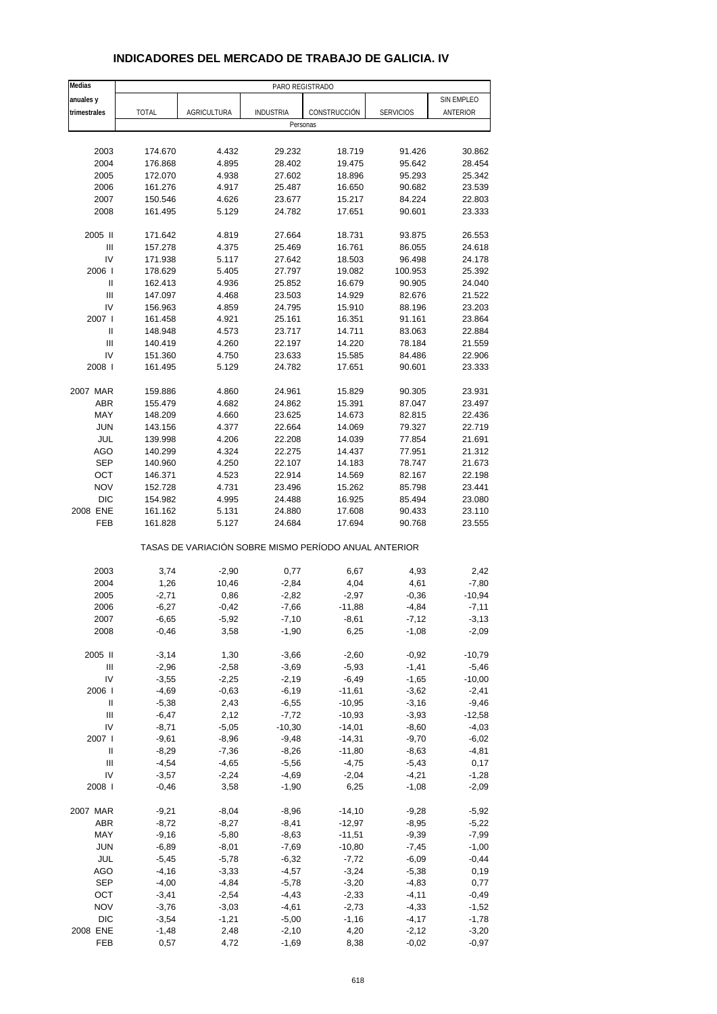#### **Medias** PARO REGISTRADO **anuales y** SIN EMPLEO **trimestrales** TOTAL AGRICULTURA INDUSTRIA CONSTRUCCIÓN SERVICIOS ANTERIOR Personas 2003 174.670 4.432 29.232 18.719 91.426 30.862 2004 176.868 4.895 28.402 19.475 95.642 28.454 2005 172.070 4.938 27.602 18.896 95.293 25.342 2006 161.276 4.917 25.487 16.650 90.682 23.539 2007 150.546 4.626 23.677 15.217 84.224 22.803 2008 161.495 5.129 24.782 17.651 90.601 23.333 2005 II 171.642 4.819 27.664 18.731 93.875 26.553 III 157.278 4.375 25.469 16.761 86.055 24.618 IV 171.938 5.117 27.642 18.503 96.498 24.178 2006 I 178.629 5.405 27.797 19.082 100.953 25.392 II 162.413 4.936 25.852 16.679 90.905 24.040 III 147.097 4.468 23.503 14.929 82.676 21.522 IV 156.963 4.859 24.795 15.910 88.196 23.203 2007 I 161.458 4.921 25.161 16.351 91.161 23.864 II 148.948 4.573 23.717 14.711 83.063 22.884 III 140.419 4.260 22.197 14.220 78.184 21.559 IV 151.360 4.750 23.633 15.585 84.486 22.906 2008 I 161.495 5.129 24.782 17.651 90.601 23.333 2007 MAR 159.886 4.860 24.961 15.829 90.305 23.931 ABR 155.479 4.682 24.862 15.391 87.047 23.497 MAY 148.209 4.660 23.625 14.673 82.815 22.436 JUN 143.156 4.377 22.664 14.069 79.327 22.719 JUL 139.998 4.206 22.208 14.039 77.854 21.691 AGO 140.299 4.324 22.275 14.437 77.951 21.312 SEP 140.960 4.250 22.107 14.183 78.747 21.673 OCT 146.371 4.523 22.914 14.569 82.167 22.198 NOV 152.728 4.731 23.496 15.262 85.798 23.441 DIC 154.982 4.995 24.488 16.925 85.494 23.080 2008 ENE 161.162 5.131 24.880 17.608 90.433 23.110 FEB 161.828 5.127 24.684 17.694 90.768 23.555 TASAS DE VARIACIÓN SOBRE MISMO PERÍODO ANUAL ANTERIOR 2003 3,74 -2,90 0,77 6,67 4,93 2,42 2004 1,26 10,46 -2,84 4,04 4,61 -7,80 2005 -2,71 0,86 -2,82 -2,97 -0,36 -10,94 2006 -6,27 -0,42 -7,66 -11,88 -4,84 -7,11 2007 -6,65 -5,92 -7,10 -8,61 -7,12 -3,13 2008 -0,46 3,58 -1,90 6,25 -1,08 -2,09 2005 II -3,14 1,30 -3,66 -2,60 -0,92 -10,79 III -2,96 -2,58 -3,69 -5,93 -1,41 -5,46 IV -3,55 -2,25 -2,19 -6,49 -1,65 -10,00 2006 I -4,69 -0,63 -6,19 -11,61 -3,62 -2,41 II -5,38 2,43 -6,55 -10,95 -3,16 -9,46 III -6,47 2,12 -7,72 -10,93 -3,93 -12,58 IV -8,71 -5,05 -10,30 -14,01 -8,60 -4,03 2007 **I** -9,61 -8,96 -9,48 -14,31 -9,70 -6,02 II -8,29 -7,36 -8,26 -11,80 -8,63 -4,81 III -4,54 -4,65 -5,56 -4,75 -5,43 0,17 IV -3,57 -2,24 -4,69 -2,04 -4,21 -1,28 2008 I -0,46 3,58 -1,90 6,25 -1,08 -2,09 2007 MAR -9,21 -8,04 -8,96 -14,10 -9,28 -5,92 ABR -8,72 -8,27 -8,41 -12,97 -8,95 -5,22 MAY -9,16 -5,80 -8,63 -11,51 -9,39 -7,99 JUN -6,89 -8,01 -7,69 -10,80 -7,45 -1,00 JUL -5,45 -5,78 -6,32 -7,72 -6,09 -0,44 AGO -4,16 -3,33 -4,57 -3,24 -5,38 0,19 SEP -4,00 -4,84 -5,78 -3,20 -4,83 0,77 OCT -3,41 -2,54 -4,43 -2,33 -4,11 -0,49 NOV -3,76 -3,03 -4,61 -2,73 -4,33 -1,52 DIC -3,54 -1,21 -5,00 -1,16 -4,17 -1,78

#### **INDICADORES DEL MERCADO DE TRABAJO DE GALICIA. IV**

2008 ENE -1,48 2,48 -2,10 4,20 -2,12 -3,20 FEB 0,57 4,72 -1,69 8,38 -0,02 -0,97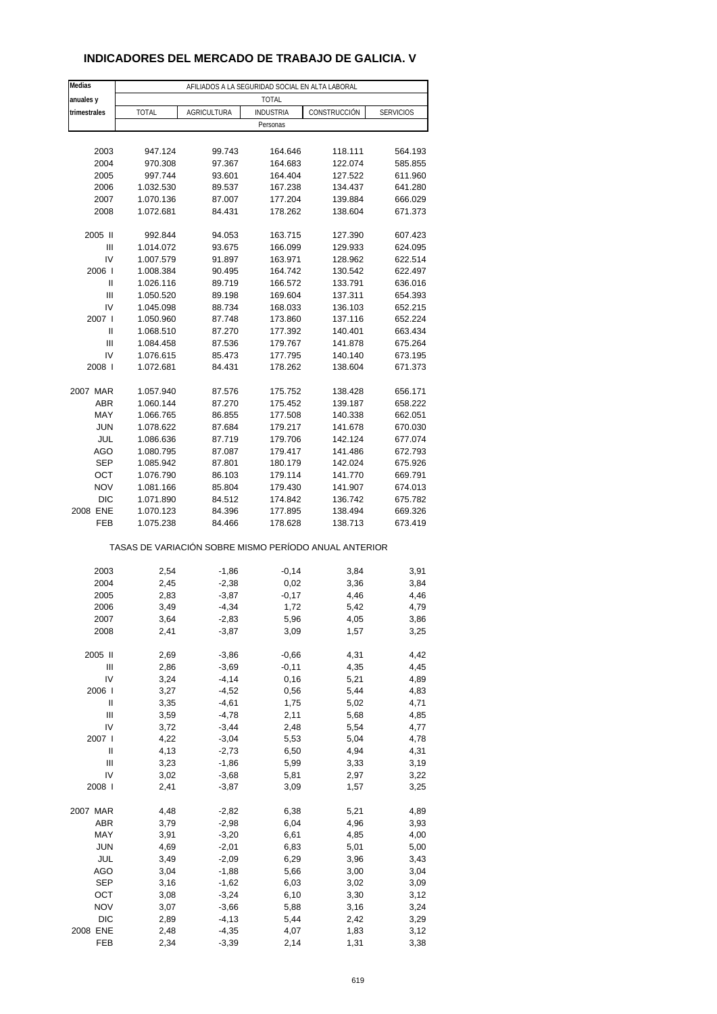#### **INDICADORES DEL MERCADO DE TRABAJO DE GALICIA. V**

| Medias       | AFILIADOS A LA SEGURIDAD SOCIAL EN ALTA LABORAL       |                    |                  |              |                  |  |  |  |
|--------------|-------------------------------------------------------|--------------------|------------------|--------------|------------------|--|--|--|
| anuales y    |                                                       |                    | <b>TOTAL</b>     |              |                  |  |  |  |
| trimestrales | <b>TOTAL</b>                                          | <b>AGRICULTURA</b> | <b>INDUSTRIA</b> | CONSTRUCCIÓN | <b>SERVICIOS</b> |  |  |  |
|              |                                                       |                    | Personas         |              |                  |  |  |  |
|              |                                                       |                    |                  |              |                  |  |  |  |
| 2003         | 947.124                                               | 99.743             | 164.646          | 118.111      | 564.193          |  |  |  |
| 2004         | 970.308                                               | 97.367             | 164.683          | 122.074      | 585.855          |  |  |  |
| 2005         | 997.744                                               | 93.601             | 164.404          | 127.522      | 611.960          |  |  |  |
| 2006         | 1.032.530                                             | 89.537             | 167.238          | 134.437      | 641.280          |  |  |  |
| 2007         | 1.070.136                                             | 87.007             | 177.204          | 139.884      | 666.029          |  |  |  |
| 2008         | 1.072.681                                             | 84.431             | 178.262          | 138.604      | 671.373          |  |  |  |
| 2005 II      | 992.844                                               | 94.053             | 163.715          | 127.390      | 607.423          |  |  |  |
| Ш            | 1.014.072                                             | 93.675             | 166.099          | 129.933      | 624.095          |  |  |  |
| IV           | 1.007.579                                             | 91.897             | 163.971          | 128.962      | 622.514          |  |  |  |
| 2006         | 1.008.384                                             | 90.495             | 164.742          | 130.542      | 622.497          |  |  |  |
| Ш            | 1.026.116                                             | 89.719             | 166.572          | 133.791      | 636.016          |  |  |  |
| Ш            | 1.050.520                                             | 89.198             | 169.604          | 137.311      | 654.393          |  |  |  |
| IV           | 1.045.098                                             | 88.734             | 168.033          | 136.103      | 652.215          |  |  |  |
| 2007 l       | 1.050.960                                             | 87.748             | 173.860          | 137.116      | 652.224          |  |  |  |
| Ш            | 1.068.510                                             | 87.270             | 177.392          | 140.401      | 663.434          |  |  |  |
| Ш            | 1.084.458                                             | 87.536             | 179.767          | 141.878      | 675.264          |  |  |  |
| IV           | 1.076.615                                             | 85.473             | 177.795          | 140.140      | 673.195          |  |  |  |
| 2008         | 1.072.681                                             | 84.431             | 178.262          | 138.604      | 671.373          |  |  |  |
|              |                                                       |                    |                  |              |                  |  |  |  |
| 2007 MAR     | 1.057.940                                             | 87.576             | 175.752          | 138.428      | 656.171          |  |  |  |
| <b>ABR</b>   | 1.060.144                                             | 87.270             | 175.452          | 139.187      | 658.222          |  |  |  |
| MAY          | 1.066.765                                             | 86.855             | 177.508          | 140.338      | 662.051          |  |  |  |
| <b>JUN</b>   | 1.078.622                                             | 87.684             | 179.217          | 141.678      | 670.030          |  |  |  |
| JUL          | 1.086.636                                             | 87.719             | 179.706          | 142.124      | 677.074          |  |  |  |
| AGO          | 1.080.795                                             | 87.087             | 179.417          | 141.486      | 672.793          |  |  |  |
| <b>SEP</b>   | 1.085.942                                             | 87.801             | 180.179          | 142.024      | 675.926          |  |  |  |
| OCT          | 1.076.790                                             | 86.103             | 179.114          | 141.770      | 669.791          |  |  |  |
| <b>NOV</b>   | 1.081.166                                             | 85.804             | 179.430          | 141.907      | 674.013          |  |  |  |
| DIC          | 1.071.890                                             | 84.512             | 174.842          | 136.742      | 675.782          |  |  |  |
| 2008 ENE     | 1.070.123                                             | 84.396             | 177.895          | 138.494      | 669.326          |  |  |  |
| FEB          | 1.075.238                                             | 84.466             | 178.628          | 138.713      | 673.419          |  |  |  |
|              | TASAS DE VARIACIÓN SOBRE MISMO PERÍODO ANUAL ANTERIOR |                    |                  |              |                  |  |  |  |
| 2003         |                                                       |                    |                  |              |                  |  |  |  |
| 2004         | 2,54<br>2,45                                          | $-1,86$<br>$-2,38$ | $-0,14$<br>0,02  | 3,84<br>3,36 | 3,91<br>3,84     |  |  |  |
| 2005         | 2,83                                                  | $-3,87$            | $-0,17$          | 4,46         | 4,46             |  |  |  |
| 2006         | 3,49                                                  | $-4,34$            | 1,72             | 5,42         | 4,79             |  |  |  |
| 2007         | 3,64                                                  | -2,83              | 5,96             | 4,05         | 3,86             |  |  |  |
| 2008         | 2,41                                                  | $-3,87$            | 3,09             | 1,57         | 3,25             |  |  |  |
|              |                                                       |                    |                  |              |                  |  |  |  |
| 2005 II      | 2,69                                                  | $-3,86$            | $-0,66$          | 4,31         | 4,42             |  |  |  |
| Ш            | 2,86                                                  | $-3,69$            | $-0,11$          | 4,35         | 4,45             |  |  |  |
| IV           | 3,24                                                  | $-4, 14$           | 0, 16            | 5,21         | 4,89             |  |  |  |
| 2006         | 3,27                                                  | $-4,52$            | 0,56             | 5,44         | 4,83             |  |  |  |
| Ш            | 3,35                                                  | $-4,61$            | 1,75             | 5,02         | 4,71             |  |  |  |
| Ш            | 3,59                                                  | $-4,78$            | 2,11             | 5,68         | 4,85             |  |  |  |
| IV           | 3,72                                                  | $-3,44$            | 2,48             | 5,54         | 4,77             |  |  |  |
| 2007 l       | 4,22                                                  | $-3,04$            | 5,53             | 5,04         | 4,78             |  |  |  |
| $\sf II$     | 4,13                                                  | $-2,73$            | 6,50             | 4,94         | 4,31             |  |  |  |
| Ш            | 3,23                                                  | $-1,86$            | 5,99             | 3,33         | 3,19             |  |  |  |
| IV           | 3,02                                                  | $-3,68$            | 5,81             | 2,97         | 3,22             |  |  |  |
| 2008         | 2,41                                                  | $-3,87$            | 3,09             | 1,57         | 3,25             |  |  |  |
| 2007 MAR     | 4,48                                                  | $-2,82$            | 6,38             | 5,21         | 4,89             |  |  |  |
| <b>ABR</b>   | 3,79                                                  | $-2,98$            | 6,04             | 4,96         | 3,93             |  |  |  |
| MAY          | 3,91                                                  | $-3,20$            | 6,61             | 4,85         | 4,00             |  |  |  |
| <b>JUN</b>   | 4,69                                                  | $-2,01$            | 6,83             | 5,01         | 5,00             |  |  |  |
| JUL          | 3,49                                                  | $-2,09$            | 6,29             | 3,96         | 3,43             |  |  |  |
| AGO          | 3,04                                                  | $-1,88$            | 5,66             | 3,00         | 3,04             |  |  |  |
| <b>SEP</b>   | 3,16                                                  | $-1,62$            | 6,03             | 3,02         | 3,09             |  |  |  |
| OCT          | 3,08                                                  | $-3,24$            | 6,10             | 3,30         | 3,12             |  |  |  |
| <b>NOV</b>   | 3,07                                                  | $-3,66$            | 5,88             | 3,16         | 3,24             |  |  |  |
| $DIC$        | 2,89                                                  | $-4, 13$           | 5,44             | 2,42         | 3,29             |  |  |  |
| 2008 ENE     | 2,48                                                  | $-4,35$            | 4,07             | 1,83         | 3,12             |  |  |  |
| FEB          | 2,34                                                  | $-3,39$            | 2,14             | 1,31         | 3,38             |  |  |  |
|              |                                                       |                    |                  |              |                  |  |  |  |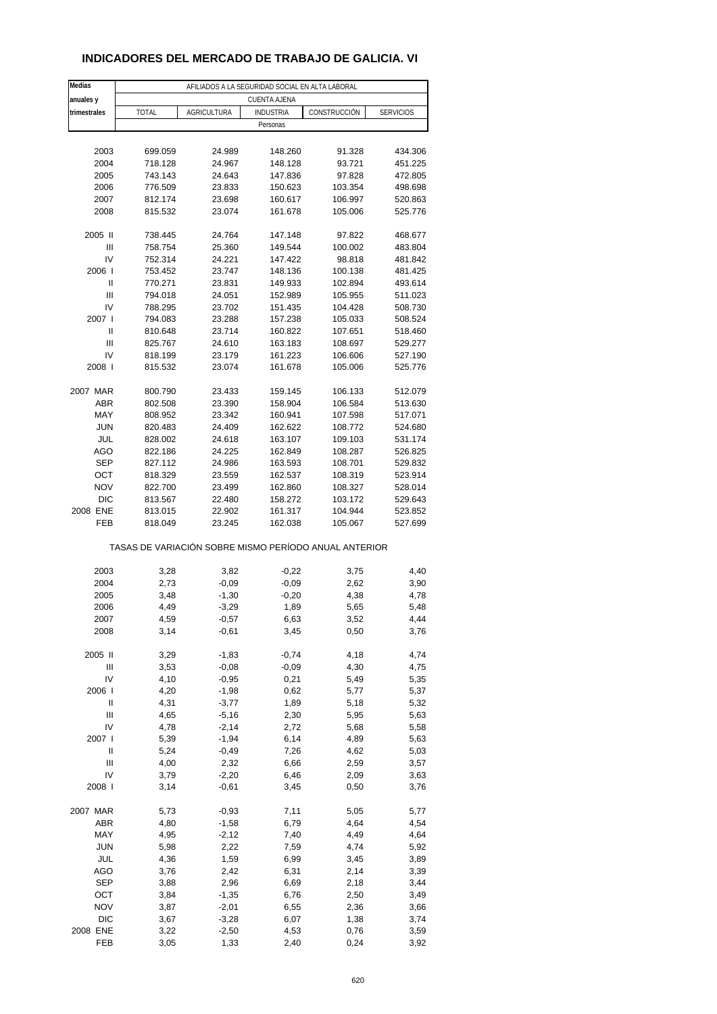#### **INDICADORES DEL MERCADO DE TRABAJO DE GALICIA. VI**

| Medias                 | AFILIADOS A LA SEGURIDAD SOCIAL EN ALTA LABORAL       |                    |                     |                    |                    |  |  |  |
|------------------------|-------------------------------------------------------|--------------------|---------------------|--------------------|--------------------|--|--|--|
| anuales y              |                                                       |                    | <b>CUENTA AJENA</b> |                    |                    |  |  |  |
| trimestrales           | <b>TOTAL</b>                                          | <b>AGRICULTURA</b> | <b>INDUSTRIA</b>    | CONSTRUCCIÓN       | <b>SERVICIOS</b>   |  |  |  |
|                        |                                                       |                    | Personas            |                    |                    |  |  |  |
|                        |                                                       |                    |                     |                    |                    |  |  |  |
| 2003                   | 699.059                                               | 24.989             | 148.260             | 91.328             | 434.306            |  |  |  |
| 2004                   | 718.128                                               | 24.967             | 148.128             | 93.721             | 451.225            |  |  |  |
| 2005                   | 743.143                                               | 24.643             | 147.836             | 97.828             | 472.805            |  |  |  |
| 2006                   | 776.509                                               | 23.833             | 150.623             | 103.354            | 498.698            |  |  |  |
| 2007                   | 812.174                                               | 23.698             | 160.617             | 106.997            | 520.863            |  |  |  |
| 2008                   | 815.532                                               | 23.074             | 161.678             | 105.006            | 525.776            |  |  |  |
|                        |                                                       |                    |                     |                    |                    |  |  |  |
| 2005 II                | 738.445                                               | 24.764             | 147.148             | 97.822             | 468.677            |  |  |  |
| $\mathsf{III}$         | 758.754                                               | 25.360             | 149.544             | 100.002            | 483.804            |  |  |  |
| IV                     | 752.314                                               | 24.221             | 147.422             | 98.818             | 481.842            |  |  |  |
| 2006                   | 753.452                                               | 23.747             | 148.136             | 100.138            | 481.425            |  |  |  |
| Ш                      | 770.271                                               | 23.831             | 149.933             | 102.894            | 493.614            |  |  |  |
| Ш                      | 794.018                                               | 24.051             | 152.989             | 105.955            | 511.023            |  |  |  |
| IV                     | 788.295                                               | 23.702             | 151.435             | 104.428            | 508.730            |  |  |  |
| 2007 l                 | 794.083                                               | 23.288             | 157.238             | 105.033            | 508.524            |  |  |  |
| Ш                      | 810.648                                               | 23.714             | 160.822             | 107.651            | 518.460            |  |  |  |
| $\mathsf{III}$         | 825.767                                               | 24.610             | 163.183             | 108.697            | 529.277            |  |  |  |
| IV                     | 818.199                                               | 23.179             | 161.223             | 106.606            | 527.190            |  |  |  |
| 2008                   | 815.532                                               | 23.074             | 161.678             | 105.006            | 525.776            |  |  |  |
|                        |                                                       |                    |                     |                    |                    |  |  |  |
| 2007 MAR<br><b>ABR</b> | 800.790                                               | 23.433             | 159.145             | 106.133<br>106.584 | 512.079<br>513.630 |  |  |  |
| MAY                    | 802.508<br>808.952                                    | 23.390<br>23.342   | 158.904<br>160.941  | 107.598            | 517.071            |  |  |  |
| <b>JUN</b>             | 820.483                                               | 24.409             | 162.622             | 108.772            | 524.680            |  |  |  |
| JUL                    | 828.002                                               | 24.618             | 163.107             | 109.103            | 531.174            |  |  |  |
| AGO                    | 822.186                                               | 24.225             | 162.849             | 108.287            | 526.825            |  |  |  |
| <b>SEP</b>             | 827.112                                               | 24.986             | 163.593             | 108.701            | 529.832            |  |  |  |
| OCT                    | 818.329                                               | 23.559             | 162.537             | 108.319            | 523.914            |  |  |  |
| <b>NOV</b>             | 822.700                                               | 23.499             | 162.860             | 108.327            | 528.014            |  |  |  |
| <b>DIC</b>             | 813.567                                               | 22.480             | 158.272             | 103.172            | 529.643            |  |  |  |
| 2008 ENE               | 813.015                                               | 22.902             | 161.317             | 104.944            | 523.852            |  |  |  |
| FEB                    | 818.049                                               | 23.245             | 162.038             | 105.067            | 527.699            |  |  |  |
|                        |                                                       |                    |                     |                    |                    |  |  |  |
|                        | TASAS DE VARIACIÓN SOBRE MISMO PERÍODO ANUAL ANTERIOR |                    |                     |                    |                    |  |  |  |
|                        |                                                       |                    |                     |                    |                    |  |  |  |
| 2003                   | 3,28                                                  | 3,82               | $-0,22$             | 3,75               | 4,40               |  |  |  |
| 2004                   | 2,73                                                  | $-0,09$            | $-0,09$             | 2,62               | 3,90               |  |  |  |
| 2005                   | 3,48                                                  | $-1,30$            | $-0,20$             | 4,38               | 4,78               |  |  |  |
| 2006                   | 4,49                                                  | $-3,29$            | 1,89                | 5,65               | 5,48               |  |  |  |
| 2007                   | 4,59                                                  | $-0,57$            | 6,63                | 3,52               | 4,44               |  |  |  |
| 2008                   | 3,14                                                  | $-0,61$            | 3,45                | 0,50               | 3,76               |  |  |  |
|                        |                                                       |                    |                     |                    |                    |  |  |  |
| 2005 II                | 3,29                                                  | $-1,83$            | $-0,74$             | 4,18               | 4,74               |  |  |  |
| Ш                      | 3,53                                                  | $-0,08$            | $-0,09$             | 4,30               | 4,75               |  |  |  |
| IV                     | 4,10                                                  | $-0,95$            | 0,21                | 5,49               | 5,35               |  |  |  |
| 2006                   | 4,20                                                  | $-1,98$            | 0,62                | 5,77               | 5,37               |  |  |  |
| $\sf II$               | 4,31                                                  | $-3,77$            | 1,89                | 5,18               | 5,32               |  |  |  |
| Ш                      | 4,65<br>4,78                                          | $-5,16$            | 2,30                | 5,95               | 5,63               |  |  |  |
| IV                     |                                                       | $-2,14$            | 2,72                | 5,68               | 5,58               |  |  |  |
| 2007 l                 | 5,39                                                  | $-1,94$            | 6,14                | 4,89               | 5,63               |  |  |  |
| Ш<br>Ш                 | 5,24<br>4,00                                          | $-0,49$<br>2,32    | 7,26                | 4,62               | 5,03               |  |  |  |
| IV                     | 3,79                                                  | $-2,20$            | 6,66<br>6,46        | 2,59               | 3,57               |  |  |  |
| 2008                   | 3,14                                                  | $-0,61$            | 3,45                | 2,09<br>0,50       | 3,63<br>3,76       |  |  |  |
|                        |                                                       |                    |                     |                    |                    |  |  |  |
| 2007 MAR               | 5,73                                                  | $-0,93$            | 7,11                | 5,05               | 5,77               |  |  |  |
| <b>ABR</b>             | 4,80                                                  | $-1,58$            | 6,79                | 4,64               | 4,54               |  |  |  |
| MAY                    | 4,95                                                  | $-2,12$            | 7,40                | 4,49               | 4,64               |  |  |  |
| <b>JUN</b>             | 5,98                                                  | 2,22               | 7,59                | 4,74               | 5,92               |  |  |  |
| JUL                    | 4,36                                                  | 1,59               | 6,99                | 3,45               | 3,89               |  |  |  |
| AGO                    | 3,76                                                  | 2,42               | 6,31                | 2,14               | 3,39               |  |  |  |
| <b>SEP</b>             | 3,88                                                  | 2,96               | 6,69                | 2,18               | 3,44               |  |  |  |
| OCT                    | 3,84                                                  | $-1,35$            | 6,76                | 2,50               | 3,49               |  |  |  |
| <b>NOV</b>             | 3,87                                                  | $-2,01$            | 6,55                | 2,36               | 3,66               |  |  |  |
| <b>DIC</b>             | 3,67                                                  | $-3,28$            | 6,07                | 1,38               | 3,74               |  |  |  |
| 2008 ENE               | 3,22                                                  | $-2,50$            | 4,53                | 0,76               | 3,59               |  |  |  |
| FEB                    | 3,05                                                  | 1,33               | 2,40                | 0,24               | 3,92               |  |  |  |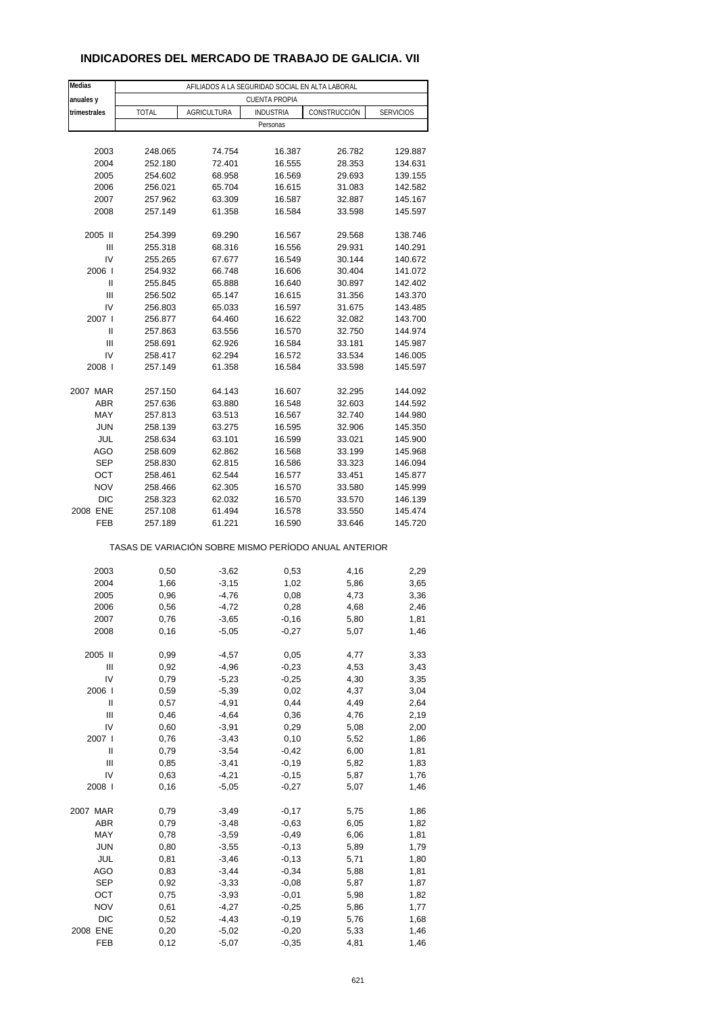### **INDICADORES DEL MERCADO DE TRABAJO DE GALICIA. VII**

| Medias       |              | AFILIADOS A LA SEGURIDAD SOCIAL EN ALTA LABORAL |                                                       |              |                  |  |  |  |
|--------------|--------------|-------------------------------------------------|-------------------------------------------------------|--------------|------------------|--|--|--|
| anuales y    |              |                                                 | <b>CUENTA PROPIA</b>                                  |              |                  |  |  |  |
| trimestrales | <b>TOTAL</b> | <b>AGRICULTURA</b>                              | <b>INDUSTRIA</b><br>Personas                          | CONSTRUCCIÓN | <b>SERVICIOS</b> |  |  |  |
|              |              |                                                 |                                                       |              |                  |  |  |  |
| 2003         | 248.065      | 74.754                                          | 16.387                                                | 26.782       | 129.887          |  |  |  |
| 2004         | 252.180      | 72.401                                          | 16.555                                                | 28.353       | 134.631          |  |  |  |
| 2005         | 254.602      | 68.958                                          | 16.569                                                | 29.693       | 139.155          |  |  |  |
| 2006         | 256.021      | 65.704                                          | 16.615                                                | 31.083       | 142.582          |  |  |  |
| 2007         | 257.962      | 63.309                                          | 16.587                                                | 32.887       | 145.167          |  |  |  |
| 2008         | 257.149      | 61.358                                          | 16.584                                                | 33.598       | 145.597          |  |  |  |
|              |              |                                                 |                                                       |              |                  |  |  |  |
| 2005 II      | 254.399      | 69.290                                          | 16.567                                                | 29.568       | 138.746          |  |  |  |
| Ш            | 255.318      | 68.316                                          | 16.556                                                | 29.931       | 140.291          |  |  |  |
| IV           | 255.265      | 67.677                                          | 16.549                                                | 30.144       | 140.672          |  |  |  |
| 2006         | 254.932      | 66.748                                          | 16.606                                                | 30.404       | 141.072          |  |  |  |
| Ш            | 255.845      | 65.888                                          | 16.640                                                | 30.897       | 142.402          |  |  |  |
| Ш            | 256.502      | 65.147                                          | 16.615                                                | 31.356       | 143.370          |  |  |  |
| IV           | 256.803      | 65.033                                          | 16.597                                                | 31.675       | 143.485          |  |  |  |
| 2007 l       | 256.877      | 64.460                                          | 16.622                                                | 32.082       | 143.700          |  |  |  |
| Ш            | 257.863      | 63.556                                          | 16.570                                                | 32.750       | 144.974          |  |  |  |
| Ш            | 258.691      | 62.926                                          | 16.584                                                | 33.181       | 145.987          |  |  |  |
|              |              |                                                 |                                                       |              |                  |  |  |  |
| IV           | 258.417      | 62.294                                          | 16.572                                                | 33.534       | 146.005          |  |  |  |
| 2008         | 257.149      | 61.358                                          | 16.584                                                | 33.598       | 145.597          |  |  |  |
| 2007 MAR     | 257.150      | 64.143                                          | 16.607                                                | 32.295       | 144.092          |  |  |  |
| ABR          | 257.636      | 63.880                                          | 16.548                                                | 32.603       | 144.592          |  |  |  |
|              |              | 63.513                                          |                                                       |              |                  |  |  |  |
| MAY          | 257.813      |                                                 | 16.567                                                | 32.740       | 144.980          |  |  |  |
| <b>JUN</b>   | 258.139      | 63.275                                          | 16.595                                                | 32.906       | 145.350          |  |  |  |
| JUL          | 258.634      | 63.101                                          | 16.599                                                | 33.021       | 145.900          |  |  |  |
| AGO          | 258.609      | 62.862                                          | 16.568                                                | 33.199       | 145.968          |  |  |  |
| <b>SEP</b>   | 258.830      | 62.815                                          | 16.586                                                | 33.323       | 146.094          |  |  |  |
| OCT          | 258.461      | 62.544                                          | 16.577                                                | 33.451       | 145.877          |  |  |  |
| <b>NOV</b>   | 258.466      | 62.305                                          | 16.570                                                | 33.580       | 145.999          |  |  |  |
| <b>DIC</b>   | 258.323      | 62.032                                          | 16.570                                                | 33.570       | 146.139          |  |  |  |
| 2008 ENE     | 257.108      | 61.494                                          | 16.578                                                | 33.550       | 145.474          |  |  |  |
| FEB          | 257.189      | 61.221                                          | 16.590                                                | 33.646       | 145.720          |  |  |  |
|              |              |                                                 | TASAS DE VARIACIÓN SOBRE MISMO PERÍODO ANUAL ANTERIOR |              |                  |  |  |  |
|              |              |                                                 |                                                       |              |                  |  |  |  |
| 2003         | 0,50         | $-3,62$                                         | 0,53                                                  | 4,16         | 2,29             |  |  |  |
| 2004         | 1,66         | $-3,15$                                         | 1,02                                                  | 5,86         | 3,65             |  |  |  |
| 2005         | 0,96         | $-4,76$                                         | 0,08                                                  | 4,73         | 3,36             |  |  |  |
| 2006         | 0,56         | $-4,72$                                         | 0,28                                                  | 4,68         | 2,46             |  |  |  |
| 2007         | 0,76         | $-3,65$                                         | $-0,16$                                               | 5,80         | 1,81             |  |  |  |
| 2008         | 0,16         | $-5,05$                                         | $-0,27$                                               | 5,07         | 1,46             |  |  |  |
|              |              |                                                 |                                                       |              |                  |  |  |  |
| 2005 II      | 0,99         | $-4,57$                                         | 0,05                                                  | 4,77         | 3,33             |  |  |  |
| Ш            | 0,92         | $-4,96$                                         | $-0,23$                                               | 4,53         | 3,43             |  |  |  |
| IV           | 0,79         | $-5,23$                                         | $-0,25$                                               | 4,30         | 3,35             |  |  |  |
| 2006         | 0,59         | $-5,39$                                         | 0,02                                                  | 4,37         | 3,04             |  |  |  |
| $\sf II$     | 0,57         | $-4,91$                                         | 0,44                                                  | 4,49         | 2,64             |  |  |  |
| Ш            | 0,46         | $-4,64$                                         | 0,36                                                  | 4,76         | 2,19             |  |  |  |
| IV           | 0,60         | $-3,91$                                         | 0,29                                                  | 5,08         | 2,00             |  |  |  |
| 2007 l       | 0,76         | $-3,43$                                         | 0, 10                                                 | 5,52         | 1,86             |  |  |  |
| $\sf II$     | 0,79         | $-3,54$                                         | $-0,42$                                               | 6,00         | 1,81             |  |  |  |
| Ш            | 0,85         | $-3,41$                                         | $-0,19$                                               | 5,82         | 1,83             |  |  |  |
| IV           | 0,63         | $-4,21$                                         |                                                       |              |                  |  |  |  |
| 2008         | 0,16         | $-5,05$                                         | $-0,15$<br>$-0,27$                                    | 5,87<br>5,07 | 1,76<br>1,46     |  |  |  |
|              |              |                                                 |                                                       |              |                  |  |  |  |
| 2007 MAR     | 0,79         | $-3,49$                                         | $-0,17$                                               | 5,75         | 1,86             |  |  |  |
| ABR          | 0,79         | $-3,48$                                         | $-0,63$                                               | 6,05         | 1,82             |  |  |  |
| MAY          | 0,78         | $-3,59$                                         | $-0,49$                                               | 6,06         | 1,81             |  |  |  |
| <b>JUN</b>   | 0,80         | $-3,55$                                         | $-0,13$                                               | 5,89         | 1,79             |  |  |  |
| JUL          | 0,81         | $-3,46$                                         | $-0,13$                                               |              |                  |  |  |  |
|              |              |                                                 |                                                       | 5,71         | 1,80             |  |  |  |
| AGO          | 0,83         | $-3,44$                                         | $-0,34$                                               | 5,88         | 1,81             |  |  |  |
| <b>SEP</b>   | 0,92         | $-3,33$                                         | $-0,08$                                               | 5,87         | 1,87             |  |  |  |
| ост          | 0,75         | $-3,93$                                         | $-0,01$                                               | 5,98         | 1,82             |  |  |  |
| <b>NOV</b>   | 0,61         | $-4,27$                                         | $-0,25$                                               | 5,86         | 1,77             |  |  |  |
| DIC          | 0,52         | $-4,43$                                         | $-0,19$                                               | 5,76         | 1,68             |  |  |  |
| 2008 ENE     | 0,20         | $-5,02$                                         | $-0,20$                                               | 5,33         | 1,46             |  |  |  |
| FEB          | 0,12         | $-5,07$                                         | $-0,35$                                               | 4,81         | 1,46             |  |  |  |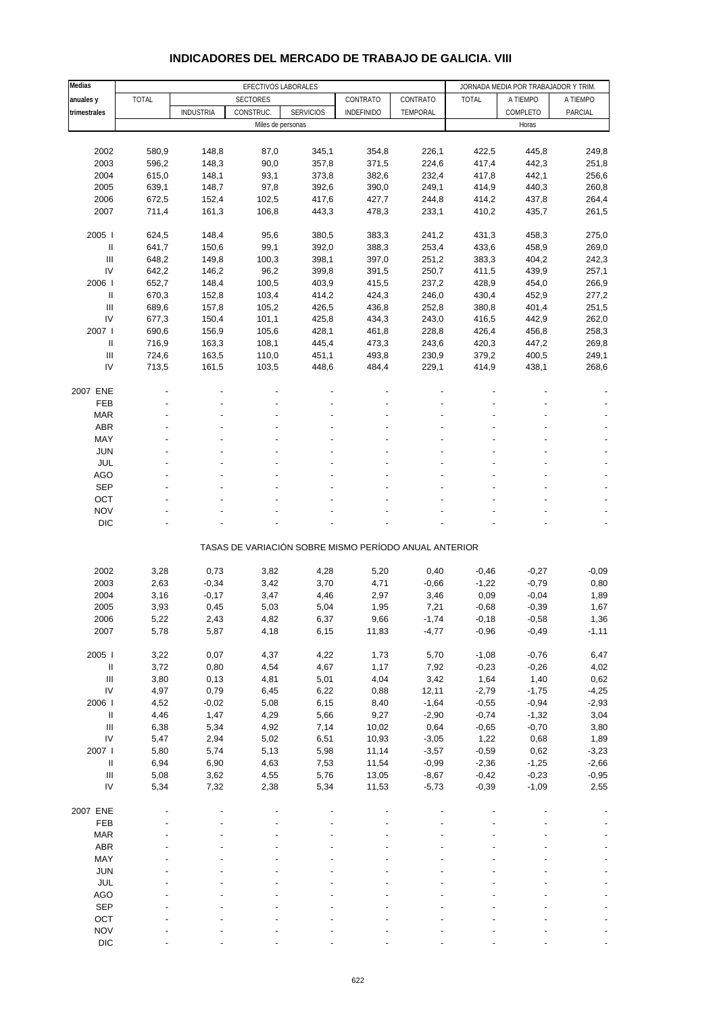| Medias                                   |              | EFECTIVOS LABORALES |                 |                                                       |              |               | JORNADA MEDIA POR TRABAJADOR Y TRIM. |                 |                 |  |
|------------------------------------------|--------------|---------------------|-----------------|-------------------------------------------------------|--------------|---------------|--------------------------------------|-----------------|-----------------|--|
| anuales y                                | <b>TOTAL</b> |                     | <b>SECTORES</b> |                                                       | CONTRATO     | CONTRATO      | <b>TOTAL</b>                         | A TIEMPO        | A TIEMPO        |  |
| trimestrales                             |              | <b>INDUSTRIA</b>    | CONSTRUC.       | <b>SERVICIOS</b>                                      | INDEFINIDO   | TEMPORAL      |                                      | COMPLETO        | PARCIAL         |  |
|                                          |              |                     |                 | Miles de personas                                     |              |               |                                      | Horas           |                 |  |
|                                          |              |                     |                 |                                                       |              |               |                                      |                 |                 |  |
| 2002                                     | 580,9        | 148,8               | 87,0            | 345,1                                                 | 354,8        | 226,1         | 422,5                                | 445,8           | 249,8           |  |
| 2003                                     | 596,2        | 148,3               | 90,0            | 357,8                                                 | 371,5        | 224,6         | 417,4                                | 442,3           | 251,8           |  |
| 2004                                     | 615,0        | 148,1               | 93,1            | 373,8                                                 | 382,6        | 232,4         | 417,8                                | 442,1           | 256,6           |  |
| 2005                                     | 639,1        | 148,7               | 97,8            | 392,6                                                 | 390,0        | 249,1         | 414,9                                | 440,3           | 260,8           |  |
| 2006                                     | 672,5        | 152,4               | 102,5           | 417,6                                                 | 427,7        | 244,8         | 414,2                                | 437,8           | 264,4           |  |
| 2007                                     | 711,4        | 161,3               | 106,8           | 443,3                                                 | 478,3        | 233,1         | 410,2                                | 435,7           | 261,5           |  |
| 2005 l                                   | 624,5        | 148,4               | 95,6            | 380,5                                                 | 383,3        | 241,2         | 431,3                                | 458,3           | 275,0           |  |
| $\ensuremath{\mathsf{II}}$               | 641,7        | 150,6               | 99,1            | 392,0                                                 | 388,3        | 253,4         | 433,6                                | 458,9           | 269,0           |  |
| III                                      | 648,2        | 149,8               | 100,3           | 398,1                                                 | 397,0        | 251,2         | 383,3                                | 404,2           | 242,3           |  |
| IV                                       | 642,2        | 146,2               | 96,2            | 399,8                                                 | 391,5        | 250,7         | 411,5                                | 439,9           | 257,1           |  |
| 2006                                     | 652,7        | 148,4               | 100,5           | 403,9                                                 | 415,5        | 237,2         | 428,9                                | 454,0           | 266,9           |  |
| $\ensuremath{\mathsf{II}}$               | 670,3        | 152,8               | 103,4           | 414,2                                                 | 424,3        | 246,0         | 430,4                                | 452,9           | 277,2           |  |
| Ш                                        | 689,6        | 157,8               | 105,2           | 426,5                                                 | 436,8        | 252,8         | 380,8                                | 401,4           | 251,5           |  |
| IV                                       | 677,3        | 150,4               | 101,1           | 425,8                                                 | 434,3        | 243,0         | 416,5                                | 442,9           | 262,0           |  |
| 2007                                     | 690,6        | 156,9               | 105,6           | 428,1                                                 | 461,8        | 228,8         | 426,4                                | 456,8           | 258,3           |  |
| Ш                                        | 716,9        | 163,3               | 108,1           | 445,4                                                 | 473,3        | 243,6         | 420,3                                | 447,2           | 269,8           |  |
| $\ensuremath{\mathsf{III}}\xspace$       | 724,6        | 163,5               | 110,0           | 451,1                                                 | 493,8        | 230,9         | 379,2                                | 400,5           | 249,1           |  |
| IV                                       | 713,5        | 161,5               | 103,5           | 448,6                                                 | 484,4        | 229,1         | 414,9                                | 438,1           | 268,6           |  |
| 2007 ENE                                 |              |                     |                 |                                                       |              |               |                                      |                 |                 |  |
| FEB                                      |              |                     |                 |                                                       |              |               |                                      |                 |                 |  |
| <b>MAR</b>                               |              |                     |                 |                                                       |              |               |                                      |                 |                 |  |
| ABR                                      |              |                     |                 |                                                       |              |               |                                      |                 |                 |  |
| MAY                                      |              |                     |                 |                                                       |              |               |                                      |                 |                 |  |
| <b>JUN</b>                               |              |                     |                 |                                                       |              |               |                                      |                 |                 |  |
| JUL                                      |              |                     |                 |                                                       |              |               |                                      |                 |                 |  |
| <b>AGO</b>                               |              |                     |                 |                                                       |              |               |                                      |                 |                 |  |
| <b>SEP</b>                               |              |                     |                 |                                                       |              |               |                                      |                 |                 |  |
| OCT                                      |              |                     |                 |                                                       |              |               |                                      |                 |                 |  |
| <b>NOV</b>                               |              |                     |                 |                                                       |              |               |                                      |                 |                 |  |
| <b>DIC</b>                               |              |                     |                 |                                                       |              |               |                                      |                 |                 |  |
|                                          |              |                     |                 | TASAS DE VARIACIÓN SOBRE MISMO PERÍODO ANUAL ANTERIOR |              |               |                                      |                 |                 |  |
| 2002                                     | 3,28         | 0,73                | 3,82            | 4,28                                                  | 5,20         | 0,40          | $-0,46$                              | $-0,27$         | $-0,09$         |  |
| 2003                                     | 2,63         | $-0,34$             | 3,42            | 3,70                                                  | 4,71         | $-0,66$       | $-1,22$                              | $-0,79$         | 0,80            |  |
| 2004                                     | 3,16         | $-0,17$             | 3,47            | 4,46                                                  | 2,97         | 3,46          | 0,09                                 | $-0,04$         | 1,89            |  |
| 2005                                     | 3,93         | 0,45                | 5,03            | 5,04                                                  | 1,95         | 7,21          | $-0,68$                              | $-0,39$         | 1,67            |  |
| 2006                                     | 5,22         | 2,43                | 4,82            | 6,37                                                  | 9,66         | $-1,74$       | -0,18                                | $-0,58$         | 1,36            |  |
| 2007                                     | 5,78         | 5,87                | 4,18            | 6,15                                                  | 11,83        | $-4,77$       | $-0,96$                              | $-0,49$         | $-1,11$         |  |
|                                          |              |                     |                 |                                                       |              |               |                                      |                 |                 |  |
| 2005 l                                   | 3,22         | 0,07                | 4,37            | 4,22                                                  | 1,73         | 5,70          | $-1,08$                              | $-0,76$         | 6,47            |  |
| Ш                                        | 3,72         | 0,80                | 4,54            | 4,67                                                  | 1,17         | 7,92          | $-0,23$                              | $-0,26$         | 4,02            |  |
| $\ensuremath{\mathsf{III}}\xspace$<br>IV | 3,80<br>4,97 | 0,13<br>0,79        | 4,81<br>6,45    | 5,01<br>6,22                                          | 4,04<br>0,88 | 3,42<br>12,11 | 1,64<br>$-2,79$                      | 1,40<br>$-1,75$ | 0,62<br>$-4,25$ |  |
| 2006                                     | 4,52         | $-0,02$             | 5,08            | 6,15                                                  |              | $-1,64$       | $-0,55$                              | $-0,94$         |                 |  |
| $\ensuremath{\mathsf{II}}$               | 4,46         | 1,47                | 4,29            | 5,66                                                  | 8,40<br>9,27 | $-2,90$       | $-0,74$                              | $-1,32$         | $-2,93$<br>3,04 |  |
| $\ensuremath{\mathsf{III}}\xspace$       | 6,38         | 5,34                | 4,92            | 7,14                                                  | 10,02        | 0,64          | $-0,65$                              | $-0,70$         | 3,80            |  |
| IV                                       | 5,47         | 2,94                | 5,02            | 6,51                                                  | 10,93        | $-3,05$       | 1,22                                 | 0,68            | 1,89            |  |
| 2007 l                                   | 5,80         | 5,74                | 5,13            | 5,98                                                  | 11,14        | $-3,57$       | $-0,59$                              | 0,62            | $-3,23$         |  |
| $\ensuremath{\mathsf{II}}$               | 6,94         | 6,90                | 4,63            | 7,53                                                  | 11,54        | $-0,99$       | $-2,36$                              | $-1,25$         | $-2,66$         |  |
| $\ensuremath{\mathsf{III}}\xspace$       | 5,08         | 3,62                | 4,55            | 5,76                                                  | 13,05        | $-8,67$       | $-0,42$                              | $-0,23$         | $-0,95$         |  |
| IV                                       | 5,34         | 7,32                | 2,38            | 5,34                                                  | 11,53        | $-5,73$       | $-0,39$                              | $-1,09$         | 2,55            |  |
| 2007 ENE                                 |              |                     |                 |                                                       |              |               |                                      |                 |                 |  |
| FEB                                      |              |                     |                 |                                                       |              |               |                                      |                 |                 |  |
| MAR                                      |              |                     |                 |                                                       |              |               |                                      |                 |                 |  |
| ABR                                      |              |                     |                 |                                                       |              |               |                                      |                 |                 |  |
| MAY                                      |              |                     |                 |                                                       |              |               |                                      |                 |                 |  |
| JUN                                      |              |                     |                 |                                                       |              |               |                                      |                 |                 |  |
| JUL                                      |              |                     |                 |                                                       |              |               |                                      |                 |                 |  |
| <b>AGO</b>                               |              |                     |                 |                                                       |              |               |                                      |                 |                 |  |
| <b>SEP</b>                               |              |                     |                 |                                                       |              |               |                                      |                 |                 |  |
| OCT                                      |              |                     |                 |                                                       |              |               |                                      |                 |                 |  |
| <b>NOV</b>                               |              |                     |                 |                                                       |              |               |                                      |                 |                 |  |

#### **INDICADORES DEL MERCADO DE TRABAJO DE GALICIA. VIII**

DIC  $\qquad \qquad \qquad \qquad \qquad \qquad \qquad \qquad \qquad \qquad \qquad \qquad \qquad \qquad \qquad \qquad \qquad \qquad -$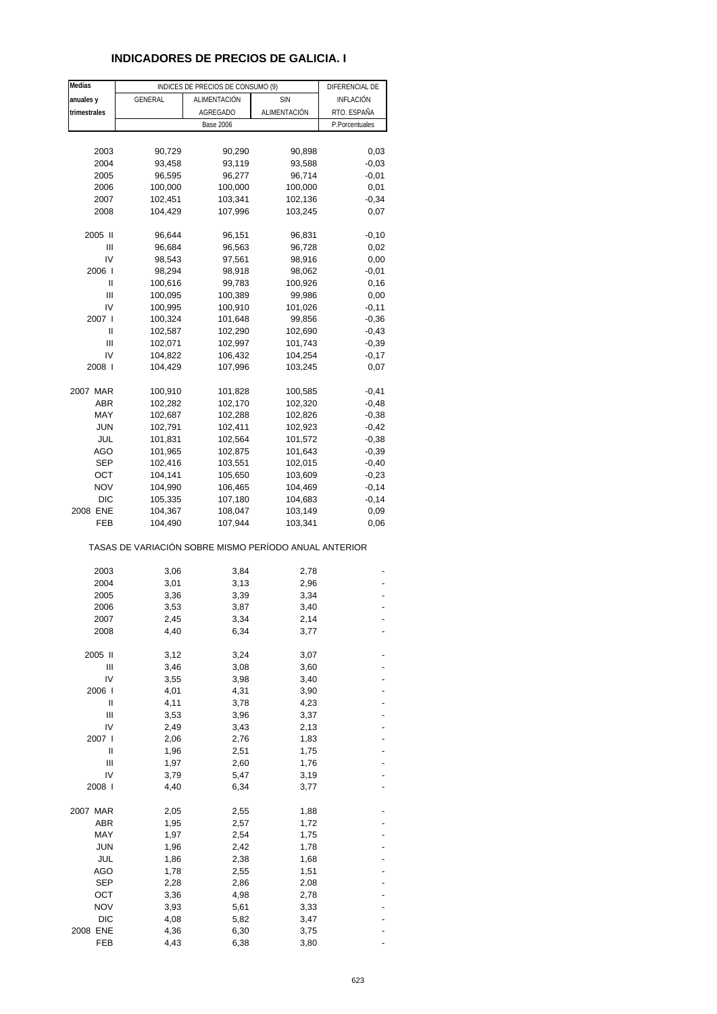### **INDICADORES DE PRECIOS DE GALICIA. I**

| Medias          |                                                       | INDICES DE PRECIOS DE CONSUMO (9) |                    | DIFERENCIAL DE   |
|-----------------|-------------------------------------------------------|-----------------------------------|--------------------|------------------|
| anuales y       | GENERAL                                               | ALIMENTACIÓN                      | <b>SIN</b>         | <b>INFLACIÓN</b> |
| trimestrales    |                                                       | <b>AGREGADO</b>                   | ALIMENTACIÓN       | RTO. ESPAÑA      |
|                 |                                                       | <b>Base 2006</b>                  |                    | P.Porcentuales   |
|                 |                                                       |                                   |                    |                  |
|                 |                                                       |                                   |                    |                  |
| 2003            | 90,729                                                | 90,290                            | 90,898             | 0,03             |
| 2004            | 93,458                                                | 93,119                            | 93,588             | $-0.03$          |
| 2005            | 96,595                                                | 96,277                            | 96,714             | $-0,01$          |
| 2006            | 100,000                                               | 100,000                           | 100,000            | 0,01             |
| 2007            | 102,451                                               | 103,341                           | 102,136            | $-0,34$          |
| 2008            | 104,429                                               | 107,996                           | 103,245            | 0,07             |
| 2005 II         | 96,644                                                | 96,151                            | 96,831             | $-0,10$          |
| Ш               | 96,684                                                | 96,563                            | 96,728             | 0,02             |
| IV              | 98,543                                                | 97,561                            | 98,916             | 0,00             |
| 2006            | 98,294                                                | 98,918                            | 98,062             | $-0,01$          |
| Ш               | 100,616                                               | 99,783                            | 100,926            | 0,16             |
| Ш               | 100,095                                               | 100,389                           | 99,986             | 0,00             |
| IV              | 100,995                                               | 100,910                           | 101,026            | $-0,11$          |
| 2007            | 100,324                                               | 101,648                           | 99,856             | $-0,36$          |
| Ш               |                                                       | 102,290                           | 102,690            |                  |
| Ш               | 102,587                                               |                                   |                    | $-0,43$          |
|                 | 102,071                                               | 102,997                           | 101,743            | $-0,39$          |
| IV              | 104,822                                               | 106,432                           | 104,254            | $-0,17$          |
| 2008            | 104,429                                               | 107,996                           | 103,245            | 0,07             |
| 2007 MAR        | 100,910                                               | 101,828                           | 100,585            | $-0,41$          |
| ABR             | 102,282                                               | 102,170                           | 102,320            | $-0,48$          |
| MAY             | 102,687                                               | 102,288                           | 102,826            | $-0,38$          |
| <b>JUN</b>      | 102,791                                               | 102,411                           | 102,923            | $-0,42$          |
| JUL             | 101,831                                               | 102,564                           | 101,572            | $-0,38$          |
| AGO             | 101,965                                               | 102,875                           | 101,643            | $-0,39$          |
| <b>SEP</b>      | 102,416                                               | 103,551                           | 102,015            | $-0,40$          |
| ОСТ             | 104,141                                               | 105,650                           | 103,609            | $-0,23$          |
| <b>NOV</b>      | 104,990                                               | 106,465                           | 104,469            | $-0,14$          |
| <b>DIC</b>      | 105,335                                               | 107,180                           | 104,683            | $-0,14$          |
|                 |                                                       |                                   |                    |                  |
| 2008 ENE<br>FEB | 104,367<br>104,490                                    | 108,047<br>107,944                | 103,149<br>103,341 | 0,09<br>0,06     |
|                 | TASAS DE VARIACIÓN SOBRE MISMO PERÍODO ANUAL ANTERIOR |                                   |                    |                  |
| 2003            | 3,06                                                  | 3,84                              | 2,78               |                  |
| 2004            | 3,01                                                  | 3,13                              | 2,96               |                  |
| 2005            | 3,36                                                  | 3,39                              | 3,34               |                  |
| 2006            | 3,53                                                  | 3,87                              | 3,40               |                  |
| 2007            | 2,45                                                  | 3,34                              | 2,14               |                  |
| 2008            | 4,40                                                  | 6,34                              | 3,77               |                  |
| 2005 II         | 3,12                                                  | 3,24                              | 3,07               |                  |
| Ш               | 3,46                                                  | 3,08                              | 3,60               |                  |
| IV              | 3,55                                                  | 3,98                              | 3,40               |                  |
| 2006 l          | 4,01                                                  | 4,31                              | 3,90               |                  |
| Ш               | 4,11                                                  | 3,78                              | 4,23               |                  |
| Ш               | 3,53                                                  | 3,96                              | 3,37               |                  |
| IV              | 2,49                                                  | 3,43                              | 2,13               |                  |
| 2007 l          | 2,06                                                  | 2,76                              | 1,83               |                  |
| Ш               | 1,96                                                  | 2,51                              | 1,75               |                  |
| Ш               |                                                       |                                   | 1,76               |                  |
|                 | 1,97                                                  | 2,60                              |                    |                  |
| IV              | 3,79                                                  | 5,47                              | 3,19               |                  |
| 2008 l          | 4,40                                                  | 6,34                              | 3,77               |                  |
| 2007 MAR        | 2,05                                                  | 2,55                              | 1,88               |                  |
| ABR             | 1,95                                                  | 2,57                              | 1,72               |                  |
| MAY             | 1,97                                                  | 2,54                              | 1,75               |                  |
| <b>JUN</b>      | 1,96                                                  | 2,42                              | 1,78               |                  |
| JUL             | 1,86                                                  | 2,38                              | 1,68               |                  |
| AGO             | 1,78                                                  | 2,55                              | 1,51               |                  |
| <b>SEP</b>      | 2,28                                                  | 2,86                              | 2,08               |                  |
| OCT             | 3,36                                                  | 4,98                              | 2,78               |                  |
| <b>NOV</b>      | 3,93                                                  | 5,61                              | 3,33               |                  |
| <b>DIC</b>      | 4,08                                                  | 5,82                              | 3,47               |                  |
| 2008 ENE        | 4,36                                                  | 6,30                              | 3,75               |                  |
| FEB             | 4,43                                                  | 6,38                              | 3,80               |                  |
|                 |                                                       |                                   |                    |                  |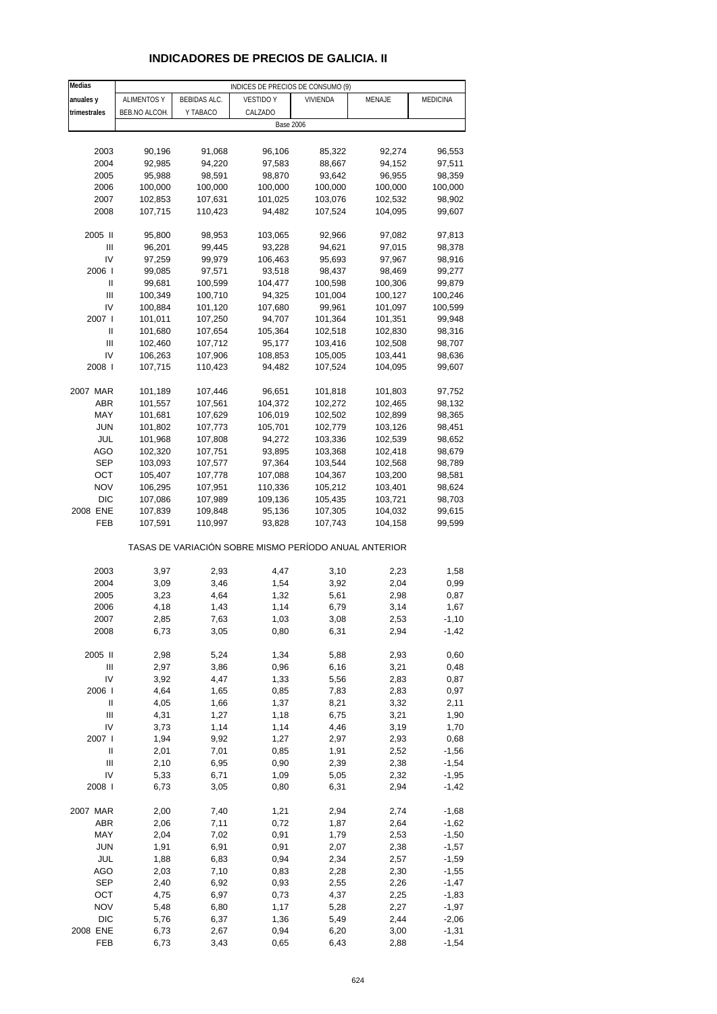# **INDICADORES DE PRECIOS DE GALICIA. II**

| Medias                             |                    |                     | INDICES DE PRECIOS DE CONSUMO (9)                     |          |         |                 |
|------------------------------------|--------------------|---------------------|-------------------------------------------------------|----------|---------|-----------------|
| anuales y                          | <b>ALIMENTOS Y</b> | <b>BEBIDAS ALC.</b> | <b>VESTIDO Y</b>                                      | VIVIENDA | MENAJE  | <b>MEDICINA</b> |
| trimestrales                       | BEB.NO ALCOH.      | Y TABACO            | CALZADO                                               |          |         |                 |
|                                    |                    |                     | <b>Base 2006</b>                                      |          |         |                 |
|                                    |                    |                     |                                                       |          |         |                 |
| 2003                               | 90,196             | 91,068              | 96,106                                                | 85,322   | 92,274  | 96,553          |
| 2004                               | 92,985             | 94,220              | 97,583                                                | 88,667   | 94,152  | 97,511          |
| 2005                               |                    |                     |                                                       | 93,642   | 96,955  |                 |
|                                    | 95,988             | 98,591              | 98,870                                                |          |         | 98,359          |
| 2006                               | 100,000            | 100,000             | 100,000                                               | 100,000  | 100,000 | 100,000         |
| 2007                               | 102,853            | 107,631             | 101,025                                               | 103,076  | 102,532 | 98,902          |
| 2008                               | 107,715            | 110,423             | 94,482                                                | 107,524  | 104,095 | 99,607          |
|                                    |                    |                     |                                                       |          |         |                 |
| 2005 II                            | 95,800             | 98,953              | 103,065                                               | 92,966   | 97,082  | 97,813          |
| Ш                                  | 96,201             | 99,445              | 93,228                                                | 94,621   | 97,015  | 98,378          |
| IV                                 | 97,259             | 99,979              | 106,463                                               | 95,693   | 97,967  | 98,916          |
| 2006                               | 99,085             | 97,571              | 93,518                                                | 98,437   | 98,469  | 99,277          |
| Ш                                  | 99,681             | 100,599             | 104,477                                               | 100,598  | 100,306 | 99,879          |
| Ш                                  | 100,349            | 100,710             | 94,325                                                | 101,004  | 100,127 | 100,246         |
| IV                                 | 100,884            | 101,120             | 107,680                                               | 99,961   | 101,097 | 100,599         |
| 2007 l                             | 101,011            | 107,250             | 94,707                                                | 101,364  | 101,351 | 99,948          |
| Ш                                  | 101,680            | 107,654             | 105,364                                               | 102,518  | 102,830 | 98,316          |
| Ш                                  | 102,460            | 107,712             | 95,177                                                | 103,416  | 102,508 | 98,707          |
| IV                                 | 106,263            | 107,906             | 108,853                                               | 105,005  | 103,441 | 98,636          |
| 2008                               | 107,715            | 110,423             | 94,482                                                | 107,524  | 104,095 | 99,607          |
|                                    |                    |                     |                                                       |          |         |                 |
| 2007 MAR                           | 101,189            | 107,446             | 96,651                                                | 101,818  | 101,803 | 97,752          |
| ABR                                | 101,557            | 107,561             | 104,372                                               | 102,272  | 102,465 | 98,132          |
| MAY                                | 101,681            | 107,629             | 106,019                                               | 102,502  | 102,899 |                 |
|                                    |                    |                     |                                                       |          |         | 98,365          |
| JUN                                | 101,802            | 107,773             | 105,701                                               | 102,779  | 103,126 | 98,451          |
| JUL                                | 101,968            | 107,808             | 94,272                                                | 103,336  | 102,539 | 98,652          |
| AGO                                | 102,320            | 107,751             | 93,895                                                | 103,368  | 102,418 | 98,679          |
| SEP                                | 103,093            | 107,577             | 97,364                                                | 103,544  | 102,568 | 98,789          |
| OCT                                | 105,407            | 107,778             | 107,088                                               | 104,367  | 103,200 | 98,581          |
| NOV                                | 106,295            | 107,951             | 110,336                                               | 105,212  | 103,401 | 98,624          |
| <b>DIC</b>                         | 107,086            | 107,989             | 109,136                                               | 105,435  | 103,721 | 98,703          |
| 2008 ENE                           | 107,839            | 109,848             | 95,136                                                | 107,305  | 104,032 | 99,615          |
| FEB                                | 107,591            | 110,997             | 93,828                                                | 107,743  | 104,158 | 99,599          |
|                                    |                    |                     | TASAS DE VARIACIÓN SOBRE MISMO PERÍODO ANUAL ANTERIOR |          |         |                 |
|                                    |                    |                     |                                                       |          |         |                 |
| 2003                               | 3,97               | 2,93                | 4,47                                                  | 3,10     | 2,23    | 1,58            |
| 2004                               | 3,09               | 3,46                | 1,54                                                  | 3,92     | 2,04    | 0,99            |
| 2005                               | 3,23               | 4,64                | 1,32                                                  | 5,61     | 2,98    | 0,87            |
| 2006                               | 4,18               | 1,43                | 1,14                                                  | 6,79     | 3,14    | 1,67            |
| 2007                               | 2,85               | 7,63                | 1,03                                                  | 3,08     | 2,53    | $-1,10$         |
| 2008                               | 6,73               | 3,05                | 0,80                                                  | 6,31     | 2,94    | $-1,42$         |
|                                    |                    |                     |                                                       |          |         |                 |
| 2005 II                            | 2,98               | 5,24                | 1,34                                                  | 5,88     | 2,93    | 0,60            |
| $\ensuremath{\mathsf{III}}\xspace$ | 2,97               | 3,86                | 0,96                                                  | 6,16     | 3,21    | 0,48            |
| IV                                 | 3,92               | 4,47                | 1,33                                                  | 5,56     | 2,83    | 0,87            |
| 2006                               | 4,64               | 1,65                | 0,85                                                  | 7,83     | 2,83    | 0,97            |
| $\ensuremath{\mathsf{II}}$         | 4,05               | 1,66                | 1,37                                                  | 8,21     | 3,32    | 2,11            |
| Ш                                  | 4,31               | 1,27                | 1,18                                                  | 6,75     | 3,21    | 1,90            |
| IV                                 | 3,73               | 1,14                | 1,14                                                  | 4,46     | 3,19    | 1,70            |
| 2007 l                             | 1,94               | 9,92                | 1,27                                                  | 2,97     | 2,93    | 0,68            |
|                                    |                    |                     |                                                       |          |         |                 |
| Ш                                  | 2,01               | 7,01                | 0,85                                                  | 1,91     | 2,52    | $-1,56$         |
| $\ensuremath{\mathsf{III}}\xspace$ | 2,10               | 6,95                | 0,90                                                  | 2,39     | 2,38    | $-1,54$         |
| IV                                 | 5,33               | 6,71                | 1,09                                                  | 5,05     | 2,32    | $-1,95$         |
| 2008 l                             | 6,73               | 3,05                | 0,80                                                  | 6,31     | 2,94    | $-1,42$         |
|                                    |                    |                     |                                                       |          |         |                 |
| 2007 MAR                           | 2,00               | 7,40                | 1,21                                                  | 2,94     | 2,74    | $-1,68$         |
| ABR                                | 2,06               | 7,11                | 0,72                                                  | 1,87     | 2,64    | $-1,62$         |
| MAY                                | 2,04               | 7,02                | 0,91                                                  | 1,79     | 2,53    | $-1,50$         |
| <b>JUN</b>                         | 1,91               | 6,91                | 0,91                                                  | 2,07     | 2,38    | $-1,57$         |
| JUL                                | 1,88               | 6,83                | 0,94                                                  | 2,34     | 2,57    | $-1,59$         |
| AGO                                | 2,03               | 7,10                | 0,83                                                  | 2,28     | 2,30    | $-1,55$         |
| <b>SEP</b>                         | 2,40               | 6,92                | 0,93                                                  | 2,55     | 2,26    | $-1,47$         |
| OCT                                | 4,75               | 6,97                | 0,73                                                  | 4,37     | 2,25    | $-1,83$         |
| <b>NOV</b>                         | 5,48               | 6,80                | 1,17                                                  | 5,28     | 2,27    | $-1,97$         |
| <b>DIC</b>                         | 5,76               | 6,37                | 1,36                                                  | 5,49     | 2,44    | $-2,06$         |
| 2008 ENE                           | 6,73               | 2,67                | 0,94                                                  | 6,20     | 3,00    | $-1,31$         |
| FEB                                | 6,73               | 3,43                | 0,65                                                  | 6,43     | 2,88    | $-1,54$         |
|                                    |                    |                     |                                                       |          |         |                 |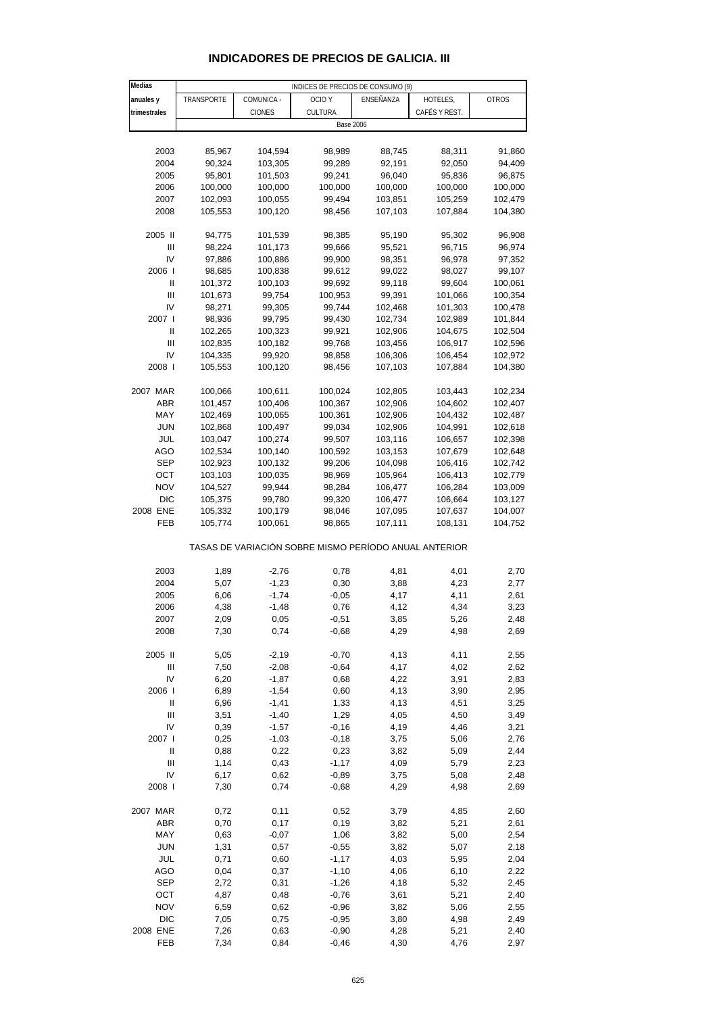| Medias                                |            |                    | INDICES DE PRECIOS DE CONSUMO (9)                     |                  |               |              |
|---------------------------------------|------------|--------------------|-------------------------------------------------------|------------------|---------------|--------------|
| anuales y                             | TRANSPORTE | COMUNICA -         | OCIO <sub>Y</sub>                                     | ENSEÑANZA        | HOTELES,      | <b>OTROS</b> |
| trimestrales                          |            | <b>CIONES</b>      | CULTURA                                               |                  | CAFÉS Y REST. |              |
|                                       |            |                    | <b>Base 2006</b>                                      |                  |               |              |
|                                       |            |                    |                                                       |                  |               |              |
| 2003                                  | 85,967     | 104,594            | 98,989                                                | 88,745           | 88,311        | 91,860       |
| 2004                                  | 90,324     | 103,305            | 99,289                                                | 92,191           | 92,050        | 94,409       |
| 2005                                  | 95,801     | 101,503            | 99,241                                                | 96,040           | 95,836        | 96,875       |
| 2006                                  | 100,000    |                    | 100,000                                               |                  | 100,000       | 100,000      |
|                                       |            | 100,000            |                                                       | 100,000          |               |              |
| 2007                                  | 102,093    | 100,055            | 99,494                                                | 103,851          | 105,259       | 102,479      |
| 2008                                  | 105,553    | 100,120            | 98,456                                                | 107,103          | 107,884       | 104,380      |
|                                       |            |                    |                                                       |                  |               |              |
| 2005 II                               | 94,775     | 101,539            | 98,385                                                | 95,190<br>95,521 | 95,302        | 96,908       |
| Ш<br>IV                               | 98,224     | 101,173            | 99,666                                                |                  | 96,715        | 96,974       |
|                                       | 97,886     | 100,886            | 99,900                                                | 98,351           | 96,978        | 97,352       |
| 2006  <br>Ш                           | 98,685     | 100,838            | 99,612                                                | 99,022           | 98,027        | 99,107       |
|                                       | 101,372    | 100,103            | 99,692                                                | 99,118           | 99,604        | 100,061      |
| $\mathbf{III}$                        | 101,673    | 99,754             | 100,953                                               | 99,391           | 101,066       | 100,354      |
| IV                                    | 98,271     | 99,305             | 99,744                                                | 102,468          | 101,303       | 100,478      |
| 2007 l                                | 98,936     | 99,795             | 99,430                                                | 102,734          | 102,989       | 101,844      |
| Ш                                     | 102,265    | 100,323            | 99,921                                                | 102,906          | 104,675       | 102,504      |
| $\mathbf{III}$                        | 102,835    | 100,182            | 99,768                                                | 103,456          | 106,917       | 102,596      |
| IV                                    | 104,335    | 99,920             | 98,858                                                | 106,306          | 106,454       | 102,972      |
| 2008                                  | 105,553    | 100,120            | 98,456                                                | 107,103          | 107,884       | 104,380      |
|                                       |            |                    |                                                       |                  |               |              |
| 2007 MAR                              | 100,066    | 100,611            | 100,024                                               | 102,805          | 103,443       | 102,234      |
| <b>ABR</b>                            | 101,457    | 100,406            | 100,367                                               | 102,906          | 104,602       | 102,407      |
| MAY                                   | 102,469    | 100,065            | 100,361                                               | 102,906          | 104,432       | 102,487      |
| <b>JUN</b>                            | 102,868    | 100,497            | 99,034                                                | 102,906          | 104,991       | 102,618      |
| JUL                                   | 103,047    | 100,274            | 99,507                                                | 103,116          | 106,657       | 102,398      |
| AGO                                   | 102,534    | 100,140            | 100,592                                               | 103,153          | 107,679       | 102,648      |
| SEP                                   | 102,923    | 100,132            | 99,206                                                | 104,098          | 106,416       | 102,742      |
| ОСТ                                   | 103,103    | 100,035            | 98,969                                                | 105,964          | 106,413       | 102,779      |
| <b>NOV</b>                            | 104,527    | 99,944             | 98,284                                                | 106,477          | 106,284       | 103,009      |
| <b>DIC</b>                            | 105,375    | 99,780             | 99,320                                                | 106,477          | 106,664       | 103,127      |
| 2008 ENE                              | 105,332    | 100,179            | 98,046                                                | 107,095          | 107,637       | 104,007      |
| FEB                                   | 105,774    | 100,061            | 98,865                                                | 107,111          | 108,131       | 104,752      |
|                                       |            |                    | TASAS DE VARIACIÓN SOBRE MISMO PERÍODO ANUAL ANTERIOR |                  |               |              |
|                                       | 1,89       |                    |                                                       |                  |               |              |
| 2003<br>2004                          | 5,07       | $-2,76$<br>$-1,23$ | 0,78<br>0,30                                          | 4,81             | 4,01<br>4,23  | 2,70<br>2,77 |
| 2005                                  | 6,06       | $-1,74$            | $-0,05$                                               | 3,88<br>4,17     | 4,11          |              |
|                                       |            |                    | 0,76                                                  | 4,12             | 4,34          | 2,61         |
| 2006<br>2007                          | 4,38       | $-1,48$<br>0,05    | $-0,51$                                               | 3,85             | 5,26          | 3,23<br>2,48 |
|                                       | 2,09       |                    |                                                       | 4,29             |               |              |
| 2008                                  | 7,30       | 0,74               | $-0,68$                                               |                  | 4,98          | 2,69         |
| 2005 II                               | 5,05       | $-2,19$            | $-0,70$                                               | 4,13             | 4,11          | 2,55         |
| Ш                                     | 7,50       | $-2,08$            | $-0,64$                                               | 4,17             | 4,02          | 2,62         |
| IV                                    | 6,20       | $-1,87$            | 0,68                                                  | 4,22             | 3,91          | 2,83         |
| 2006                                  | 6,89       | $-1,54$            | 0,60                                                  | 4,13             | 3,90          | 2,95         |
| $\begin{array}{c} \hline \end{array}$ | 6,96       | $-1,41$            | 1,33                                                  | 4,13             | 4,51          | 3,25         |
| $\mathbf{III}$                        | 3,51       | $-1,40$            | 1,29                                                  | 4,05             | 4,50          | 3,49         |
| IV                                    | 0,39       | $-1,57$            | $-0,16$                                               | 4,19             | 4,46          | 3,21         |
| 2007 l                                | 0,25       | $-1,03$            | $-0,18$                                               | 3,75             | 5,06          | 2,76         |
| Ш                                     | 0,88       | 0,22               | 0,23                                                  | 3,82             | 5,09          | 2,44         |
| Ш                                     | 1,14       | 0,43               | $-1,17$                                               | 4,09             | 5,79          | 2,23         |
| IV                                    | 6,17       | 0,62               | $-0,89$                                               | 3,75             | 5,08          | 2,48         |
| 2008                                  | 7,30       | 0,74               | $-0,68$                                               | 4,29             | 4,98          | 2,69         |
|                                       |            |                    |                                                       |                  |               |              |
| 2007 MAR                              | 0,72       | 0,11               | 0,52                                                  | 3,79             | 4,85          | 2,60         |
| <b>ABR</b>                            | 0,70       | 0,17               | 0,19                                                  | 3,82             | 5,21          | 2,61         |
| MAY                                   | 0,63       | $-0,07$            | 1,06                                                  | 3,82             | 5,00          | 2,54         |
| <b>JUN</b>                            | 1,31       | 0,57               | $-0,55$                                               | 3,82             | 5,07          | 2,18         |
| JUL                                   | 0,71       | 0,60               | $-1,17$                                               | 4,03             | 5,95          | 2,04         |
| AGO                                   | 0,04       | 0,37               | $-1,10$                                               | 4,06             | 6,10          | 2,22         |
| <b>SEP</b>                            | 2,72       | 0,31               | $-1,26$                                               | 4,18             | 5,32          | 2,45         |
| ОСТ                                   | 4,87       | 0,48               | $-0,76$                                               | 3,61             | 5,21          | 2,40         |
| <b>NOV</b>                            | 6,59       | 0,62               | $-0,96$                                               | 3,82             | 5,06          | 2,55         |
| <b>DIC</b>                            | 7,05       | 0,75               | $-0,95$                                               | 3,80             | 4,98          | 2,49         |
| 2008 ENE                              | 7,26       | 0,63               | $-0,90$                                               | 4,28             | 5,21          |              |
|                                       |            |                    |                                                       |                  |               | 2,40         |
| FEB                                   | 7,34       | 0,84               | $-0,46$                                               | 4,30             | 4,76          | 2,97         |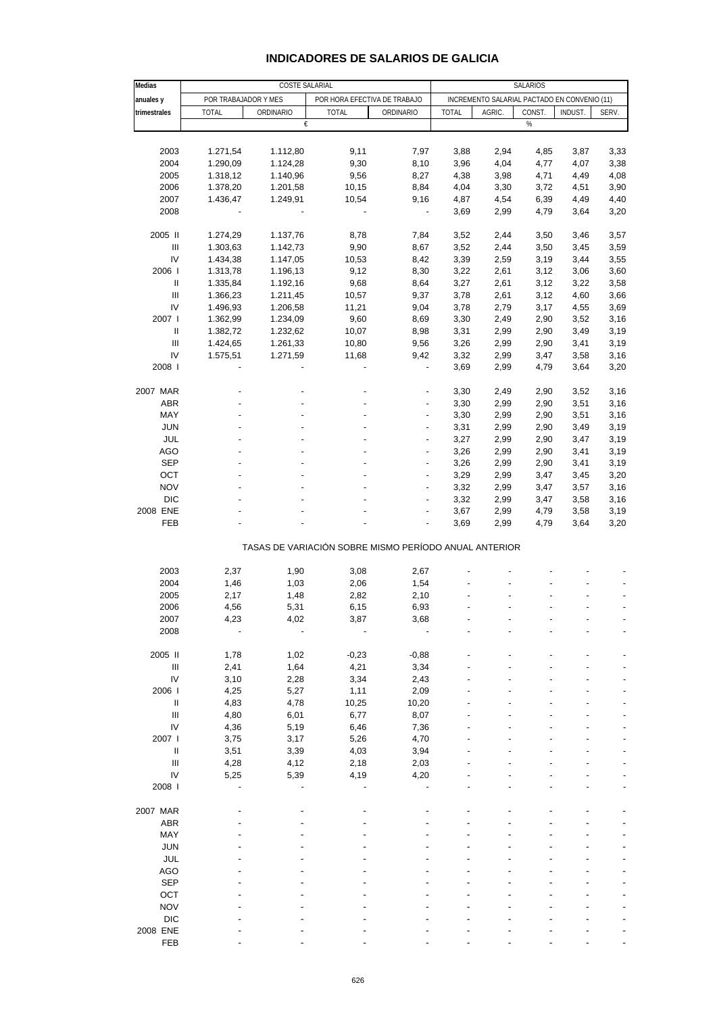### **INDICADORES DE SALARIOS DE GALICIA**

| Medias                             |                      | COSTE SALARIAL |                              |                                                       |              |                                              | SALARIOS |         |       |
|------------------------------------|----------------------|----------------|------------------------------|-------------------------------------------------------|--------------|----------------------------------------------|----------|---------|-------|
| anuales y                          | POR TRABAJADOR Y MES |                | POR HORA EFECTIVA DE TRABAJO |                                                       |              | INCREMENTO SALARIAL PACTADO EN CONVENIO (11) |          |         |       |
| trimestrales                       | <b>TOTAL</b>         | ORDINARIO      | <b>TOTAL</b>                 | ORDINARIO                                             | <b>TOTAL</b> | AGRIC.                                       | CONST.   | INDUST. | SERV. |
|                                    |                      | €              |                              |                                                       |              |                                              | %        |         |       |
|                                    |                      |                |                              |                                                       |              |                                              |          |         |       |
| 2003                               | 1.271,54             | 1.112,80       | 9,11                         | 7,97                                                  | 3,88         | 2,94                                         | 4,85     | 3,87    | 3,33  |
| 2004                               | 1.290,09             | 1.124,28       | 9,30                         | 8,10                                                  | 3,96         | 4,04                                         | 4,77     | 4,07    | 3,38  |
| 2005                               | 1.318,12             | 1.140,96       | 9,56                         | 8,27                                                  | 4,38         | 3,98                                         | 4,71     | 4,49    | 4,08  |
| 2006                               | 1.378,20             | 1.201,58       | 10,15                        | 8,84                                                  | 4,04         | 3,30                                         | 3,72     | 4,51    | 3,90  |
| 2007                               | 1.436,47             | 1.249,91       | 10,54                        | 9,16                                                  | 4,87         | 4,54                                         | 6,39     | 4,49    | 4,40  |
| 2008                               |                      |                |                              |                                                       | 3,69         | 2,99                                         | 4,79     | 3,64    | 3,20  |
| 2005 II                            | 1.274,29             | 1.137,76       | 8,78                         | 7,84                                                  | 3,52         | 2,44                                         | 3,50     | 3,46    | 3,57  |
| $\ensuremath{\mathsf{III}}\xspace$ | 1.303,63             | 1.142,73       | 9,90                         | 8,67                                                  | 3,52         | 2,44                                         | 3,50     | 3,45    | 3,59  |
| IV                                 | 1.434,38             | 1.147,05       | 10,53                        | 8,42                                                  | 3,39         | 2,59                                         | 3,19     | 3,44    | 3,55  |
| 2006                               | 1.313,78             | 1.196,13       | 9,12                         | 8,30                                                  | 3,22         | 2,61                                         | 3,12     | 3,06    | 3,60  |
| Ш                                  | 1.335,84             | 1.192,16       | 9,68                         | 8,64                                                  | 3,27         | 2,61                                         | 3,12     | 3,22    | 3,58  |
| Ш                                  | 1.366,23             | 1.211,45       | 10,57                        | 9,37                                                  | 3,78         | 2,61                                         | 3,12     | 4,60    | 3,66  |
| IV                                 | 1.496,93             | 1.206,58       | 11,21                        | 9,04                                                  | 3,78         | 2,79                                         | 3,17     | 4,55    | 3,69  |
| 2007 l                             | 1.362,99             | 1.234,09       | 9,60                         | 8,69                                                  | 3,30         | 2,49                                         | 2,90     | 3,52    | 3,16  |
| Ш                                  | 1.382,72             | 1.232,62       | 10,07                        | 8,98                                                  | 3,31         | 2,99                                         | 2,90     | 3,49    | 3,19  |
| $\ensuremath{\mathsf{III}}\xspace$ | 1.424,65             | 1.261,33       | 10,80                        | 9,56                                                  | 3,26         | 2,99                                         | 2,90     | 3,41    | 3,19  |
| IV                                 | 1.575,51             | 1.271,59       | 11,68                        | 9,42                                                  | 3,32         | 2,99                                         | 3,47     | 3,58    | 3,16  |
| 2008                               |                      |                |                              | $\blacksquare$                                        | 3,69         | 2,99                                         | 4,79     | 3,64    | 3,20  |
|                                    |                      |                |                              |                                                       |              |                                              |          |         |       |
| 2007 MAR                           |                      |                |                              | -                                                     | 3,30         | 2,49                                         | 2,90     | 3,52    | 3,16  |
| <b>ABR</b>                         |                      |                |                              | ÷,                                                    | 3,30         | 2,99                                         | 2,90     | 3,51    | 3,16  |
| MAY                                |                      |                |                              | $\overline{\phantom{a}}$                              | 3,30         | 2,99                                         | 2,90     | 3,51    | 3,16  |
| <b>JUN</b>                         |                      |                |                              | ÷,                                                    | 3,31         | 2,99                                         | 2,90     | 3,49    | 3,19  |
| <b>JUL</b>                         |                      |                |                              | ÷,                                                    | 3,27         | 2,99                                         | 2,90     | 3,47    | 3,19  |
| <b>AGO</b>                         |                      |                |                              | $\overline{\phantom{m}}$                              | 3,26         | 2,99                                         | 2,90     | 3,41    | 3,19  |
| <b>SEP</b>                         |                      |                |                              | ÷,                                                    | 3,26         | 2,99                                         | 2,90     | 3,41    | 3,19  |
| OCT                                |                      |                |                              | ÷                                                     | 3,29         | 2,99                                         | 3,47     | 3,45    | 3,20  |
| <b>NOV</b>                         |                      |                |                              | $\overline{\phantom{a}}$                              | 3,32         | 2,99                                         | 3,47     | 3,57    | 3,16  |
| <b>DIC</b>                         |                      |                |                              |                                                       | 3,32         | 2,99                                         | 3,47     | 3,58    | 3,16  |
| 2008 ENE                           |                      |                |                              | ÷                                                     | 3,67         | 2,99                                         | 4,79     | 3,58    | 3,19  |
| FEB                                |                      |                |                              | ÷                                                     | 3,69         | 2,99                                         | 4,79     | 3,64    | 3,20  |
|                                    |                      |                |                              | TASAS DE VARIACIÓN SOBRE MISMO PERÍODO ANUAL ANTERIOR |              |                                              |          |         |       |
|                                    |                      |                |                              |                                                       |              |                                              |          |         |       |
| 2003                               | 2,37                 | 1,90           | 3,08                         | 2,67                                                  |              |                                              |          |         |       |
| 2004                               | 1,46                 | 1,03           | 2,06                         | 1,54                                                  |              |                                              |          |         |       |
| 2005                               | 2,17                 | 1,48           | 2,82                         | 2,10                                                  |              |                                              |          |         |       |
| 2006                               | 4,56                 | 5,31           | 6,15                         | 6,93                                                  |              |                                              |          |         |       |
| 2007                               | 4,23                 | 4,02           | 3,87                         | 3,68                                                  |              |                                              |          |         |       |
| 2008                               |                      |                |                              |                                                       |              |                                              |          |         |       |
| 2005 II                            | 1,78                 | 1,02           | $-0,23$                      | $-0,88$                                               |              |                                              |          |         |       |
| Ш                                  | 2,41                 | 1,64           | 4,21                         | 3,34                                                  |              |                                              |          |         |       |
| IV                                 | 3,10                 | 2,28           | 3,34                         | 2,43                                                  |              |                                              |          |         |       |
| 2006                               | 4,25                 | 5,27           | 1,11                         | 2,09                                                  |              |                                              |          |         |       |
| Ш                                  | 4,83                 | 4,78           | 10,25                        | 10,20                                                 |              |                                              |          |         |       |
| Ш                                  | 4,80                 | 6,01           | 6,77                         | 8,07                                                  |              |                                              |          |         |       |
| IV                                 | 4,36                 | 5,19           | 6,46                         | 7,36                                                  |              |                                              |          |         |       |
| 2007 l                             | 3,75                 | 3,17           | 5,26                         | 4,70                                                  |              |                                              |          |         |       |
| Ш                                  | 3,51                 | 3,39           | 4,03                         | 3,94                                                  |              |                                              |          |         |       |
| $\mathbf{III}$                     | 4,28                 | 4,12           | 2,18                         | 2,03                                                  |              |                                              |          |         |       |
| IV                                 | 5,25                 | 5,39           | 4,19                         | 4,20                                                  |              |                                              |          |         |       |
| 2008                               |                      |                |                              |                                                       |              |                                              |          |         |       |
| 2007 MAR                           |                      |                |                              |                                                       |              |                                              |          |         |       |
| <b>ABR</b>                         |                      |                |                              |                                                       |              |                                              |          |         |       |
| MAY                                |                      |                |                              |                                                       |              |                                              |          |         |       |
| <b>JUN</b>                         |                      |                |                              |                                                       |              |                                              |          |         |       |
| <b>JUL</b>                         |                      |                |                              |                                                       |              |                                              |          |         |       |
| <b>AGO</b>                         |                      |                |                              |                                                       |              |                                              |          |         |       |
| <b>SEP</b>                         |                      |                |                              |                                                       |              |                                              |          |         |       |
|                                    |                      |                |                              |                                                       |              |                                              |          |         |       |
| OCT                                |                      |                |                              |                                                       |              |                                              |          |         |       |
| <b>NOV</b>                         |                      |                |                              |                                                       |              |                                              |          |         |       |
| <b>DIC</b>                         |                      |                |                              |                                                       |              |                                              |          |         |       |
| 2008 ENE                           |                      |                |                              |                                                       |              |                                              |          |         |       |
| FEB                                |                      |                |                              |                                                       |              |                                              |          |         |       |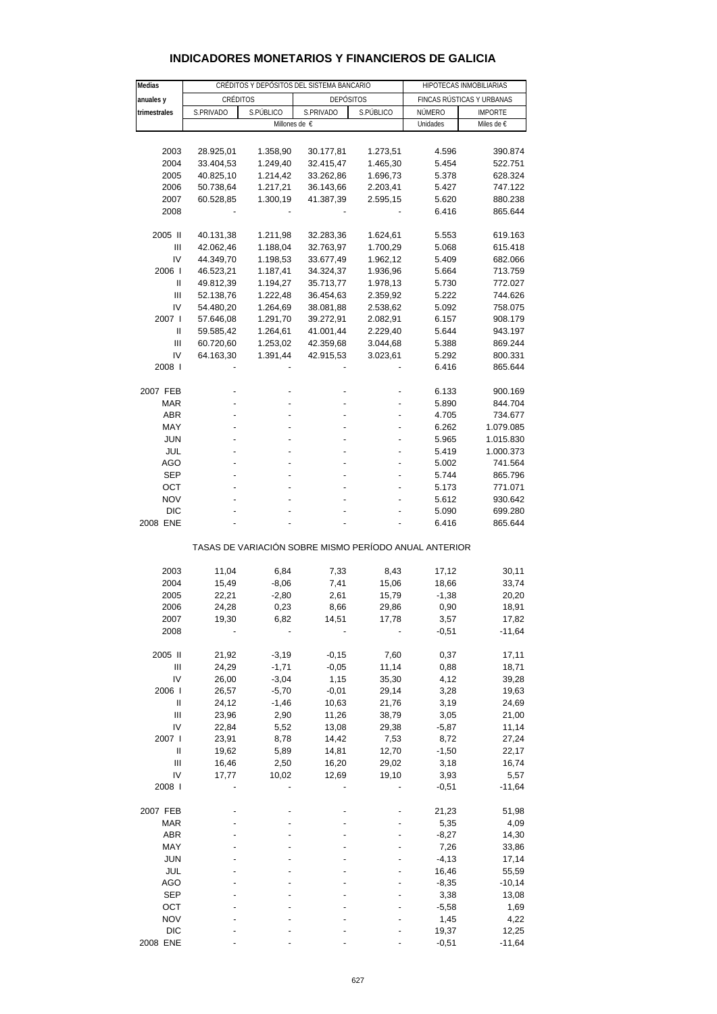| <b>INDICADORES MONETARIOS Y FINANCIEROS DE GALICIA</b> |  |  |
|--------------------------------------------------------|--|--|
|--------------------------------------------------------|--|--|

| Medias       | CRÉDITOS Y DEPÓSITOS DEL SISTEMA BANCARIO |           |                                                       |           | HIPOTECAS INMOBILIARIAS   |                |  |
|--------------|-------------------------------------------|-----------|-------------------------------------------------------|-----------|---------------------------|----------------|--|
| anuales y    | CRÉDITOS                                  |           | <b>DEPÓSITOS</b>                                      |           | FINCAS RÚSTICAS Y URBANAS |                |  |
| trimestrales | S.PRIVADO                                 | S.PÚBLICO | S.PRIVADO                                             | S.PÚBLICO | NÚMERO                    | <b>IMPORTE</b> |  |
|              |                                           |           | Millones de €                                         |           | Unidades                  | Miles de €     |  |
|              |                                           |           |                                                       |           |                           |                |  |
| 2003         | 28.925,01                                 | 1.358,90  | 30.177,81                                             | 1.273,51  | 4.596                     | 390.874        |  |
| 2004         | 33.404,53                                 | 1.249,40  | 32.415,47                                             | 1.465,30  | 5.454                     | 522.751        |  |
| 2005         | 40.825,10                                 | 1.214,42  | 33.262,86                                             | 1.696,73  | 5.378                     | 628.324        |  |
| 2006         | 50.738,64                                 | 1.217,21  | 36.143,66                                             | 2.203,41  | 5.427                     | 747.122        |  |
| 2007         | 60.528,85                                 | 1.300,19  | 41.387,39                                             | 2.595,15  | 5.620                     | 880.238        |  |
| 2008         |                                           |           |                                                       |           | 6.416                     | 865.644        |  |
|              |                                           |           |                                                       |           |                           |                |  |
| 2005 II      | 40.131,38                                 | 1.211,98  | 32.283,36                                             | 1.624,61  | 5.553                     | 619.163        |  |
| Ш            | 42.062,46                                 | 1.188,04  | 32.763,97                                             | 1.700,29  | 5.068                     | 615.418        |  |
| IV           | 44.349,70                                 | 1.198,53  | 33.677,49                                             | 1.962,12  | 5.409                     | 682.066        |  |
| 2006         | 46.523,21                                 | 1.187,41  | 34.324,37                                             | 1.936,96  | 5.664                     | 713.759        |  |
| Ш            | 49.812,39                                 | 1.194,27  | 35.713,77                                             | 1.978,13  | 5.730                     | 772.027        |  |
| Ш            | 52.138,76                                 | 1.222,48  | 36.454,63                                             | 2.359,92  | 5.222                     | 744.626        |  |
| IV           | 54.480,20                                 | 1.264,69  | 38.081,88                                             | 2.538,62  | 5.092                     | 758.075        |  |
| 2007 l       | 57.646,08                                 | 1.291,70  | 39.272,91                                             | 2.082,91  | 6.157                     | 908.179        |  |
| Ш            | 59.585,42                                 | 1.264,61  | 41.001,44                                             | 2.229,40  | 5.644                     | 943.197        |  |
| Ш            | 60.720,60                                 | 1.253,02  | 42.359,68                                             | 3.044,68  | 5.388                     | 869.244        |  |
| IV           | 64.163,30                                 | 1.391,44  | 42.915,53                                             | 3.023,61  | 5.292                     | 800.331        |  |
| 2008         |                                           |           |                                                       |           | 6.416                     | 865.644        |  |
|              |                                           |           |                                                       |           |                           |                |  |
| 2007 FEB     |                                           |           |                                                       |           | 6.133                     | 900.169        |  |
| <b>MAR</b>   |                                           |           |                                                       |           | 5.890                     | 844.704        |  |
| ABR          |                                           |           |                                                       |           | 4.705                     | 734.677        |  |
| MAY          |                                           |           |                                                       |           | 6.262                     | 1.079.085      |  |
| JUN          |                                           |           |                                                       |           | 5.965                     | 1.015.830      |  |
| JUL          |                                           |           |                                                       |           | 5.419                     | 1.000.373      |  |
| <b>AGO</b>   | ٠                                         |           |                                                       |           | 5.002                     | 741.564        |  |
| <b>SEP</b>   |                                           |           |                                                       |           | 5.744                     | 865.796        |  |
| ОСТ          |                                           |           |                                                       |           | 5.173                     | 771.071        |  |
| <b>NOV</b>   |                                           |           |                                                       |           | 5.612                     | 930.642        |  |
| <b>DIC</b>   |                                           |           |                                                       |           | 5.090                     | 699.280        |  |
| 2008 ENE     |                                           |           |                                                       |           | 6.416                     | 865.644        |  |
|              |                                           |           | TASAS DE VARIACIÓN SOBRE MISMO PERÍODO ANUAL ANTERIOR |           |                           |                |  |
|              |                                           |           |                                                       |           |                           |                |  |
| 2003         | 11,04                                     | 6,84      | 7,33                                                  | 8,43      | 17,12                     | 30,11          |  |
| 2004         | 15,49                                     | $-8,06$   | 7,41                                                  | 15,06     | 18,66                     | 33,74          |  |
| 2005         | 22,21                                     | $-2,80$   | 2,61                                                  | 15,79     | $-1,38$                   | 20,20          |  |
| 2006         | 24,28                                     | 0,23      | 8,66                                                  | 29,86     | 0,90                      | 18,91          |  |
| 2007         | 19,30                                     | 6,82      | 14,51                                                 | 17,78     | 3,57                      | 17,82          |  |
| 2008         |                                           |           |                                                       |           | $-0,51$                   | $-11,64$       |  |
|              |                                           |           |                                                       |           |                           |                |  |
| 2005 II      | 21,92                                     | $-3,19$   | $-0,15$                                               | 7,60      | 0,37                      | 17,11          |  |
| Ш            | 24,29                                     | $-1,71$   | $-0,05$                                               | 11,14     | 0,88                      | 18,71          |  |
| IV           | 26,00                                     | $-3,04$   | 1,15                                                  | 35,30     | 4,12                      | 39,28          |  |
| 2006         | 26,57                                     | $-5,70$   | $-0,01$                                               | 29,14     | 3,28                      | 19,63          |  |
| $\sf II$     | 24,12                                     | $-1,46$   | 10,63                                                 | 21,76     | 3,19                      | 24,69          |  |
| Ш            | 23,96                                     | 2,90      | 11,26                                                 | 38,79     | 3,05                      | 21,00          |  |
| IV           | 22,84                                     | 5,52      | 13,08                                                 | 29,38     | $-5,87$                   | 11,14          |  |
| 2007 l       | 23,91                                     | 8,78      | 14,42                                                 | 7,53      | 8,72                      | 27,24          |  |
| Ш            | 19,62                                     | 5,89      | 14,81                                                 | 12,70     | $-1,50$                   | 22,17          |  |
| Ш            | 16,46                                     | 2,50      | 16,20                                                 | 29,02     | 3,18                      | 16,74          |  |
| IV           | 17,77                                     | 10,02     | 12,69                                                 | 19,10     | 3,93                      | 5,57           |  |
| 2008 l       |                                           |           |                                                       |           | $-0,51$                   | $-11,64$       |  |
| 2007 FEB     |                                           |           |                                                       |           | 21,23                     | 51,98          |  |
| <b>MAR</b>   |                                           |           |                                                       |           | 5,35                      | 4,09           |  |
| ABR          |                                           |           |                                                       |           | $-8,27$                   | 14,30          |  |
| MAY          |                                           |           |                                                       |           | 7,26                      | 33,86          |  |
| <b>JUN</b>   |                                           |           |                                                       |           | $-4, 13$                  | 17,14          |  |
| JUL          |                                           |           |                                                       |           | 16,46                     | 55,59          |  |
| AGO          |                                           |           |                                                       |           | $-8,35$                   | $-10,14$       |  |
| <b>SEP</b>   |                                           |           |                                                       |           | 3,38                      | 13,08          |  |
| ост          |                                           |           |                                                       |           | $-5,58$                   | 1,69           |  |
| <b>NOV</b>   |                                           |           |                                                       |           | 1,45                      | 4,22           |  |
| <b>DIC</b>   |                                           |           |                                                       |           | 19,37                     | 12,25          |  |
| 2008 ENE     |                                           |           |                                                       |           | $-0,51$                   | $-11,64$       |  |